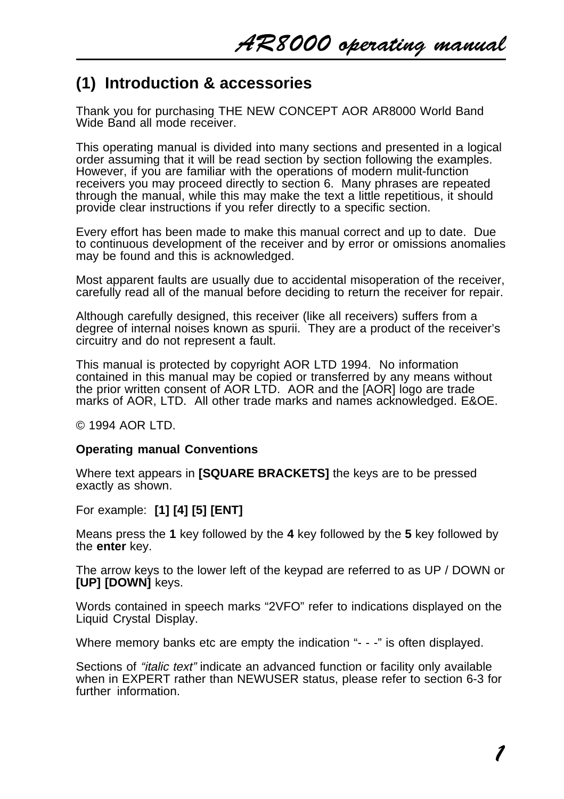# **(1) Introduction & accessories**

Thank you for purchasing THE NEW CONCEPT AOR AR8000 World Band Wide Band all mode receiver.

This operating manual is divided into many sections and presented in a logical order assuming that it will be read section by section following the examples. However, if you are familiar with the operations of modern mulit-function receivers you may proceed directly to section 6. Many phrases are repeated through the manual, while this may make the text a little repetitious, it should provide clear instructions if you refer directly to a specific section.

Every effort has been made to make this manual correct and up to date. Due to continuous development of the receiver and by error or omissions anomalies may be found and this is acknowledged.

Most apparent faults are usually due to accidental misoperation of the receiver, carefully read all of the manual before deciding to return the receiver for repair.

Although carefully designed, this receiver (like all receivers) suffers from a degree of internal noises known as spurii. They are a product of the receiver's circuitry and do not represent a fault.

This manual is protected by copyright AOR LTD 1994. No information contained in this manual may be copied or transferred by any means without the prior written consent of AOR LTD. AOR and the [AOR] logo are trade marks of AOR, LTD. All other trade marks and names acknowledged. E&OE.

© 1994 AOR LTD.

### **Operating manual Conventions**

Where text appears in **[SQUARE BRACKETS]** the keys are to be pressed exactly as shown.

For example: **[1] [4] [5] [ENT]**

Means press the **1** key followed by the **4** key followed by the **5** key followed by the **enter** key.

The arrow keys to the lower left of the keypad are referred to as UP / DOWN or **[UP] [DOWN]** keys.

Words contained in speech marks "2VFO" refer to indications displayed on the Liquid Crystal Display.

Where memory banks etc are empty the indication "- - -" is often displayed.

Sections of "*italic text*" indicate an advanced function or facility only available when in EXPERT rather than NEWUSER status, please refer to section 6-3 for further information.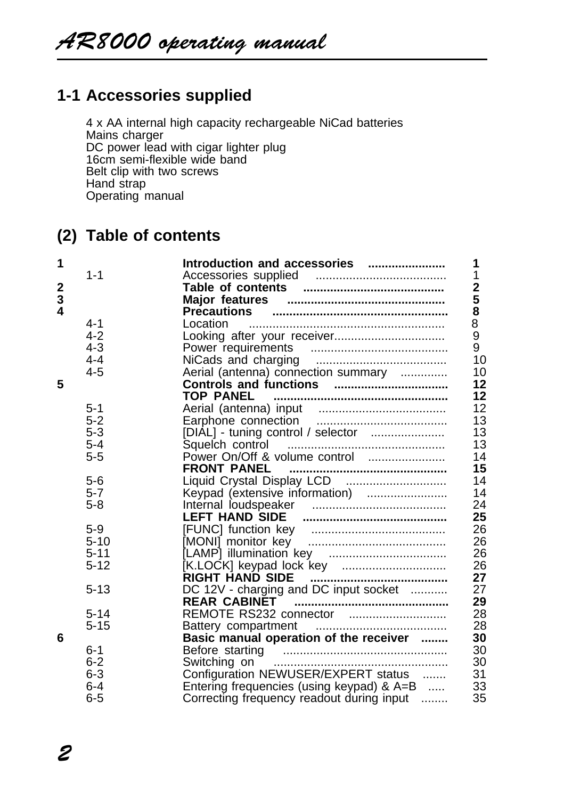# **1-1 Accessories supplied**

4 x AA internal high capacity rechargeable NiCad batteries Mains charger DC power lead with cigar lighter plug 16cm semi-flexible wide band Belt clip with two screws Hand strap Operating manual

# **(2) Table of contents**

| 1                       |          | Introduction and accessories<br>1               |
|-------------------------|----------|-------------------------------------------------|
|                         | $1 - 1$  | 1                                               |
| $\boldsymbol{2}$        |          | $\overline{\mathbf{2}}$                         |
| 3                       |          | 5                                               |
| $\overline{\mathbf{A}}$ |          | 8<br><b>Precautions</b>                         |
|                         | $4 - 1$  | 8<br>Location                                   |
|                         | $4 - 2$  | 9                                               |
|                         | $4 - 3$  | 9<br>Power requirements                         |
|                         | $4 - 4$  | 10                                              |
|                         | $4 - 5$  | Aerial (antenna) connection summary<br>10       |
| 5                       |          | 12                                              |
|                         |          | 12<br><b>TOP PANEL</b>                          |
|                         | $5 - 1$  | 12                                              |
|                         | $5 - 2$  | 13                                              |
|                         | $5 - 3$  | 13<br>[DIAL] - tuning control / selector        |
|                         | $5 - 4$  | 13                                              |
|                         | $5 - 5$  | 14                                              |
|                         |          | 15<br><b>FRONT PANEL</b>                        |
|                         | $5-6$    | Liquid Crystal Display LCD<br>14                |
|                         | $5 - 7$  | 14                                              |
|                         | $5 - 8$  | 24                                              |
|                         |          | 25                                              |
|                         | $5 - 9$  | 26                                              |
|                         | $5 - 10$ | 26                                              |
|                         | $5 - 11$ | 26                                              |
|                         | $5 - 12$ | 26                                              |
|                         |          | 27<br><b>RIGHT HAND SIDE</b>                    |
|                         | $5 - 13$ | DC 12V - charging and DC input socket<br>27     |
|                         |          | 29<br><b>REAR CABINET</b>                       |
|                         | $5 - 14$ | 28                                              |
|                         | $5 - 15$ | 28                                              |
| 6                       |          | Basic manual operation of the receiver<br>30    |
|                         | $6 - 1$  | 30                                              |
|                         | $6 - 2$  | 30                                              |
|                         | $6 - 3$  | Configuration NEWUSER/EXPERT status<br>31       |
|                         | $6 - 4$  | 33<br>Entering frequencies (using keypad) & A=B |
|                         | $6 - 5$  | 35<br>Correcting frequency readout during input |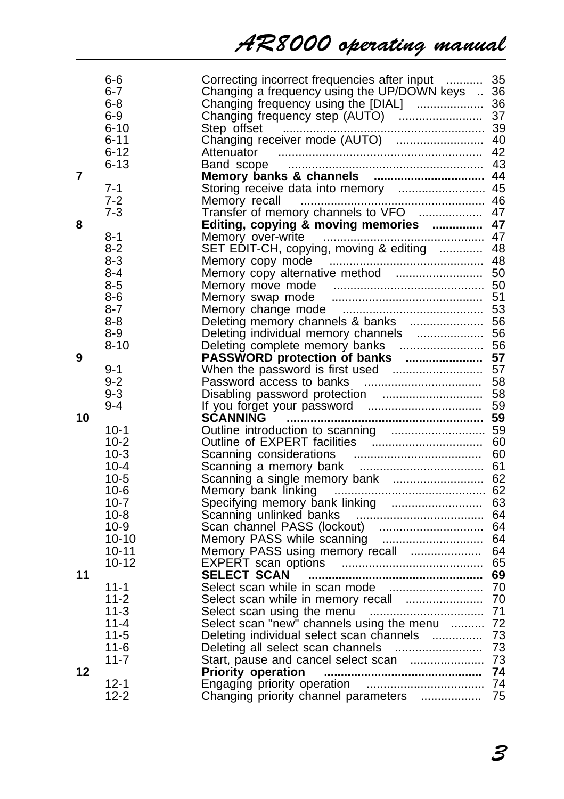# AR8000 operating manual

|    | 6-6<br>6-7 | Correcting incorrect frequencies after input  35<br>Changing a frequency using the UP/DOWN keys  36 |  |
|----|------------|-----------------------------------------------------------------------------------------------------|--|
|    | 6-8        |                                                                                                     |  |
|    | 6-9        |                                                                                                     |  |
|    | 6-10       |                                                                                                     |  |
|    | 6-11       |                                                                                                     |  |
|    | $6 - 12$   | Attenuator                                                                                          |  |
|    | $6 - 13$   |                                                                                                     |  |
| 7  |            |                                                                                                     |  |
|    | $7 - 1$    | Storing receive data into memory  45                                                                |  |
|    | $7-2$      | Memory recall                                                                                       |  |
|    | $7 - 3$    |                                                                                                     |  |
| 8  |            | Editing, copying & moving memories  47                                                              |  |
|    | $8 - 1$    |                                                                                                     |  |
|    | 8-2        | SET EDIT-CH, copying, moving & editing  48                                                          |  |
|    | 8-3        |                                                                                                     |  |
|    | 8-4        | Memory copy alternative method  50                                                                  |  |
|    | 8-5        |                                                                                                     |  |
|    | 8-6        |                                                                                                     |  |
|    | $8 - 7$    |                                                                                                     |  |
|    | 8-8        | Deleting memory channels & banks  56                                                                |  |
|    | 8-9        |                                                                                                     |  |
|    | $8 - 10$   |                                                                                                     |  |
| 9  |            |                                                                                                     |  |
|    | 9-1        |                                                                                                     |  |
|    | $9 - 2$    |                                                                                                     |  |
|    | $9 - 3$    | Disabling password protection  58                                                                   |  |
|    | $9 - 4$    |                                                                                                     |  |
| 10 | $10-1$     | SCANNING                                                                                            |  |
|    | $10 - 2$   |                                                                                                     |  |
|    | 10-3       |                                                                                                     |  |
|    | $10 - 4$   |                                                                                                     |  |
|    | $10-5$     | Scanning a single memory bank  62                                                                   |  |
|    | $10-6$     | Memory bank linking                                                                                 |  |
|    | $10 - 7$   |                                                                                                     |  |
|    | $10 - 8$   |                                                                                                     |  |
|    | 10-9       |                                                                                                     |  |
|    | 10-10      |                                                                                                     |  |
|    | $10 - 11$  | Memory PASS using memory recall  64                                                                 |  |
|    | $10 - 12$  |                                                                                                     |  |
| 11 |            | SELECT SCAN                                                                                         |  |
|    | $11 - 1$   |                                                                                                     |  |
|    | 11-2       | Select scan while in memory recall  70                                                              |  |
|    | $11 - 3$   |                                                                                                     |  |
|    | $11 - 4$   | Select scan "new" channels using the menu  72                                                       |  |
|    | 11-5       |                                                                                                     |  |
|    | $11 - 6$   |                                                                                                     |  |
|    | $11 - 7$   |                                                                                                     |  |
| 12 |            |                                                                                                     |  |
|    | $12 - 1$   |                                                                                                     |  |
|    | 12-2       | Changing priority channel parameters  75                                                            |  |
|    |            |                                                                                                     |  |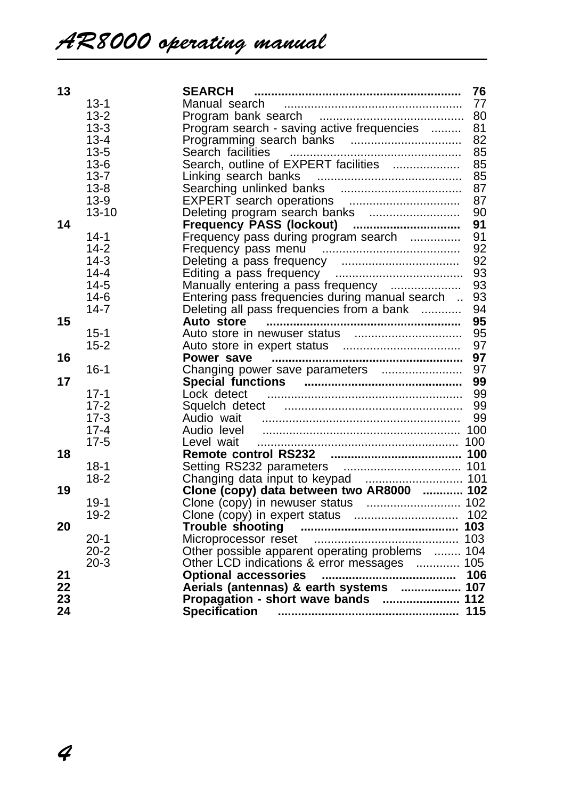| 13 |           | <b>SEARCH</b>                                   | 76 |
|----|-----------|-------------------------------------------------|----|
|    | $13 - 1$  | Manual search                                   | 77 |
|    | $13 - 2$  |                                                 | 80 |
|    | $13 - 3$  | Program search - saving active frequencies      | 81 |
|    | $13 - 4$  |                                                 | 82 |
|    | $13 - 5$  | Search facilities                               | 85 |
|    | $13-6$    | Search, outline of EXPERT facilities            | 85 |
|    | $13 - 7$  | Linking search banks                            | 85 |
|    | $13 - 8$  |                                                 | 87 |
|    | $13-9$    |                                                 | 87 |
|    | $13 - 10$ | Deleting program search banks                   | 90 |
| 14 |           | Frequency PASS (lockout)                        | 91 |
|    | $14 - 1$  | Frequency pass during program search            | 91 |
|    | $14 - 2$  |                                                 | 92 |
|    | $14-3$    |                                                 | 92 |
|    | $14 - 4$  |                                                 | 93 |
|    | $14-5$    | Manually entering a pass frequency              | 93 |
|    | $14-6$    | Entering pass frequencies during manual search  | 93 |
|    | $14 - 7$  | Deleting all pass frequencies from a bank       | 94 |
| 15 |           | Auto store                                      | 95 |
|    | $15 - 1$  |                                                 | 95 |
|    | $15 - 2$  |                                                 | 97 |
| 16 |           |                                                 | 97 |
|    | $16 - 1$  | Changing power save parameters                  | 97 |
| 17 |           |                                                 | 99 |
|    | $17-1$    | Lock detect                                     | 99 |
|    | $17-2$    | Squelch detect                                  | 99 |
|    | $17-3$    | Audio wait                                      | 99 |
|    | $17 - 4$  |                                                 |    |
|    | $17-5$    | Level wait                                      |    |
| 18 |           |                                                 |    |
|    | $18-1$    |                                                 |    |
|    | $18-2$    |                                                 |    |
| 19 |           | Clone (copy) data between two AR8000  102       |    |
|    | $19-1$    |                                                 |    |
|    | $19-2$    |                                                 |    |
| 20 |           |                                                 |    |
|    | $20-1$    |                                                 |    |
|    | $20 - 2$  | Other possible apparent operating problems  104 |    |
|    | $20-3$    | Other LCD indications & error messages  105     |    |
| 21 |           |                                                 |    |
| 22 |           | Aerials (antennas) & earth systems  107         |    |
| 23 |           | Propagation - short wave bands  112             |    |
| 24 |           |                                                 |    |
|    |           |                                                 |    |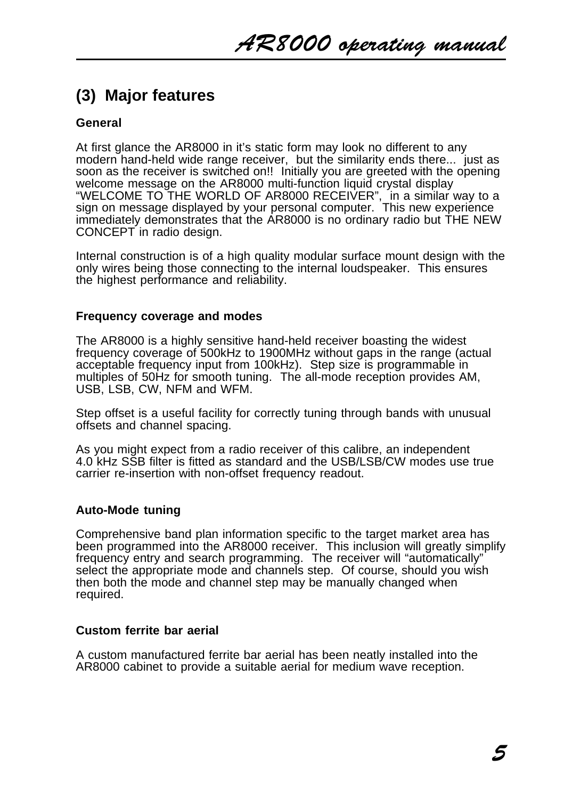# **(3) Major features**

# **General**

At first glance the AR8000 in it's static form may look no different to any modern hand-held wide range receiver, but the similarity ends there... just as soon as the receiver is switched on!! Initially you are greeted with the opening welcome message on the AR8000 multi-function liquid crystal display "WELCOME TO THE WORLD OF AR8000 RECEIVER", in a similar way to a sign on message displayed by your personal computer. This new experience immediately demonstrates that the AR8000 is no ordinary radio but THE NEW CONCEPT in radio design.

Internal construction is of a high quality modular surface mount design with the only wires being those connecting to the internal loudspeaker. This ensures the highest performance and reliability.

### **Frequency coverage and modes**

The AR8000 is a highly sensitive hand-held receiver boasting the widest frequency coverage of 500kHz to 1900MHz without gaps in the range (actual acceptable frequency input from 100kHz). Step size is programmable in multiples of 50Hz for smooth tuning. The all-mode reception provides AM, USB, LSB, CW, NFM and WFM.

Step offset is a useful facility for correctly tuning through bands with unusual offsets and channel spacing.

As you might expect from a radio receiver of this calibre, an independent 4.0 kHz SSB filter is fitted as standard and the USB/LSB/CW modes use true carrier re-insertion with non-offset frequency readout.

### **Auto-Mode tuning**

Comprehensive band plan information specific to the target market area has been programmed into the AR8000 receiver. This inclusion will greatly simplify frequency entry and search programming. The receiver will "automatically" select the appropriate mode and channels step. Of course, should you wish then both the mode and channel step may be manually changed when required.

### **Custom ferrite bar aerial**

A custom manufactured ferrite bar aerial has been neatly installed into the AR8000 cabinet to provide a suitable aerial for medium wave reception.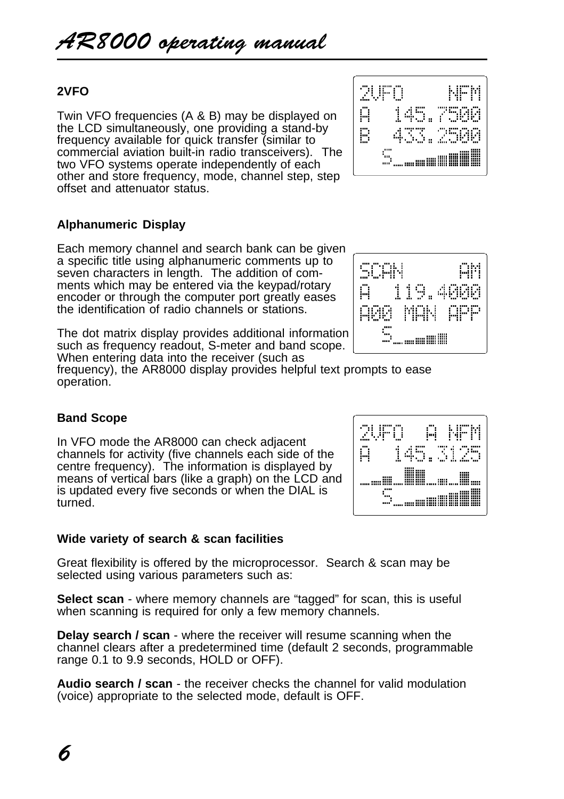# **2VFO**

Twin VFO frequencies (A & B) may be displayed on the LCD simultaneously, one providing a stand-by frequency available for quick transfer (similar to commercial aviation built-in radio transceivers). The two VFO systems operate independently of each other and store frequency, mode, channel step, step offset and attenuator status.

# **Alphanumeric Display**

Each memory channel and search bank can be given a specific title using alphanumeric comments up to seven characters in length. The addition of comments which may be entered via the keypad/rotary encoder or through the computer port greatly eases the identification of radio channels or stations.

The dot matrix display provides additional information such as frequency readout, S-meter and band scope. When entering data into the receiver (such as

frequency), the AR8000 display provides helpful text prompts to ease operation.

# **Band Scope**

In VFO mode the AR8000 can check adjacent channels for activity (five channels each side of the centre frequency). The information is displayed by means of vertical bars (like a graph) on the LCD and is updated every five seconds or when the DIAL is turned.

# **Wide variety of search & scan facilities**

Great flexibility is offered by the microprocessor. Search & scan may be selected using various parameters such as:

**Select scan** - where memory channels are "tagged" for scan, this is useful when scanning is required for only a few memory channels.

**Delay search / scan** - where the receiver will resume scanning when the channel clears after a predetermined time (default 2 seconds, programmable range 0.1 to 9.9 seconds, HOLD or OFF).

**Audio search / scan** - the receiver checks the channel for valid modulation (voice) appropriate to the selected mode, default is OFF.





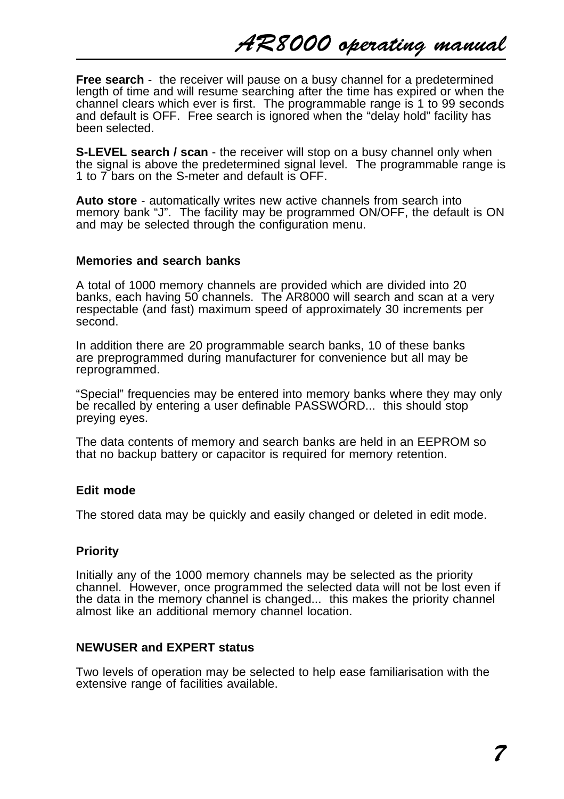**Free search** - the receiver will pause on a busy channel for a predetermined length of time and will resume searching after the time has expired or when the channel clears which ever is first. The programmable range is 1 to 99 seconds and default is OFF. Free search is ignored when the "delay hold" facility has been selected.

**S-LEVEL search / scan** - the receiver will stop on a busy channel only when the signal is above the predetermined signal level. The programmable range is 1 to 7 bars on the S-meter and default is OFF.

**Auto store** - automatically writes new active channels from search into memory bank "J". The facility may be programmed ON/OFF, the default is ON and may be selected through the configuration menu.

### **Memories and search banks**

A total of 1000 memory channels are provided which are divided into 20 banks, each having 50 channels. The AR8000 will search and scan at a very respectable (and fast) maximum speed of approximately 30 increments per second.

In addition there are 20 programmable search banks, 10 of these banks are preprogrammed during manufacturer for convenience but all may be reprogrammed.

"Special" frequencies may be entered into memory banks where they may only be recalled by entering a user definable PASSWORD... this should stop preying eyes.

The data contents of memory and search banks are held in an EEPROM so that no backup battery or capacitor is required for memory retention.

### **Edit mode**

The stored data may be quickly and easily changed or deleted in edit mode.

### **Priority**

Initially any of the 1000 memory channels may be selected as the priority channel. However, once programmed the selected data will not be lost even if the data in the memory channel is changed... this makes the priority channel almost like an additional memory channel location.

### **NEWUSER and EXPERT status**

Two levels of operation may be selected to help ease familiarisation with the extensive range of facilities available.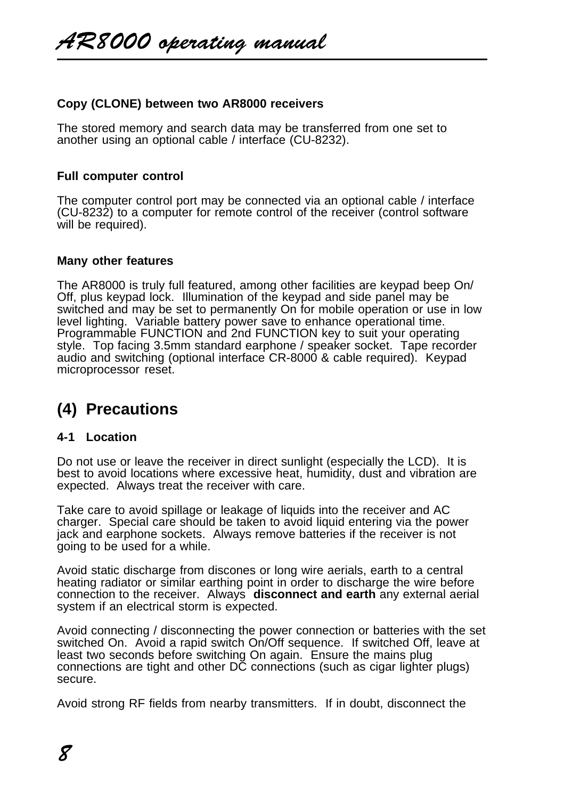## **Copy (CLONE) between two AR8000 receivers**

The stored memory and search data may be transferred from one set to another using an optional cable / interface (CU-8232).

### **Full computer control**

The computer control port may be connected via an optional cable / interface (CU-8232) to a computer for remote control of the receiver (control software will be required).

### **Many other features**

The AR8000 is truly full featured, among other facilities are keypad beep On/ Off, plus keypad lock. Illumination of the keypad and side panel may be switched and may be set to permanently On for mobile operation or use in low level lighting. Variable battery power save to enhance operational time. Programmable FUNCTION and 2nd FUNCTION key to suit your operating style. Top facing 3.5mm standard earphone / speaker socket. Tape recorder audio and switching (optional interface CR-8000 & cable required). Keypad microprocessor reset.

# **(4) Precautions**

### **4-1 Location**

Do not use or leave the receiver in direct sunlight (especially the LCD). It is best to avoid locations where excessive heat, humidity, dust and vibration are expected. Always treat the receiver with care.

Take care to avoid spillage or leakage of liquids into the receiver and AC charger. Special care should be taken to avoid liquid entering via the power jack and earphone sockets. Always remove batteries if the receiver is not going to be used for a while.

Avoid static discharge from discones or long wire aerials, earth to a central heating radiator or similar earthing point in order to discharge the wire before connection to the receiver. Always **disconnect and earth** any external aerial system if an electrical storm is expected.

Avoid connecting / disconnecting the power connection or batteries with the set switched On. Avoid a rapid switch On/Off sequence. If switched Off, leave at least two seconds before switching On again. Ensure the mains plug connections are tight and other DC connections (such as cigar lighter plugs) secure.

Avoid strong RF fields from nearby transmitters. If in doubt, disconnect the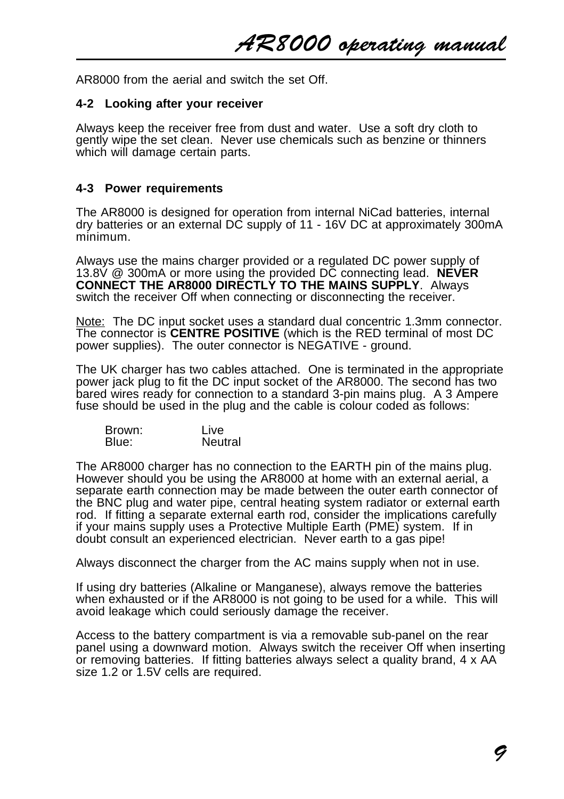AR8000 operating manual

AR8000 from the aerial and switch the set Off.

#### **4-2 Looking after your receiver**

Always keep the receiver free from dust and water. Use a soft dry cloth to gently wipe the set clean. Never use chemicals such as benzine or thinners which will damage certain parts.

### **4-3 Power requirements**

The AR8000 is designed for operation from internal NiCad batteries, internal dry batteries or an external DC supply of 11 - 16V DC at approximately 300mA minimum.

Always use the mains charger provided or a regulated DC power supply of 13.8V @ 300mA or more using the provided DC connecting lead. **NEVER CONNECT THE AR8000 DIRECTLY TO THE MAINS SUPPLY**. Always switch the receiver Off when connecting or disconnecting the receiver.

Note: The DC input socket uses a standard dual concentric 1.3mm connector. The connector is **CENTRE POSITIVE** (which is the RED terminal of most DC power supplies). The outer connector is NEGATIVE - ground.

The UK charger has two cables attached. One is terminated in the appropriate power jack plug to fit the DC input socket of the AR8000. The second has two bared wires ready for connection to a standard 3-pin mains plug. A 3 Ampere fuse should be used in the plug and the cable is colour coded as follows:

| Brown: | Live    |
|--------|---------|
| Blue:  | Neutral |

The AR8000 charger has no connection to the EARTH pin of the mains plug. However should you be using the AR8000 at home with an external aerial, a separate earth connection may be made between the outer earth connector of the BNC plug and water pipe, central heating system radiator or external earth rod. If fitting a separate external earth rod, consider the implications carefully if your mains supply uses a Protective Multiple Earth (PME) system. If in doubt consult an experienced electrician. Never earth to a gas pipe!

Always disconnect the charger from the AC mains supply when not in use.

If using dry batteries (Alkaline or Manganese), always remove the batteries when exhausted or if the AR8000 is not going to be used for a while. This will avoid leakage which could seriously damage the receiver.

Access to the battery compartment is via a removable sub-panel on the rear panel using a downward motion. Always switch the receiver Off when inserting or removing batteries. If fitting batteries always select a quality brand, 4 x AA size 1.2 or 1.5V cells are required.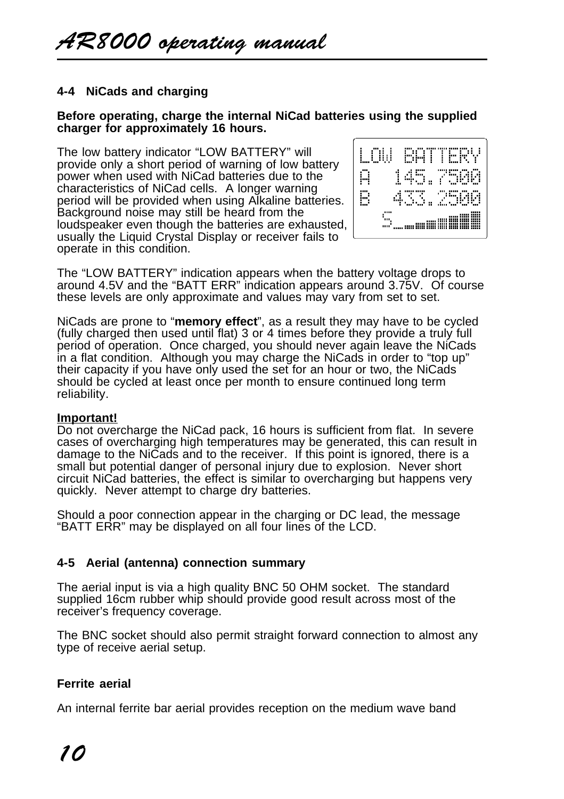# **4-4 NiCads and charging**

### **Before operating, charge the internal NiCad batteries using the supplied charger for approximately 16 hours.**

The low battery indicator "LOW BATTERY" will provide only a short period of warning of low battery power when used with NiCad batteries due to the characteristics of NiCad cells. A longer warning period will be provided when using Alkaline batteries. Background noise may still be heard from the loudspeaker even though the batteries are exhausted, usually the Liquid Crystal Display or receiver fails to operate in this condition.



The "LOW BATTERY" indication appears when the battery voltage drops to around 4.5V and the "BATT ERR" indication appears around 3.75V. Of course these levels are only approximate and values may vary from set to set.

NiCads are prone to "**memory effect**", as a result they may have to be cycled (fully charged then used until flat) 3 or 4 times before they provide a truly full period of operation. Once charged, you should never again leave the NiCads in a flat condition. Although you may charge the NiCads in order to "top up" their capacity if you have only used the set for an hour or two, the NiCads should be cycled at least once per month to ensure continued long term reliability.

### **Important!**

Do not overcharge the NiCad pack, 16 hours is sufficient from flat. In severe cases of overcharging high temperatures may be generated, this can result in damage to the NiCads and to the receiver. If this point is ignored, there is a small but potential danger of personal injury due to explosion. Never short circuit NiCad batteries, the effect is similar to overcharging but happens very quickly. Never attempt to charge dry batteries.

Should a poor connection appear in the charging or DC lead, the message "BATT ERR" may be displayed on all four lines of the LCD.

### **4-5 Aerial (antenna) connection summary**

The aerial input is via a high quality BNC 50 OHM socket. The standard supplied 16cm rubber whip should provide good result across most of the receiver's frequency coverage.

The BNC socket should also permit straight forward connection to almost any type of receive aerial setup.

### **Ferrite aerial**

An internal ferrite bar aerial provides reception on the medium wave band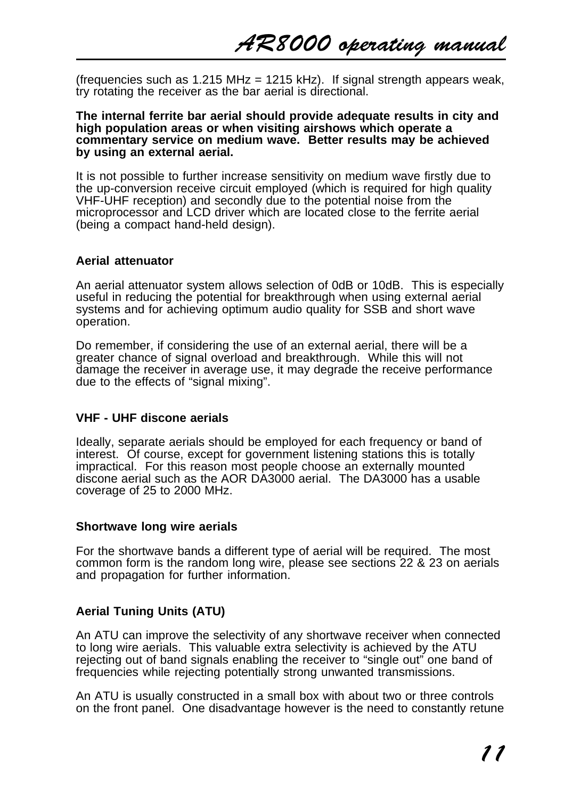(frequencies such as  $1.215 \text{ MHz} = 1215 \text{ kHz}$ ). If signal strength appears weak, try rotating the receiver as the bar aerial is directional.

#### **The internal ferrite bar aerial should provide adequate results in city and high population areas or when visiting airshows which operate a commentary service on medium wave. Better results may be achieved by using an external aerial.**

It is not possible to further increase sensitivity on medium wave firstly due to the up-conversion receive circuit employed (which is required for high quality VHF-UHF reception) and secondly due to the potential noise from the microprocessor and LCD driver which are located close to the ferrite aerial (being a compact hand-held design).

### **Aerial attenuator**

An aerial attenuator system allows selection of 0dB or 10dB. This is especially useful in reducing the potential for breakthrough when using external aerial systems and for achieving optimum audio quality for SSB and short wave operation.

Do remember, if considering the use of an external aerial, there will be a greater chance of signal overload and breakthrough. While this will not damage the receiver in average use, it may degrade the receive performance due to the effects of "signal mixing".

### **VHF - UHF discone aerials**

Ideally, separate aerials should be employed for each frequency or band of interest. Of course, except for government listening stations this is totally impractical. For this reason most people choose an externally mounted discone aerial such as the AOR DA3000 aerial. The DA3000 has a usable coverage of 25 to 2000 MHz.

### **Shortwave long wire aerials**

For the shortwave bands a different type of aerial will be required. The most common form is the random long wire, please see sections 22 & 23 on aerials and propagation for further information.

# **Aerial Tuning Units (ATU)**

An ATU can improve the selectivity of any shortwave receiver when connected to long wire aerials. This valuable extra selectivity is achieved by the ATU rejecting out of band signals enabling the receiver to "single out" one band of frequencies while rejecting potentially strong unwanted transmissions.

An ATU is usually constructed in a small box with about two or three controls on the front panel. One disadvantage however is the need to constantly retune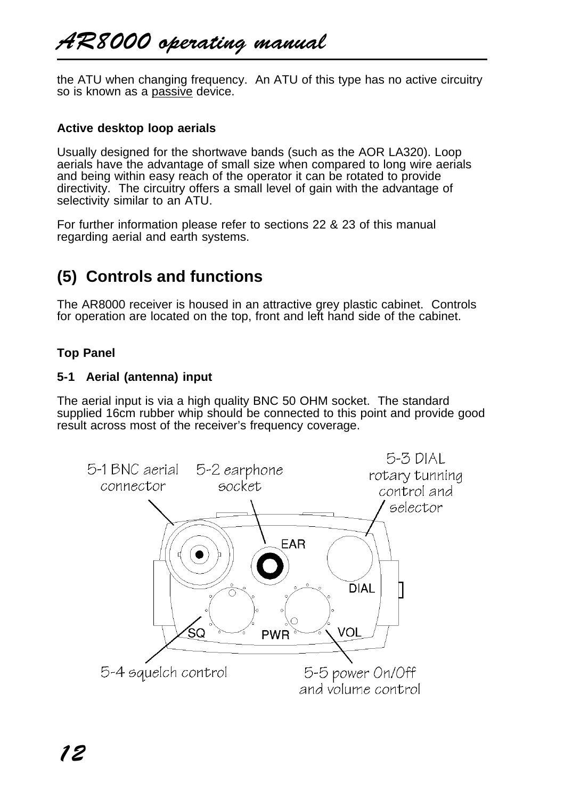the ATU when changing frequency. An ATU of this type has no active circuitry so is known as a passive device.

## **Active desktop loop aerials**

Usually designed for the shortwave bands (such as the AOR LA320). Loop aerials have the advantage of small size when compared to long wire aerials and being within easy reach of the operator it can be rotated to provide directivity. The circuitry offers a small level of gain with the advantage of selectivity similar to an ATU.

For further information please refer to sections 22 & 23 of this manual regarding aerial and earth systems.

# **(5) Controls and functions**

The AR8000 receiver is housed in an attractive grey plastic cabinet. Controls for operation are located on the top, front and left hand side of the cabinet.

# **Top Panel**

### **5-1 Aerial (antenna) input**

The aerial input is via a high quality BNC 50 OHM socket. The standard supplied 16cm rubber whip should be connected to this point and provide good result across most of the receiver's frequency coverage.

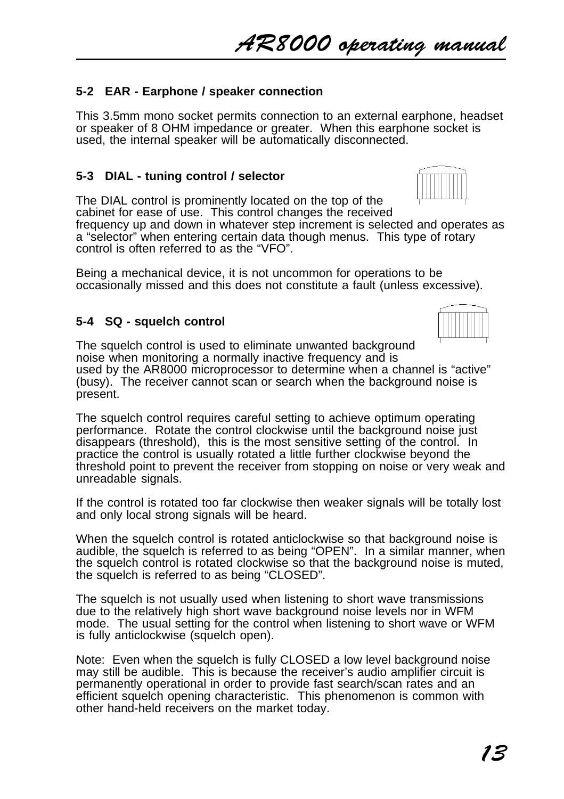# AR8000 operating manual

# **5-2 EAR - Earphone / speaker connection**

This 3.5mm mono socket permits connection to an external earphone, headset or speaker of 8 OHM impedance or greater. When this earphone socket is used, the internal speaker will be automatically disconnected.

# **5-3 DIAL - tuning control / selector**

The DIAL control is prominently located on the top of the cabinet for ease of use. This control changes the received

frequency up and down in whatever step increment is selected and operates as a "selector" when entering certain data though menus. This type of rotary control is often referred to as the "VFO".

Being a mechanical device, it is not uncommon for operations to be occasionally missed and this does not constitute a fault (unless excessive).

# **5-4 SQ - squelch control**

The squelch control is used to eliminate unwanted background noise when monitoring a normally inactive frequency and is used by the AR8000 microprocessor to determine when a channel is "active" (busy). The receiver cannot scan or search when the background noise is present.

The squelch control requires careful setting to achieve optimum operating performance. Rotate the control clockwise until the background noise just disappears (threshold), this is the most sensitive setting of the control. In practice the control is usually rotated a little further clockwise beyond the threshold point to prevent the receiver from stopping on noise or very weak and unreadable signals.

If the control is rotated too far clockwise then weaker signals will be totally lost and only local strong signals will be heard.

When the squelch control is rotated anticlockwise so that background noise is audible, the squelch is referred to as being "OPEN". In a similar manner, when the squelch control is rotated clockwise so that the background noise is muted, the squelch is referred to as being "CLOSED".

The squelch is not usually used when listening to short wave transmissions due to the relatively high short wave background noise levels nor in WFM mode. The usual setting for the control when listening to short wave or WFM is fully anticlockwise (squelch open).

Note: Even when the squelch is fully CLOSED a low level background noise may still be audible. This is because the receiver's audio amplifier circuit is permanently operational in order to provide fast search/scan rates and an efficient squelch opening characteristic. This phenomenon is common with other hand-held receivers on the market today.

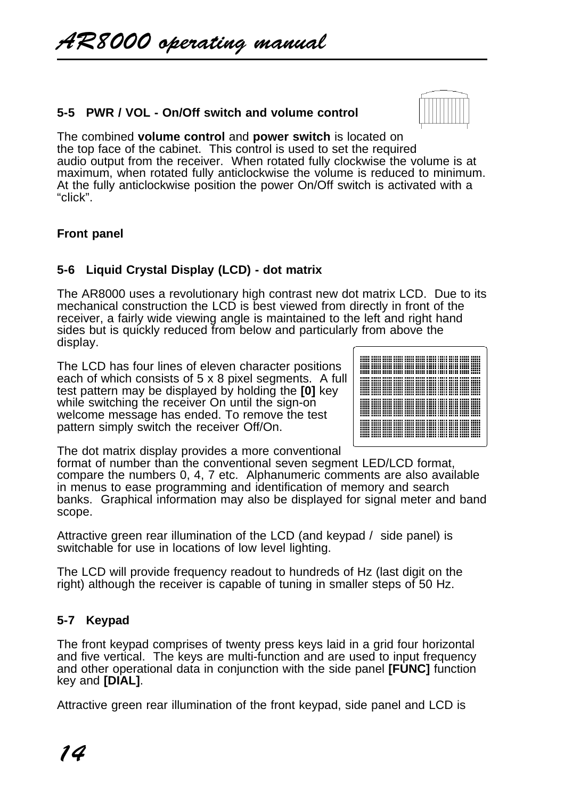# **5-5 PWR / VOL - On/Off switch and volume control**



The combined **volume control** and **power switch** is located on the top face of the cabinet. This control is used to set the required audio output from the receiver. When rotated fully clockwise the volume is at maximum, when rotated fully anticlockwise the volume is reduced to minimum. At the fully anticlockwise position the power On/Off switch is activated with a "click".

# **Front panel**

# **5-6 Liquid Crystal Display (LCD) - dot matrix**

The AR8000 uses a revolutionary high contrast new dot matrix LCD. Due to its mechanical construction the LCD is best viewed from directly in front of the receiver, a fairly wide viewing angle is maintained to the left and right hand sides but is quickly reduced from below and particularly from above the display.

The LCD has four lines of eleven character positions each of which consists of 5 x 8 pixel segments. A full test pattern may be displayed by holding the **[0]** key while switching the receiver On until the sign-on welcome message has ended. To remove the test pattern simply switch the receiver Off/On.

The dot matrix display provides a more conventional

format of number than the conventional seven segment LED/LCD format, compare the numbers 0, 4, 7 etc. Alphanumeric comments are also available in menus to ease programming and identification of memory and search banks. Graphical information may also be displayed for signal meter and band scope.

Attractive green rear illumination of the LCD (and keypad / side panel) is switchable for use in locations of low level lighting.

The LCD will provide frequency readout to hundreds of Hz (last digit on the right) although the receiver is capable of tuning in smaller steps of 50 Hz.

# **5-7 Keypad**

The front keypad comprises of twenty press keys laid in a grid four horizontal and five vertical. The keys are multi-function and are used to input frequency and other operational data in conjunction with the side panel **[FUNC]** function key and **[DIAL]**.

Attractive green rear illumination of the front keypad, side panel and LCD is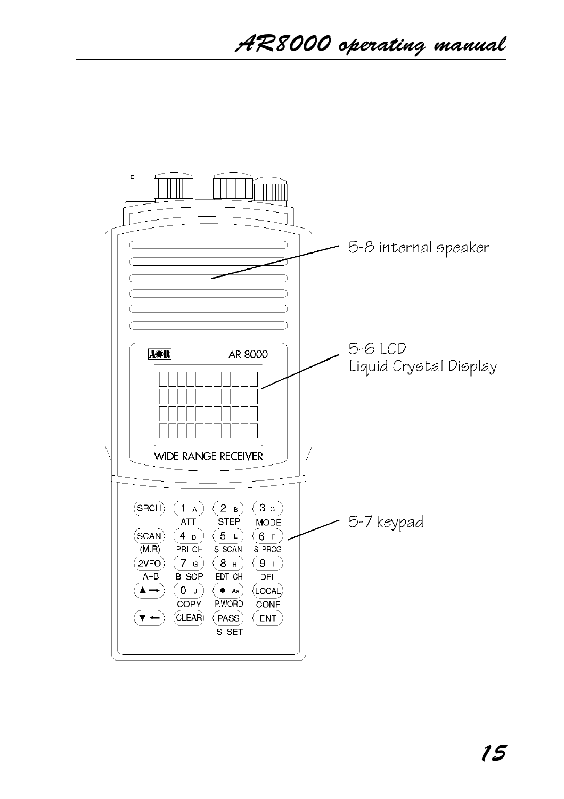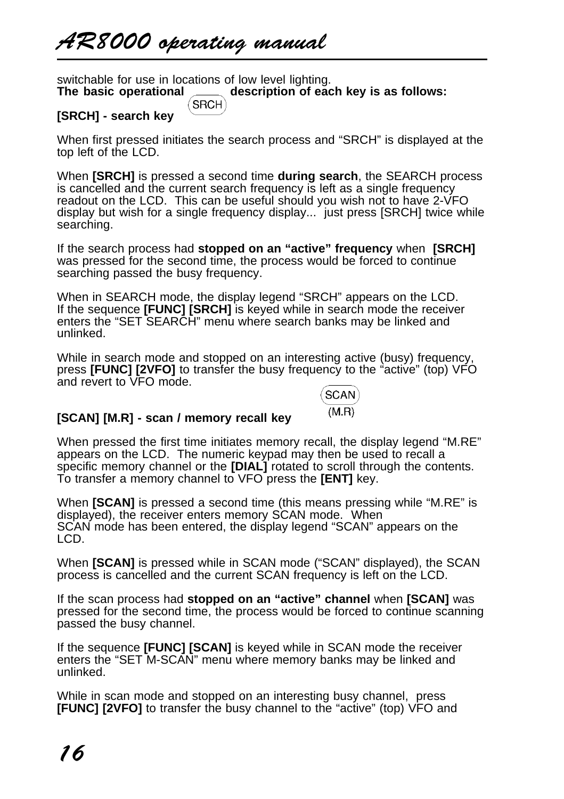switchable for use in locations of low level lighting.<br>The basic operational <u>equal</u> description of eac **The basic operation of each key is as follows:**<br>SRCH

# **[SRCH] - search key**

When first pressed initiates the search process and "SRCH" is displayed at the top left of the LCD.

When **[SRCH]** is pressed a second time **during search**, the SEARCH process is cancelled and the current search frequency is left as a single frequency readout on the LCD. This can be useful should you wish not to have 2-VFO display but wish for a single frequency display... just press [SRCH] twice while searching.

If the search process had **stopped on an "active" frequency** when **[SRCH]** was pressed for the second time, the process would be forced to continue searching passed the busy frequency.

When in SEARCH mode, the display legend "SRCH" appears on the LCD. If the sequence **[FUNC] [SRCH]** is keyed while in search mode the receiver enters the "SET SEARCH" menu where search banks may be linked and unlinked.

While in search mode and stopped on an interesting active (busy) frequency, press **[FUNC] [2VFO]** to transfer the busy frequency to the "active" (top) VFO and revert to VFO mode.

**SCAN**  $(M.R)$ 

# **[SCAN] [M.R] - scan / memory recall key**

When pressed the first time initiates memory recall, the display legend "M.RE" appears on the LCD. The numeric keypad may then be used to recall a specific memory channel or the **[DIAL]** rotated to scroll through the contents. To transfer a memory channel to VFO press the **[ENT]** key.

When **[SCAN]** is pressed a second time (this means pressing while "M.RE" is displayed), the receiver enters memory SCAN mode. When SCAN mode has been entered, the display legend "SCAN" appears on the LCD.

When **[SCAN]** is pressed while in SCAN mode ("SCAN" displayed), the SCAN process is cancelled and the current SCAN frequency is left on the LCD.

If the scan process had **stopped on an "active" channel** when **[SCAN]** was pressed for the second time, the process would be forced to continue scanning passed the busy channel.

If the sequence **[FUNC] [SCAN]** is keyed while in SCAN mode the receiver enters the "SET M-SCAN" menu where memory banks may be linked and unlinked.

While in scan mode and stopped on an interesting busy channel, press **[FUNC] [2VFO]** to transfer the busy channel to the "active" (top) VFO and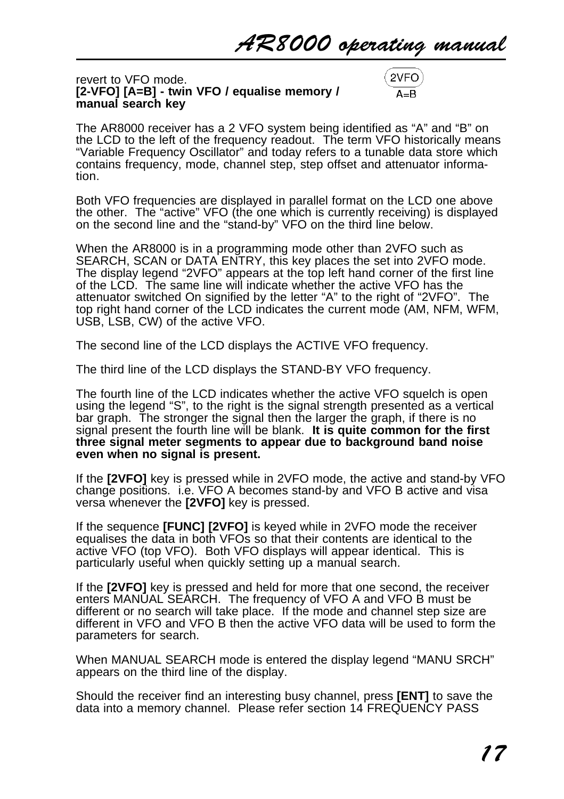#### revert to VFO mode. **[2-VFO] [A=B] - twin VFO / equalise memory / manual search key**

2VFO

The AR8000 receiver has a 2 VFO system being identified as "A" and "B" on the LCD to the left of the frequency readout. The term VFO historically means "Variable Frequency Oscillator" and today refers to a tunable data store which contains frequency, mode, channel step, step offset and attenuator information.

Both VFO frequencies are displayed in parallel format on the LCD one above the other. The "active" VFO (the one which is currently receiving) is displayed on the second line and the "stand-by" VFO on the third line below.

When the AR8000 is in a programming mode other than 2VFO such as SEARCH, SCAN or DATA ENTRY, this key places the set into 2VFO mode. The display legend "2VFO" appears at the top left hand corner of the first line of the LCD. The same line will indicate whether the active VFO has the attenuator switched On signified by the letter "A" to the right of "2VFO". The top right hand corner of the LCD indicates the current mode (AM, NFM, WFM, USB, LSB, CW) of the active VFO.

The second line of the LCD displays the ACTIVE VFO frequency.

The third line of the LCD displays the STAND-BY VFO frequency.

The fourth line of the LCD indicates whether the active VFO squelch is open using the legend "S", to the right is the signal strength presented as a vertical bar graph. The stronger the signal then the larger the graph, if there is no signal present the fourth line will be blank. **It is quite common for the first three signal meter segments to appear due to background band noise even when no signal is present.**

If the **[2VFO]** key is pressed while in 2VFO mode, the active and stand-by VFO change positions. i.e. VFO A becomes stand-by and VFO B active and visa versa whenever the **[2VFO]** key is pressed.

If the sequence **[FUNC] [2VFO]** is keyed while in 2VFO mode the receiver equalises the data in both VFOs so that their contents are identical to the active VFO (top VFO). Both VFO displays will appear identical. This is particularly useful when quickly setting up a manual search.

If the **[2VFO]** key is pressed and held for more that one second, the receiver enters MANUAL SEARCH. The frequency of VFO A and VFO B must be different or no search will take place. If the mode and channel step size are different in VFO and VFO B then the active VFO data will be used to form the parameters for search.

When MANUAL SEARCH mode is entered the display legend "MANU SRCH" appears on the third line of the display.

Should the receiver find an interesting busy channel, press **[ENT]** to save the data into a memory channel. Please refer section 14 FREQUENCY PASS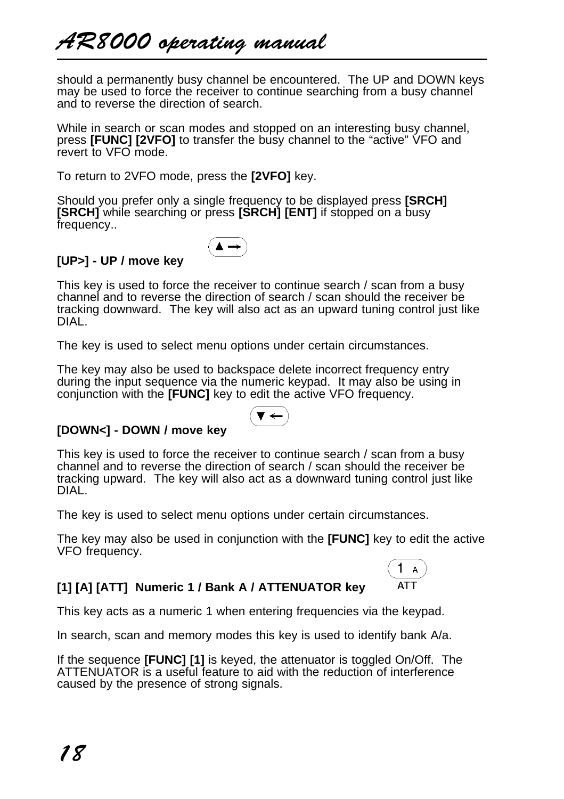should a permanently busy channel be encountered. The UP and DOWN keys may be used to force the receiver to continue searching from a busy channel and to reverse the direction of search.

While in search or scan modes and stopped on an interesting busy channel, press **[FUNC] [2VFO]** to transfer the busy channel to the "active" VFO and revert to VFO mode.

To return to 2VFO mode, press the **[2VFO]** key.

Should you prefer only a single frequency to be displayed press **[SRCH] [SRCH]** while searching or press **[SRCH] [ENT]** if stopped on a busy frequency..



# **[UP>] - UP / move key**

This key is used to force the receiver to continue search / scan from a busy channel and to reverse the direction of search / scan should the receiver be tracking downward. The key will also act as an upward tuning control just like DIAL.

The key is used to select menu options under certain circumstances.

The key may also be used to backspace delete incorrect frequency entry during the input sequence via the numeric keypad. It may also be using in conjunction with the **[FUNC]** key to edit the active VFO frequency.



# **[DOWN<] - DOWN / move key**

This key is used to force the receiver to continue search / scan from a busy channel and to reverse the direction of search / scan should the receiver be tracking upward. The key will also act as a downward tuning control just like DIAL.

The key is used to select menu options under certain circumstances.

The key may also be used in conjunction with the **[FUNC]** key to edit the active VFO frequency.



# **[1] [A] [ATT] Numeric 1 / Bank A / ATTENUATOR key**

This key acts as a numeric 1 when entering frequencies via the keypad.

In search, scan and memory modes this key is used to identify bank A/a.

If the sequence **[FUNC] [1]** is keyed, the attenuator is toggled On/Off. The ATTENUATOR is a useful feature to aid with the reduction of interference caused by the presence of strong signals.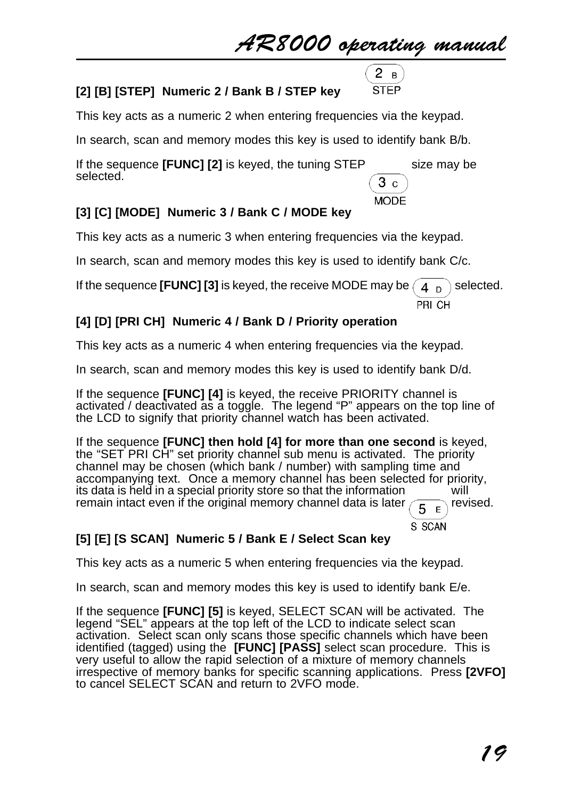# AR8000 operating manual



# **[2] [B] [STEP] Numeric 2 / Bank B / STEP key**

This key acts as a numeric 2 when entering frequencies via the keypad.

In search, scan and memory modes this key is used to identify bank B/b.

If the sequence **[FUNC] [2]** is keyed, the tuning STEP size may be selected.  $3c$ 

**MODE** 

# **[3] [C] [MODE] Numeric 3 / Bank C / MODE key**

This key acts as a numeric 3 when entering frequencies via the keypad.

In search, scan and memory modes this key is used to identify bank C/c.

If the sequence **[FUNC] [3]** is keyed, the receive MODE may be  $\begin{pmatrix} 4 & n \end{pmatrix}$  selected.

PRI CH

S SCAN

# **[4] [D] [PRI CH] Numeric 4 / Bank D / Priority operation**

This key acts as a numeric 4 when entering frequencies via the keypad.

In search, scan and memory modes this key is used to identify bank D/d.

If the sequence **[FUNC] [4]** is keyed, the receive PRIORITY channel is activated / deactivated as a toggle. The legend "P" appears on the top line of the LCD to signify that priority channel watch has been activated.

If the sequence **[FUNC] then hold [4] for more than one second** is keyed, the "SET PRI CH" set priority channel sub menu is activated. The priority channel may be chosen (which bank / number) with sampling time and accompanying text. Once a memory channel has been selected for priority, its data is held in a special priority store so that the information will remain intact even if the original memory channel data is later  $\left(\frac{1}{5}E\right)$  revised.

# **[5] [E] [S SCAN] Numeric 5 / Bank E / Select Scan key**

This key acts as a numeric 5 when entering frequencies via the keypad.

In search, scan and memory modes this key is used to identify bank E/e.

If the sequence **[FUNC] [5]** is keyed, SELECT SCAN will be activated. The legend "SEL" appears at the top left of the LCD to indicate select scan activation. Select scan only scans those specific channels which have been identified (tagged) using the **[FUNC] [PASS]** select scan procedure. This is very useful to allow the rapid selection of a mixture of memory channels irrespective of memory banks for specific scanning applications. Press **[2VFO]** to cancel SELECT SCAN and return to 2VFO mode.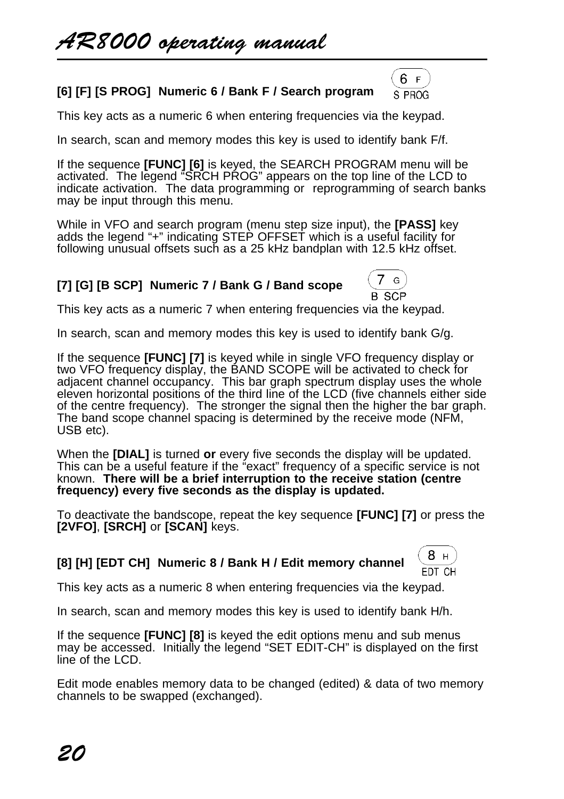# **[6] [F] [S PROG] Numeric 6 / Bank F / Search program**

This key acts as a numeric 6 when entering frequencies via the keypad.

In search, scan and memory modes this key is used to identify bank F/f.

If the sequence **[FUNC] [6]** is keyed, the SEARCH PROGRAM menu will be activated. The legend "SRCH PROG" appears on the top line of the LCD to indicate activation. The data programming or reprogramming of search banks may be input through this menu.

While in VFO and search program (menu step size input), the **[PASS]** key adds the legend "+" indicating STEP OFFSET which is a useful facility for following unusual offsets such as a 25 kHz bandplan with 12.5 kHz offset.

# **[7] [G] [B SCP] Numeric 7 / Bank G / Band scope**



6 F S PROG

This key acts as a numeric 7 when entering frequencies via the keypad.

In search, scan and memory modes this key is used to identify bank G/g.

If the sequence **[FUNC] [7]** is keyed while in single VFO frequency display or two VFO frequency display, the BAND SCOPE will be activated to check for adjacent channel occupancy. This bar graph spectrum display uses the whole eleven horizontal positions of the third line of the LCD (five channels either side of the centre frequency). The stronger the signal then the higher the bar graph. The band scope channel spacing is determined by the receive mode (NFM, USB etc).

When the **[DIAL]** is turned **or** every five seconds the display will be updated. This can be a useful feature if the "exact" frequency of a specific service is not known. **There will be a brief interruption to the receive station (centre frequency) every five seconds as the display is updated.**

To deactivate the bandscope, repeat the key sequence **[FUNC] [7]** or press the **[2VFO]**, **[SRCH]** or **[SCAN]** keys.

# **[8] [H] [EDT CH] Numeric 8 / Bank H / Edit memory channel**



This key acts as a numeric 8 when entering frequencies via the keypad.

In search, scan and memory modes this key is used to identify bank H/h.

If the sequence **[FUNC] [8]** is keyed the edit options menu and sub menus may be accessed. Initially the legend "SET EDIT-CH" is displayed on the first line of the LCD.

Edit mode enables memory data to be changed (edited) & data of two memory channels to be swapped (exchanged).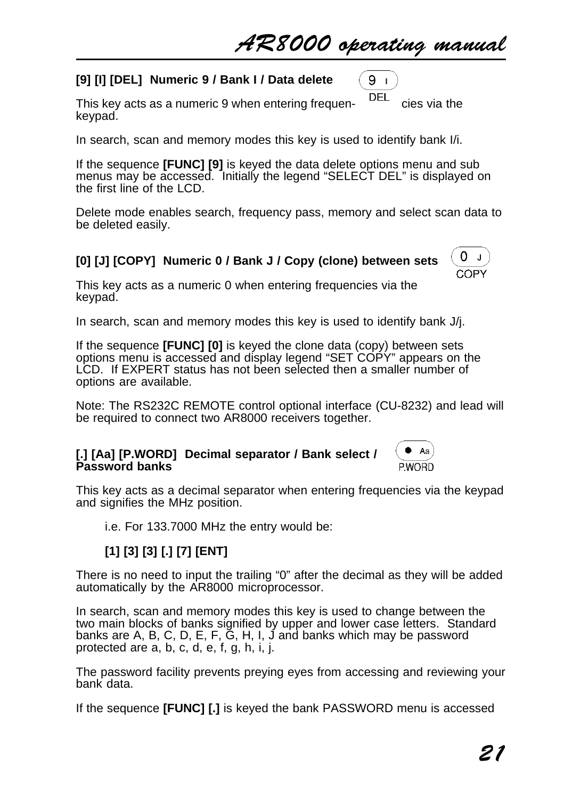$9<sub>1</sub>$ 

0  $\mathbf{I}$ COPY

Aa P.WORD

# **[9] [I] [DEL] Numeric 9 / Bank I / Data delete**

This key acts as a numeric 9 when entering frequen-<br>This key acts as a numeric 9 when entering frequenkeypad.

In search, scan and memory modes this key is used to identify bank I/i.

If the sequence **[FUNC] [9]** is keyed the data delete options menu and sub menus may be accessed. Initially the legend "SELECT DEL" is displayed on the first line of the LCD.

Delete mode enables search, frequency pass, memory and select scan data to be deleted easily.

# **[0] [J] [COPY] Numeric 0 / Bank J / Copy (clone) between sets**

This key acts as a numeric 0 when entering frequencies via the keypad.

In search, scan and memory modes this key is used to identify bank J/j.

If the sequence **[FUNC] [0]** is keyed the clone data (copy) between sets options menu is accessed and display legend "SET COPY" appears on the LCD. If EXPERT status has not been selected then a smaller number of options are available.

Note: The RS232C REMOTE control optional interface (CU-8232) and lead will be required to connect two AR8000 receivers together.

### **[.] [Aa] [P.WORD] Decimal separator / Bank select / Password banks**

This key acts as a decimal separator when entering frequencies via the keypad and signifies the MHz position.

i.e. For 133.7000 MHz the entry would be:

# **[1] [3] [3] [.] [7] [ENT]**

There is no need to input the trailing "0" after the decimal as they will be added automatically by the AR8000 microprocessor.

In search, scan and memory modes this key is used to change between the two main blocks of banks signified by upper and lower case letters. Standard banks are A, B, C, D, E, F, G, H, I, J and banks which may be password protected are a, b, c, d, e, f, g, h, i, j.

The password facility prevents preying eyes from accessing and reviewing your bank data.

If the sequence **[FUNC] [.]** is keyed the bank PASSWORD menu is accessed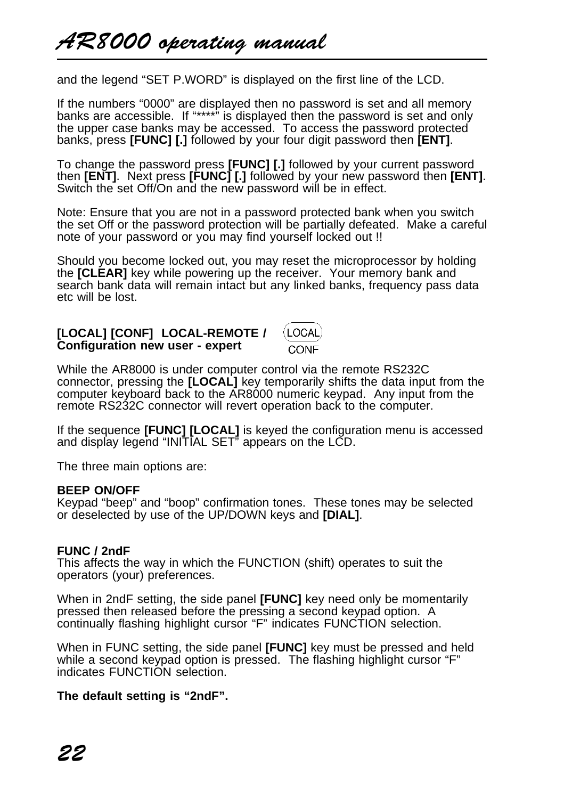and the legend "SET P.WORD" is displayed on the first line of the LCD.

If the numbers "0000" are displayed then no password is set and all memory banks are accessible. If "\*\*\*\*" is displayed then the password is set and only the upper case banks may be accessed. To access the password protected banks, press **[FUNC] [.]** followed by your four digit password then **[ENT]**.

To change the password press **[FUNC] [.]** followed by your current password then **[ENT]**. Next press **[FUNC] [.]** followed by your new password then **[ENT]**. Switch the set Off/On and the new password will be in effect.

Note: Ensure that you are not in a password protected bank when you switch the set Off or the password protection will be partially defeated. Make a careful note of your password or you may find yourself locked out !!

Should you become locked out, you may reset the microprocessor by holding the **[CLEAR]** key while powering up the receiver. Your memory bank and search bank data will remain intact but any linked banks, frequency pass data etc will be lost.

**[LOCAL] [CONF] LOCAL-REMOTE /** (LOCAL **Configuration new user - expert** CONE

While the AR8000 is under computer control via the remote RS232C connector, pressing the **[LOCAL]** key temporarily shifts the data input from the computer keyboard back to the AR8000 numeric keypad. Any input from the remote RS232C connector will revert operation back to the computer.

If the sequence **[FUNC] [LOCAL]** is keyed the configuration menu is accessed and display legend "INITIAL SET" appears on the LCD.

The three main options are:

#### **BEEP ON/OFF**

Keypad "beep" and "boop" confirmation tones. These tones may be selected or deselected by use of the UP/DOWN keys and **[DIAL]**.

### **FUNC / 2ndF**

This affects the way in which the FUNCTION (shift) operates to suit the operators (your) preferences.

When in 2ndF setting, the side panel **[FUNC]** key need only be momentarily pressed then released before the pressing a second keypad option. A continually flashing highlight cursor "F" indicates FUNCTION selection.

When in FUNC setting, the side panel **[FUNC]** key must be pressed and held while a second keypad option is pressed. The flashing highlight cursor "F" indicates FUNCTION selection.

### **The default setting is "2ndF".**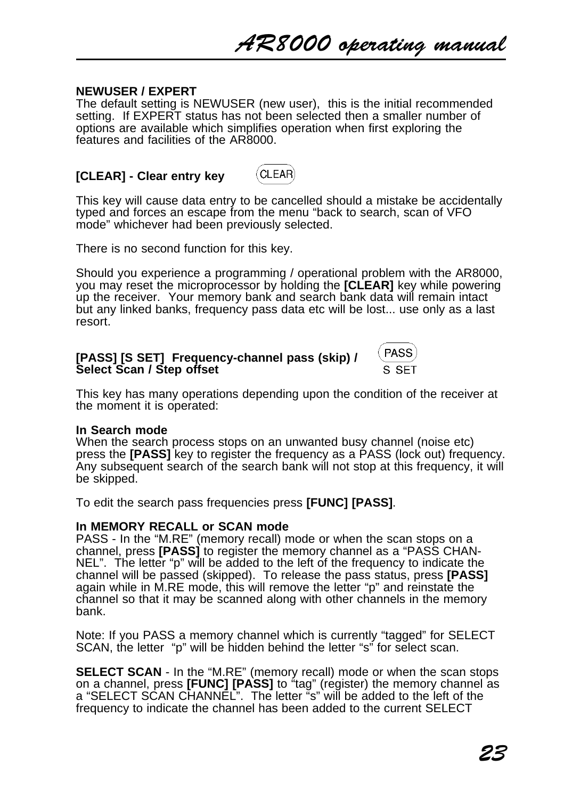### **NEWUSER / EXPERT**

The default setting is NEWUSER (new user), this is the initial recommended setting. If EXPERT status has not been selected then a smaller number of options are available which simplifies operation when first exploring the features and facilities of the AR8000.

#### CLEAR) **[CLEAR] - Clear entry key**

This key will cause data entry to be cancelled should a mistake be accidentally typed and forces an escape from the menu "back to search, scan of VFO mode" whichever had been previously selected.

There is no second function for this key.

Should you experience a programming / operational problem with the AR8000, you may reset the microprocessor by holding the **[CLEAR]** key while powering up the receiver. Your memory bank and search bank data will remain intact but any linked banks, frequency pass data etc will be lost... use only as a last resort.

| [PASS] [S SET] Frequency-channel pass (skip) / | PASS) |
|------------------------------------------------|-------|
| Select Scan / Step offset                      | S SET |

This key has many operations depending upon the condition of the receiver at the moment it is operated:

### **In Search mode**

When the search process stops on an unwanted busy channel (noise etc) press the **[PASS]** key to register the frequency as a PASS (lock out) frequency. Any subsequent search of the search bank will not stop at this frequency, it will be skipped.

To edit the search pass frequencies press **[FUNC] [PASS]**.

### **In MEMORY RECALL or SCAN mode**

PASS - In the "M.RE" (memory recall) mode or when the scan stops on a channel, press **[PASS]** to register the memory channel as a "PASS CHAN-NEL". The letter "p" will be added to the left of the frequency to indicate the channel will be passed (skipped). To release the pass status, press **[PASS]** again while in M.RE mode, this will remove the letter "p" and reinstate the channel so that it may be scanned along with other channels in the memory bank.

Note: If you PASS a memory channel which is currently "tagged" for SELECT SCAN, the letter "p" will be hidden behind the letter "s" for select scan.

**SELECT SCAN** - In the "M.RE" (memory recall) mode or when the scan stops on a channel, press **[FUNC] [PASS]** to "tag" (register) the memory channel as a "SELECT SCAN CHANNEL". The letter "s" will be added to the left of the frequency to indicate the channel has been added to the current SELECT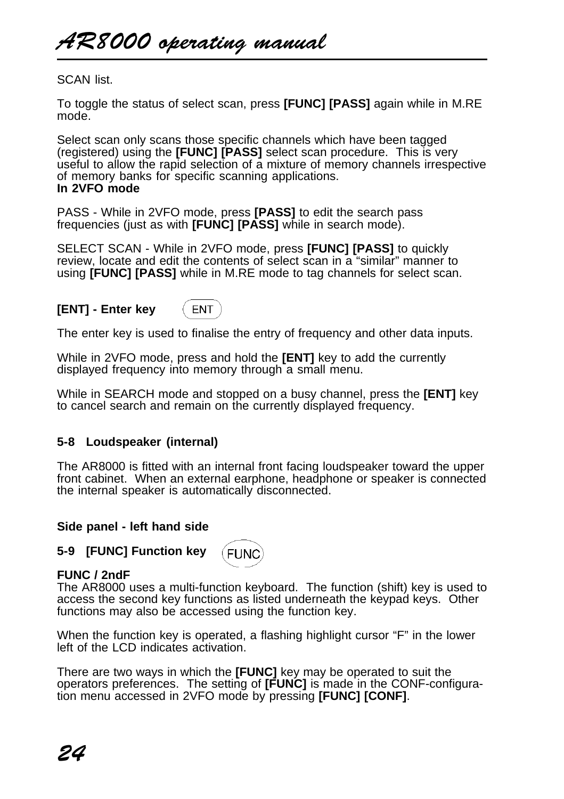AR8000 operating manual

SCAN list.

To toggle the status of select scan, press **[FUNC] [PASS]** again while in M.RE mode.

Select scan only scans those specific channels which have been tagged (registered) using the **[FUNC] [PASS]** select scan procedure. This is very useful to allow the rapid selection of a mixture of memory channels irrespective of memory banks for specific scanning applications. **In 2VFO mode**

PASS - While in 2VFO mode, press **[PASS]** to edit the search pass frequencies (just as with **[FUNC] [PASS]** while in search mode).

SELECT SCAN - While in 2VFO mode, press **[FUNC] [PASS]** to quickly review, locate and edit the contents of select scan in a "similar" manner to using **[FUNC] [PASS]** while in M.RE mode to tag channels for select scan.

### **[ENT] - Enter key**

**FNT** 

The enter key is used to finalise the entry of frequency and other data inputs.

While in 2VFO mode, press and hold the **[ENT]** key to add the currently displayed frequency into memory through a small menu.

While in SEARCH mode and stopped on a busy channel, press the **[ENT]** key to cancel search and remain on the currently displayed frequency.

### **5-8 Loudspeaker (internal)**

The AR8000 is fitted with an internal front facing loudspeaker toward the upper front cabinet. When an external earphone, headphone or speaker is connected the internal speaker is automatically disconnected.

#### **Side panel - left hand side**



(FUNC

### **FUNC / 2ndF**

The AR8000 uses a multi-function keyboard. The function (shift) key is used to access the second key functions as listed underneath the keypad keys. Other functions may also be accessed using the function key.

When the function key is operated, a flashing highlight cursor "F" in the lower left of the LCD indicates activation.

There are two ways in which the **[FUNC]** key may be operated to suit the operators preferences. The setting of **[FUNC]** is made in the CONF-configuration menu accessed in 2VFO mode by pressing **[FUNC] [CONF]**.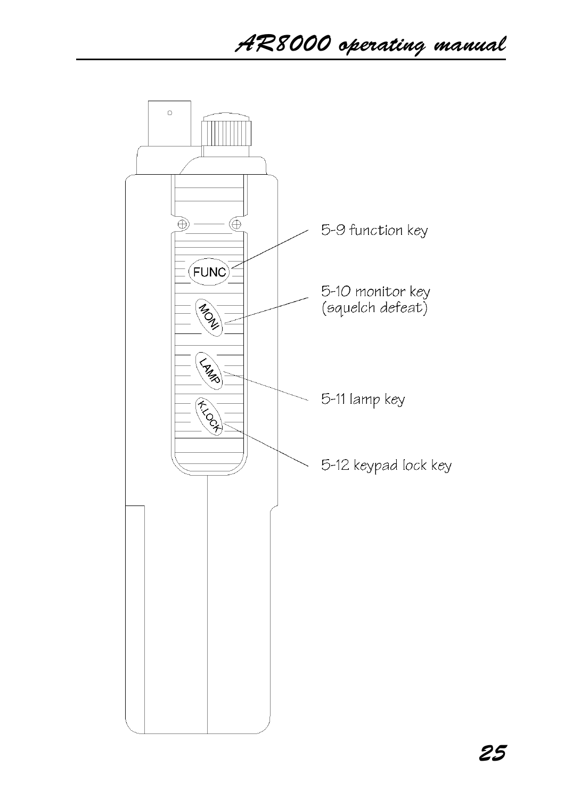# AR8000 operating manual

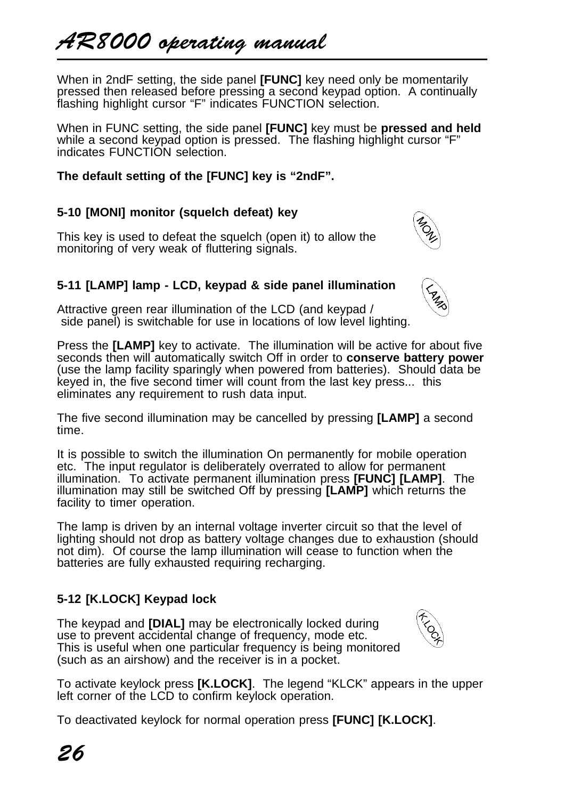When in 2ndF setting, the side panel **[FUNC]** key need only be momentarily pressed then released before pressing a second keypad option. A continually flashing highlight cursor "F" indicates FUNCTION selection.

When in FUNC setting, the side panel **[FUNC]** key must be **pressed and held** while a second keypad option is pressed. The flashing highlight cursor "F" indicates FUNCTION selection.

# **The default setting of the [FUNC] key is "2ndF".**

# **5-10 [MONI] monitor (squelch defeat) key**

This key is used to defeat the squelch (open it) to allow the monitoring of very weak of fluttering signals.

# **5-11 [LAMP] lamp - LCD, keypad & side panel illumination**

Attractive green rear illumination of the LCD (and keypad / side panel) is switchable for use in locations of low level lighting.

Press the **[LAMP]** key to activate. The illumination will be active for about five seconds then will automatically switch Off in order to **conserve battery power** (use the lamp facility sparingly when powered from batteries). Should data be keyed in, the five second timer will count from the last key press... this eliminates any requirement to rush data input.

The five second illumination may be cancelled by pressing **[LAMP]** a second time.

It is possible to switch the illumination On permanently for mobile operation etc. The input regulator is deliberately overrated to allow for permanent illumination. To activate permanent illumination press **[FUNC] [LAMP]**. The illumination may still be switched Off by pressing **[LAMP]** which returns the facility to timer operation.

The lamp is driven by an internal voltage inverter circuit so that the level of lighting should not drop as battery voltage changes due to exhaustion (should not dim). Of course the lamp illumination will cease to function when the batteries are fully exhausted requiring recharging.

# **5-12 [K.LOCK] Keypad lock**

The keypad and **[DIAL]** may be electronically locked during use to prevent accidental change of frequency, mode etc. This is useful when one particular frequency is being monitored (such as an airshow) and the receiver is in a pocket.



To activate keylock press **[K.LOCK]**. The legend "KLCK" appears in the upper left corner of the LCD to confirm keylock operation.

To deactivated keylock for normal operation press **[FUNC] [K.LOCK]**.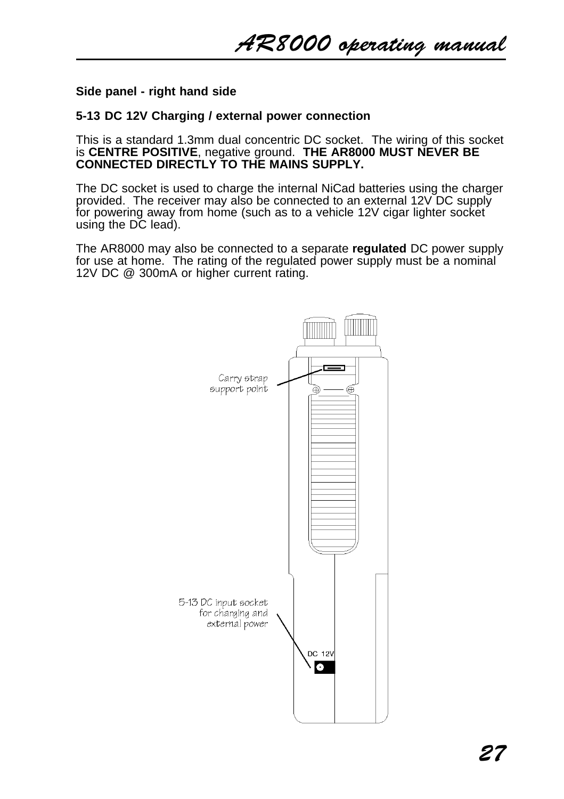AR8000 operating manual

### **Side panel - right hand side**

### **5-13 DC 12V Charging / external power connection**

This is a standard 1.3mm dual concentric DC socket. The wiring of this socket is **CENTRE POSITIVE**, negative ground. **THE AR8000 MUST NEVER BE CONNECTED DIRECTLY TO THE MAINS SUPPLY.**

The DC socket is used to charge the internal NiCad batteries using the charger provided. The receiver may also be connected to an external 12V DC supply for powering away from home (such as to a vehicle 12V cigar lighter socket using the DC lead).

The AR8000 may also be connected to a separate **regulated** DC power supply for use at home. The rating of the regulated power supply must be a nominal 12V DC @ 300mA or higher current rating.

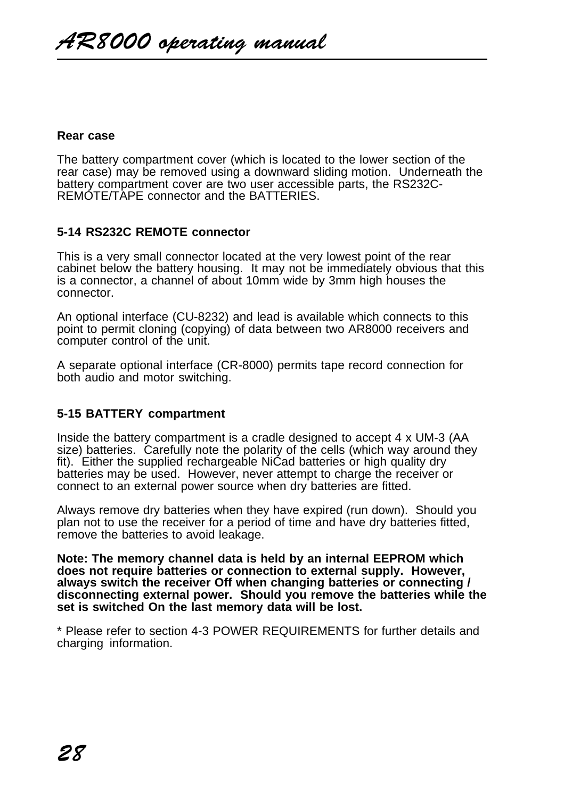#### **Rear case**

The battery compartment cover (which is located to the lower section of the rear case) may be removed using a downward sliding motion. Underneath the battery compartment cover are two user accessible parts, the RS232C-REMOTE/TAPE connector and the BATTERIES.

### **5-14 RS232C REMOTE connector**

This is a very small connector located at the very lowest point of the rear cabinet below the battery housing. It may not be immediately obvious that this is a connector, a channel of about 10mm wide by 3mm high houses the connector.

An optional interface (CU-8232) and lead is available which connects to this point to permit cloning (copying) of data between two AR8000 receivers and computer control of the unit.

A separate optional interface (CR-8000) permits tape record connection for both audio and motor switching.

### **5-15 BATTERY compartment**

Inside the battery compartment is a cradle designed to accept 4 x UM-3 (AA size) batteries. Carefully note the polarity of the cells (which way around they fit). Either the supplied rechargeable NiCad batteries or high quality dry batteries may be used. However, never attempt to charge the receiver or connect to an external power source when dry batteries are fitted.

Always remove dry batteries when they have expired (run down). Should you plan not to use the receiver for a period of time and have dry batteries fitted, remove the batteries to avoid leakage.

**Note: The memory channel data is held by an internal EEPROM which does not require batteries or connection to external supply. However, always switch the receiver Off when changing batteries or connecting / disconnecting external power. Should you remove the batteries while the set is switched On the last memory data will be lost.**

\* Please refer to section 4-3 POWER REQUIREMENTS for further details and charging information.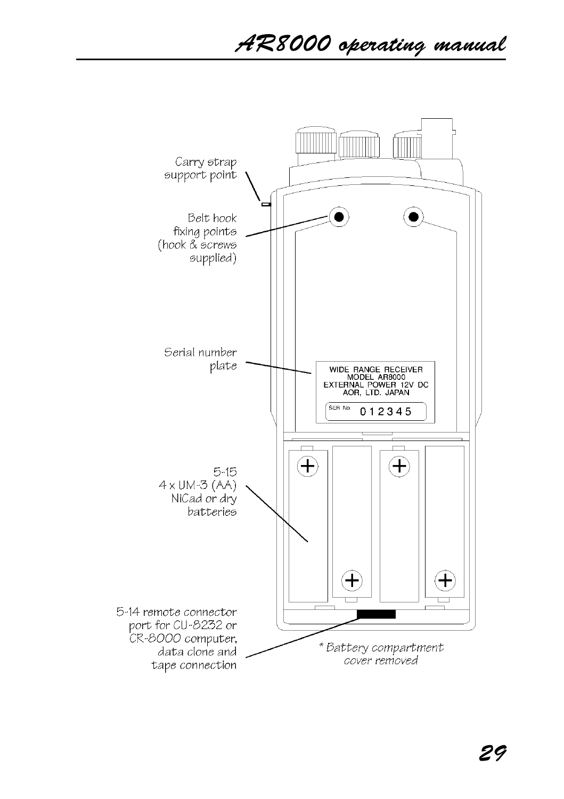AR8000 operating manual

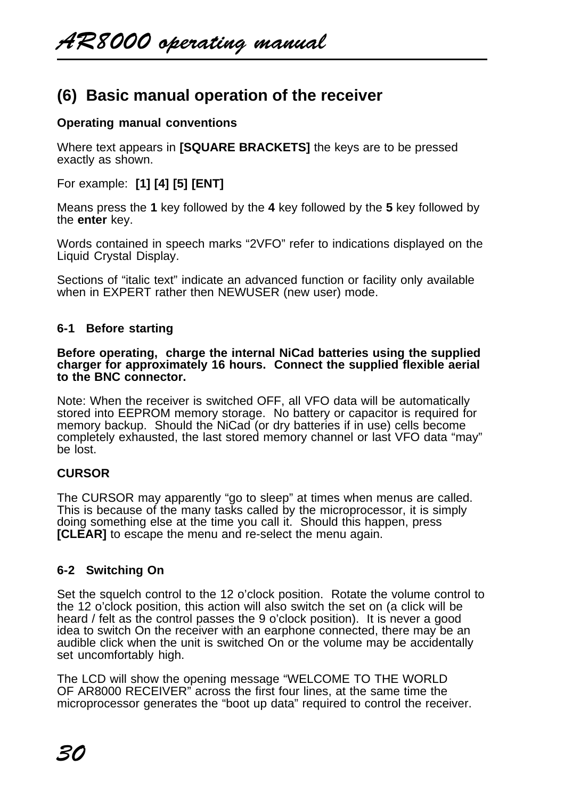# **(6) Basic manual operation of the receiver**

# **Operating manual conventions**

Where text appears in **[SQUARE BRACKETS]** the keys are to be pressed exactly as shown.

For example: **[1] [4] [5] [ENT]**

Means press the **1** key followed by the **4** key followed by the **5** key followed by the **enter** key.

Words contained in speech marks "2VFO" refer to indications displayed on the Liquid Crystal Display.

Sections of "italic text" indicate an advanced function or facility only available when in EXPERT rather then NEWUSER (new user) mode.

### **6-1 Before starting**

#### **Before operating, charge the internal NiCad batteries using the supplied charger for approximately 16 hours. Connect the supplied flexible aerial to the BNC connector.**

Note: When the receiver is switched OFF, all VFO data will be automatically stored into EEPROM memory storage. No battery or capacitor is required for memory backup. Should the NiCad (or dry batteries if in use) cells become completely exhausted, the last stored memory channel or last VFO data "may" be lost.

### **CURSOR**

The CURSOR may apparently "go to sleep" at times when menus are called. This is because of the many tasks called by the microprocessor, it is simply doing something else at the time you call it. Should this happen, press **ICLEARI** to escape the menu and re-select the menu again.

### **6-2 Switching On**

Set the squelch control to the 12 o'clock position. Rotate the volume control to the 12 o'clock position, this action will also switch the set on (a click will be heard / felt as the control passes the 9 o'clock position). It is never a good idea to switch On the receiver with an earphone connected, there may be an audible click when the unit is switched On or the volume may be accidentally set uncomfortably high.

The LCD will show the opening message "WELCOME TO THE WORLD OF AR8000 RECEIVER" across the first four lines, at the same time the microprocessor generates the "boot up data" required to control the receiver.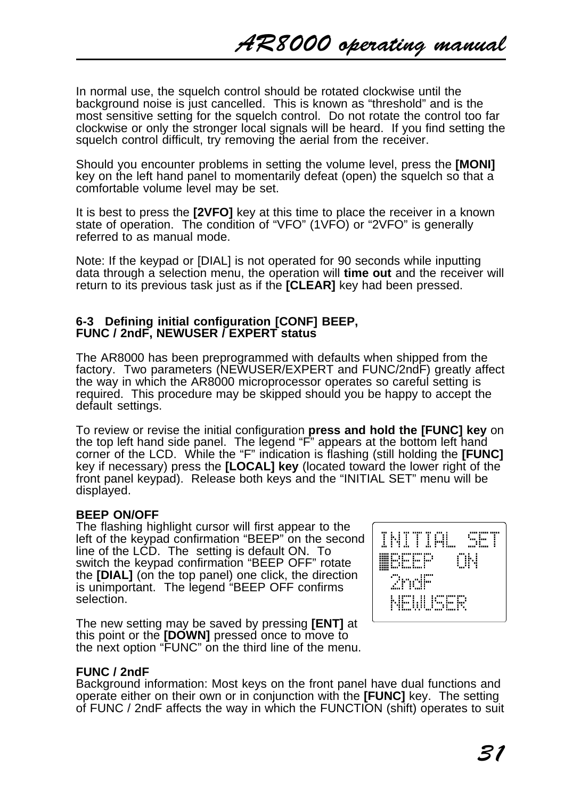In normal use, the squelch control should be rotated clockwise until the background noise is just cancelled. This is known as "threshold" and is the most sensitive setting for the squelch control. Do not rotate the control too far clockwise or only the stronger local signals will be heard. If you find setting the squelch control difficult, try removing the aerial from the receiver.

Should you encounter problems in setting the volume level, press the **[MONI]** key on the left hand panel to momentarily defeat (open) the squelch so that a comfortable volume level may be set.

It is best to press the **[2VFO]** key at this time to place the receiver in a known state of operation. The condition of "VFO" (1VFO) or "2VFO" is generally referred to as manual mode.

Note: If the keypad or [DIAL] is not operated for 90 seconds while inputting data through a selection menu, the operation will **time out** and the receiver will return to its previous task just as if the **[CLEAR]** key had been pressed.

### **6-3 Defining initial configuration [CONF] BEEP, FUNC / 2ndF, NEWUSER / EXPERT status**

The AR8000 has been preprogrammed with defaults when shipped from the factory. Two parameters (NEWUSER/EXPERT and FUNC/2ndF) greatly affect the way in which the AR8000 microprocessor operates so careful setting is required. This procedure may be skipped should you be happy to accept the default settings.

To review or revise the initial configuration **press and hold the [FUNC] key** on the top left hand side panel. The legend "F" appears at the bottom left hand corner of the LCD. While the "F" indication is flashing (still holding the **[FUNC]** key if necessary) press the **[LOCAL] key** (located toward the lower right of the front panel keypad). Release both keys and the "INITIAL SET" menu will be displayed.

### **BEEP ON/OFF**

The flashing highlight cursor will first appear to the left of the keypad confirmation "BEEP" on the second line of the LCD. The setting is default ON. To switch the keypad confirmation "BEEP OFF" rotate the **[DIAL]** (on the top panel) one click, the direction is unimportant. The legend "BEEP OFF confirms selection.

The new setting may be saved by pressing **[ENT]** at this point or the **[DOWN]** pressed once to move to the next option "FUNC" on the third line of the menu.



### **FUNC / 2ndF**

Background information: Most keys on the front panel have dual functions and operate either on their own or in conjunction with the **[FUNC]** key. The setting of FUNC / 2ndF affects the way in which the FUNCTION (shift) operates to suit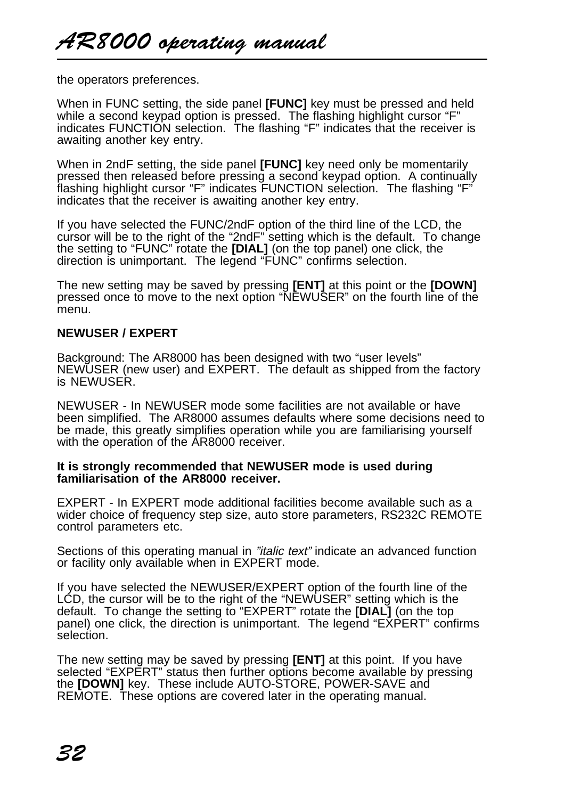the operators preferences.

When in FUNC setting, the side panel **[FUNC]** key must be pressed and held while a second keypad option is pressed. The flashing highlight cursor "F" indicates FUNCTION selection. The flashing "F" indicates that the receiver is awaiting another key entry.

When in 2ndF setting, the side panel **[FUNC]** key need only be momentarily pressed then released before pressing a second keypad option. A continually flashing highlight cursor "F" indicates FUNCTION selection. The flashing "F" indicates that the receiver is awaiting another key entry.

If you have selected the FUNC/2ndF option of the third line of the LCD, the cursor will be to the right of the "2ndF" setting which is the default. To change the setting to "FUNC" rotate the **[DIAL]** (on the top panel) one click, the direction is unimportant. The legend "FUNC" confirms selection.

The new setting may be saved by pressing **[ENT]** at this point or the **[DOWN]** pressed once to move to the next option "NEWUSER" on the fourth line of the menu.

### **NEWUSER / EXPERT**

Background: The AR8000 has been designed with two "user levels" NEWUSER (new user) and EXPERT. The default as shipped from the factory is NEWUSER.

NEWUSER - In NEWUSER mode some facilities are not available or have been simplified. The AR8000 assumes defaults where some decisions need to be made, this greatly simplifies operation while you are familiarising yourself with the operation of the AR8000 receiver.

#### **It is strongly recommended that NEWUSER mode is used during familiarisation of the AR8000 receiver.**

EXPERT - In EXPERT mode additional facilities become available such as a wider choice of frequency step size, auto store parameters, RS232C REMOTE control parameters etc.

Sections of this operating manual in "italic text" indicate an advanced function or facility only available when in EXPERT mode.

If you have selected the NEWUSER/EXPERT option of the fourth line of the LCD, the cursor will be to the right of the "NEWUSER" setting which is the default. To change the setting to "EXPERT" rotate the **[DIAL]** (on the top panel) one click, the direction is unimportant. The legend "EXPERT" confirms selection.

The new setting may be saved by pressing **[ENT]** at this point. If you have selected "EXPERT" status then further options become available by pressing the **[DOWN]** key. These include AUTO-STORE, POWER-SAVE and REMOTE. These options are covered later in the operating manual.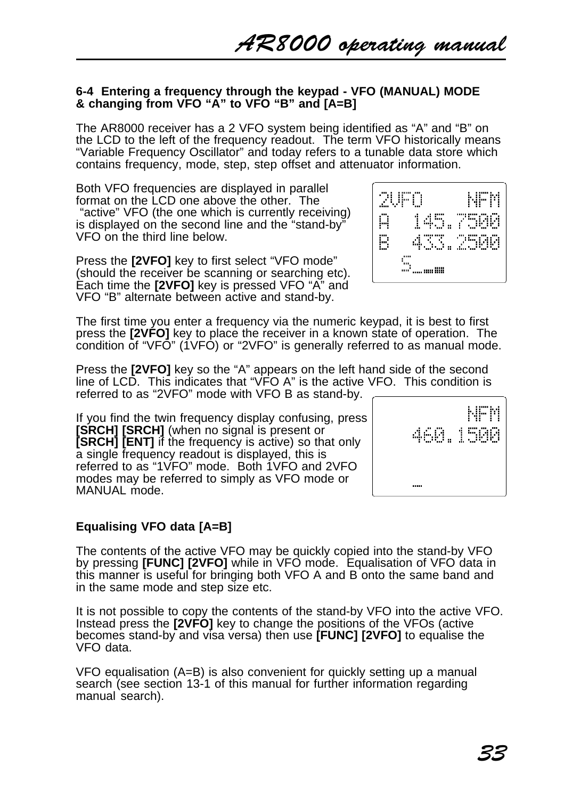### **6-4 Entering a frequency through the keypad - VFO (MANUAL) MODE & changing from VFO "A" to VFO "B" and [A=B]**

The AR8000 receiver has a 2 VFO system being identified as "A" and "B" on the LCD to the left of the frequency readout. The term VFO historically means "Variable Frequency Oscillator" and today refers to a tunable data store which contains frequency, mode, step, step offset and attenuator information.

Both VFO frequencies are displayed in parallel format on the LCD one above the other. The "active" VFO (the one which is currently receiving) is displayed on the second line and the "stand-by" VFO on the third line below.

Press the **[2VFO]** key to first select "VFO mode" (should the receiver be scanning or searching etc). Each time the **[2VFO]** key is pressed VFO "A" and VFO "B" alternate between active and stand-by.



The first time you enter a frequency via the numeric keypad, it is best to first press the **[2VFO]** key to place the receiver in a known state of operation. The condition of "VFO" (1VFO) or "2VFO" is generally referred to as manual mode.

Press the **[2VFO]** key so the "A" appears on the left hand side of the second line of LCD. This indicates that "VFO A" is the active VFO. This condition is referred to as "2VFO" mode with VFO B as stand-by.

If you find the twin frequency display confusing, press **[SRCH] [SRCH]** (when no signal is present or **[SRCH] [ENT]** if the frequency is active) so that only a single frequency readout is displayed, this is referred to as "1VFO" mode. Both 1VFO and 2VFO modes may be referred to simply as VFO mode or MANUAL mode.

### **Equalising VFO data [A=B]**

The contents of the active VFO may be quickly copied into the stand-by VFO by pressing **[FUNC] [2VFO]** while in VFO mode. Equalisation of VFO data in this manner is useful for bringing both VFO A and B onto the same band and in the same mode and step size etc.

It is not possible to copy the contents of the stand-by VFO into the active VFO. Instead press the **[2VFO]** key to change the positions of the VFOs (active becomes stand-by and visa versa) then use **[FUNC] [2VFO]** to equalise the VFO data.

VFO equalisation (A=B) is also convenient for quickly setting up a manual search (see section 13-1 of this manual for further information regarding manual search).

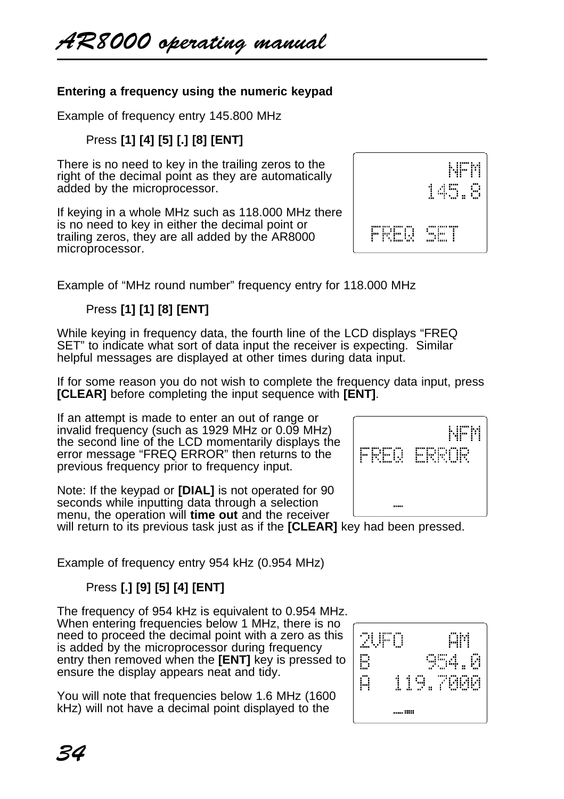# **Entering a frequency using the numeric keypad**

Example of frequency entry 145.800 MHz

# Press **[1] [4] [5] [.] [8] [ENT]**

There is no need to key in the trailing zeros to the right of the decimal point as they are automatically added by the microprocessor.

If keying in a whole MHz such as 118.000 MHz there is no need to key in either the decimal point or trailing zeros, they are all added by the AR8000 microprocessor.

Example of "MHz round number" frequency entry for 118.000 MHz

# Press **[1] [1] [8] [ENT]**

While keying in frequency data, the fourth line of the LCD displays "FREQ SET" to indicate what sort of data input the receiver is expecting. Similar helpful messages are displayed at other times during data input.

If for some reason you do not wish to complete the frequency data input, press **[CLEAR]** before completing the input sequence with **[ENT]**.

If an attempt is made to enter an out of range or invalid frequency (such as 1929 MHz or 0.09 MHz) the second line of the LCD momentarily displays the error message "FREQ ERROR" then returns to the previous frequency prior to frequency input.

Note: If the keypad or **[DIAL]** is not operated for 90 seconds while inputting data through a selection menu, the operation will **time out** and the receiver will return to its previous task just as if the **[CLEAR]** key had been pressed.

Example of frequency entry 954 kHz (0.954 MHz)

# Press **[.] [9] [5] [4] [ENT]**

The frequency of 954 kHz is equivalent to 0.954 MHz. When entering frequencies below 1 MHz, there is no need to proceed the decimal point with a zero as this is added by the microprocessor during frequency entry then removed when the **[ENT]** key is pressed to ensure the display appears neat and tidy.

You will note that frequencies below 1.6 MHz (1600 kHz) will not have a decimal point displayed to the





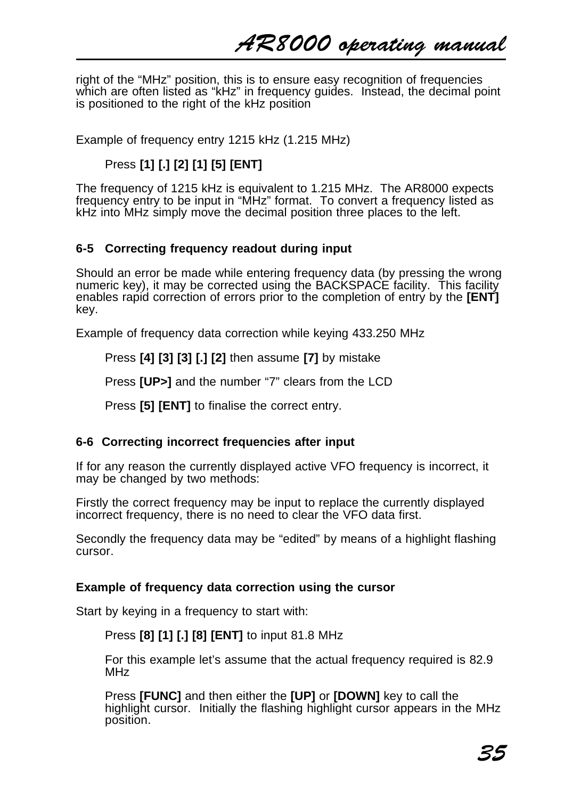AR8000 operating manual

right of the "MHz" position, this is to ensure easy recognition of frequencies which are often listed as "kHz" in frequency guides. Instead, the decimal point is positioned to the right of the kHz position

Example of frequency entry 1215 kHz (1.215 MHz)

# Press **[1] [.] [2] [1] [5] [ENT]**

The frequency of 1215 kHz is equivalent to 1.215 MHz. The AR8000 expects frequency entry to be input in "MHz" format. To convert a frequency listed as kHz into MHz simply move the decimal position three places to the left.

### **6-5 Correcting frequency readout during input**

Should an error be made while entering frequency data (by pressing the wrong numeric key), it may be corrected using the BACKSPACE facility. This facility enables rapid correction of errors prior to the completion of entry by the **[ENT]** key.

Example of frequency data correction while keying 433.250 MHz

Press **[4] [3] [3] [.] [2]** then assume **[7]** by mistake

Press **[UP>]** and the number "7" clears from the LCD

Press **[5] [ENT]** to finalise the correct entry.

### **6-6 Correcting incorrect frequencies after input**

If for any reason the currently displayed active VFO frequency is incorrect, it may be changed by two methods:

Firstly the correct frequency may be input to replace the currently displayed incorrect frequency, there is no need to clear the VFO data first.

Secondly the frequency data may be "edited" by means of a highlight flashing cursor.

### **Example of frequency data correction using the cursor**

Start by keying in a frequency to start with:

### Press **[8] [1] [.] [8] [ENT]** to input 81.8 MHz

For this example let's assume that the actual frequency required is 82.9 MH<sub>z</sub>

Press **[FUNC]** and then either the **[UP]** or **[DOWN]** key to call the highlight cursor. Initially the flashing highlight cursor appears in the MHz position.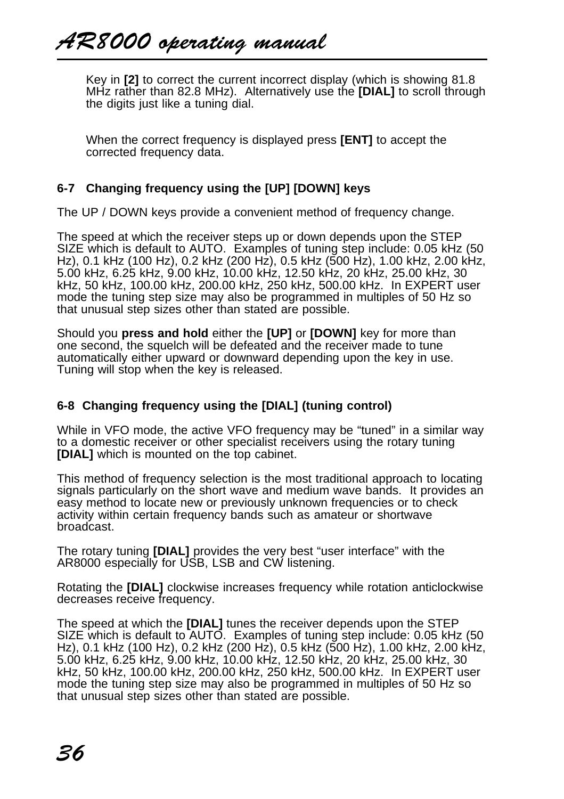Key in **[2]** to correct the current incorrect display (which is showing 81.8 MHz rather than 82.8 MHz). Alternatively use the **[DIAL]** to scroll through the digits just like a tuning dial.

When the correct frequency is displayed press **[ENT]** to accept the corrected frequency data.

# **6-7 Changing frequency using the [UP] [DOWN] keys**

The UP / DOWN keys provide a convenient method of frequency change.

The speed at which the receiver steps up or down depends upon the STEP SIZE which is default to AUTO. Examples of tuning step include: 0.05 kHz (50 Hz), 0.1 kHz (100 Hz), 0.2 kHz (200 Hz), 0.5 kHz (500 Hz), 1.00 kHz, 2.00 kHz, 5.00 kHz, 6.25 kHz, 9.00 kHz, 10.00 kHz, 12.50 kHz, 20 kHz, 25.00 kHz, 30 kHz, 50 kHz, 100.00 kHz, 200.00 kHz, 250 kHz, 500.00 kHz. In EXPERT user mode the tuning step size may also be programmed in multiples of 50 Hz so that unusual step sizes other than stated are possible.

Should you **press and hold** either the **[UP]** or **[DOWN]** key for more than one second, the squelch will be defeated and the receiver made to tune automatically either upward or downward depending upon the key in use. Tuning will stop when the key is released.

# **6-8 Changing frequency using the [DIAL] (tuning control)**

While in VFO mode, the active VFO frequency may be "tuned" in a similar way to a domestic receiver or other specialist receivers using the rotary tuning **[DIAL]** which is mounted on the top cabinet.

This method of frequency selection is the most traditional approach to locating signals particularly on the short wave and medium wave bands. It provides an easy method to locate new or previously unknown frequencies or to check activity within certain frequency bands such as amateur or shortwave broadcast.

The rotary tuning **[DIAL]** provides the very best "user interface" with the AR8000 especially for USB, LSB and CW listening.

Rotating the **[DIAL]** clockwise increases frequency while rotation anticlockwise decreases receive frequency.

The speed at which the **[DIAL]** tunes the receiver depends upon the STEP SIZE which is default to AUTO. Examples of tuning step include: 0.05 kHz (50 Hz), 0.1 kHz (100 Hz), 0.2 kHz (200 Hz), 0.5 kHz (500 Hz), 1.00 kHz, 2.00 kHz, 5.00 kHz, 6.25 kHz, 9.00 kHz, 10.00 kHz, 12.50 kHz, 20 kHz, 25.00 kHz, 30 kHz, 50 kHz, 100.00 kHz, 200.00 kHz, 250 kHz, 500.00 kHz. In EXPERT user mode the tuning step size may also be programmed in multiples of 50 Hz so that unusual step sizes other than stated are possible.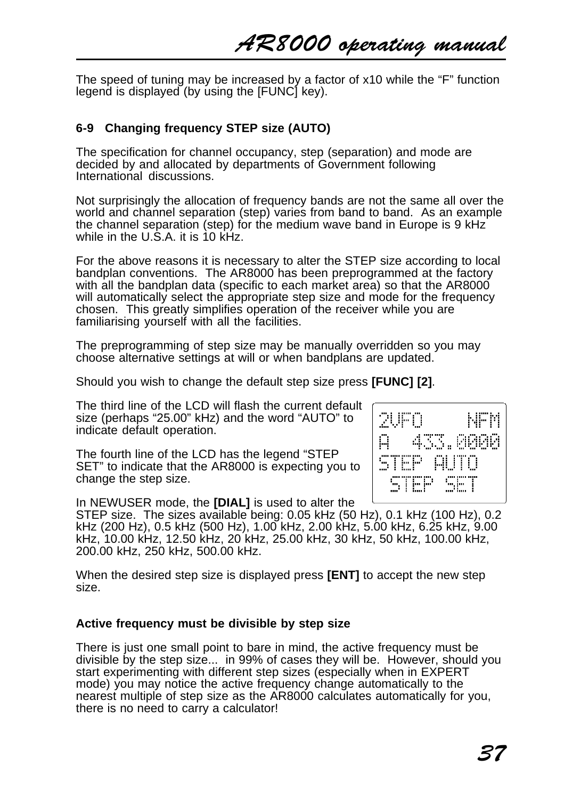2UFD

STEP STEP

433.AAAA

te le di

А

The speed of tuning may be increased by a factor of x10 while the "F" function legend is displayed (by using the [FUNC] key).

# **6-9 Changing frequency STEP size (AUTO)**

The specification for channel occupancy, step (separation) and mode are decided by and allocated by departments of Government following International discussions.

Not surprisingly the allocation of frequency bands are not the same all over the world and channel separation (step) varies from band to band. As an example the channel separation (step) for the medium wave band in Europe is 9 kHz while in the U.S.A. it is  $10 \text{ kHz}$ .

For the above reasons it is necessary to alter the STEP size according to local bandplan conventions. The AR8000 has been preprogrammed at the factory with all the bandplan data (specific to each market area) so that the AR8000 will automatically select the appropriate step size and mode for the frequency chosen. This greatly simplifies operation of the receiver while you are familiarising yourself with all the facilities.

The preprogramming of step size may be manually overridden so you may choose alternative settings at will or when bandplans are updated.

Should you wish to change the default step size press **[FUNC] [2]**.

The third line of the LCD will flash the current default size (perhaps "25.00" kHz) and the word "AUTO" to indicate default operation.

The fourth line of the LCD has the legend "STEP SET" to indicate that the AR8000 is expecting you to change the step size.

In NEWUSER mode, the **[DIAL]** is used to alter the

STEP size. The sizes available being: 0.05 kHz (50 Hz), 0.1 kHz (100 Hz), 0.2 kHz (200 Hz), 0.5 kHz (500 Hz), 1.00 kHz, 2.00 kHz, 5.00 kHz, 6.25 kHz, 9.00 kHz, 10.00 kHz, 12.50 kHz, 20 kHz, 25.00 kHz, 30 kHz, 50 kHz, 100.00 kHz, 200.00 kHz, 250 kHz, 500.00 kHz.

When the desired step size is displayed press **[ENT]** to accept the new step size.

## **Active frequency must be divisible by step size**

There is just one small point to bare in mind, the active frequency must be divisible by the step size... in 99% of cases they will be. However, should you start experimenting with different step sizes (especially when in EXPERT mode) you may notice the active frequency change automatically to the nearest multiple of step size as the AR8000 calculates automatically for you, there is no need to carry a calculator!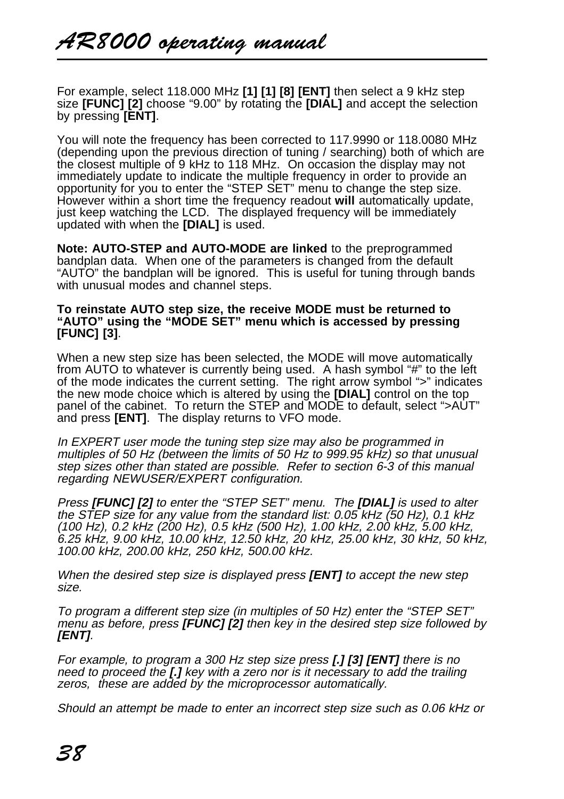For example, select 118.000 MHz **[1] [1] [8] [ENT]** then select a 9 kHz step size **[FUNC] [2]** choose "9.00" by rotating the **[DIAL]** and accept the selection by pressing **[ENT]**.

You will note the frequency has been corrected to 117.9990 or 118.0080 MHz (depending upon the previous direction of tuning / searching) both of which are the closest multiple of 9 kHz to 118 MHz. On occasion the display may not immediately update to indicate the multiple frequency in order to provide an opportunity for you to enter the "STEP SET" menu to change the step size. However within a short time the frequency readout **will** automatically update, just keep watching the LCD. The displayed frequency will be immediately updated with when the **[DIAL]** is used.

**Note: AUTO-STEP and AUTO-MODE are linked** to the preprogrammed bandplan data. When one of the parameters is changed from the default "AUTO" the bandplan will be ignored. This is useful for tuning through bands with unusual modes and channel steps.

#### **To reinstate AUTO step size, the receive MODE must be returned to "AUTO" using the "MODE SET" menu which is accessed by pressing [FUNC] [3]**.

When a new step size has been selected, the MODE will move automatically from AUTO to whatever is currently being used. A hash symbol "#" to the left of the mode indicates the current setting. The right arrow symbol ">" indicates the new mode choice which is altered by using the **[DIAL]** control on the top panel of the cabinet. To return the STEP and MODE to default, select ">AUT" and press **[ENT]**. The display returns to VFO mode.

In EXPERT user mode the tuning step size may also be programmed in multiples of 50 Hz (between the limits of 50 Hz to 999.95 kHz) so that unusual step sizes other than stated are possible. Refer to section 6-3 of this manual regarding NEWUSER/EXPERT configuration.

Press **[FUNC] [2]** to enter the "STEP SET" menu. The **[DIAL]** is used to alter the STEP size for any value from the standard list: 0.05 kHz (50 Hz), 0.1 kHz (100 Hz), 0.2 kHz (200 Hz), 0.5 kHz (500 Hz), 1.00 kHz, 2.00 kHz, 5.00 kHz, 6.25 kHz, 9.00 kHz, 10.00 kHz, 12.50 kHz, 20 kHz, 25.00 kHz, 30 kHz, 50 kHz, 100.00 kHz, 200.00 kHz, 250 kHz, 500.00 kHz.

When the desired step size is displayed press **[ENT]** to accept the new step size.

To program a different step size (in multiples of 50 Hz) enter the "STEP SET" menu as before, press **[FUNC] [2]** then key in the desired step size followed by **[ENT]**.

For example, to program a 300 Hz step size press **[.] [3] [ENT]** there is no need to proceed the **[.]** key with a zero nor is it necessary to add the trailing zeros, these are added by the microprocessor automatically.

Should an attempt be made to enter an incorrect step size such as 0.06 kHz or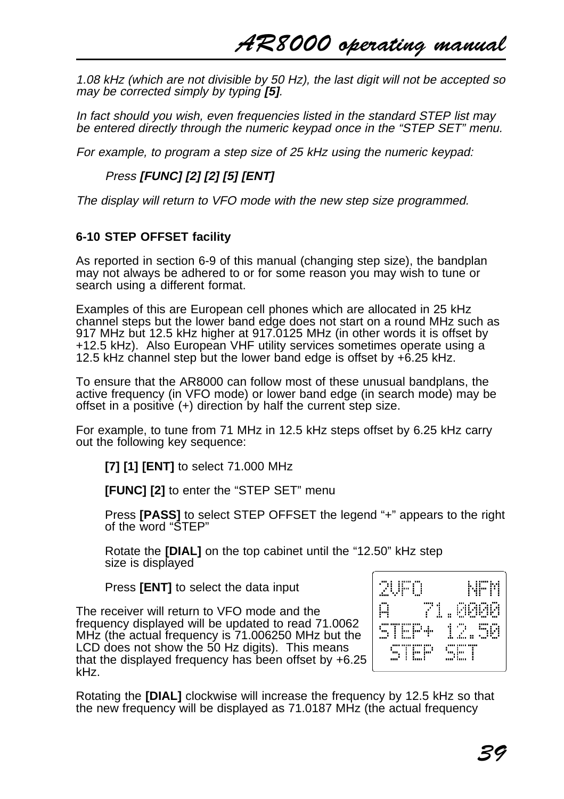1.08 kHz (which are not divisible by 50 Hz), the last digit will not be accepted so may be corrected simply by typing **[5]**.

In fact should you wish, even frequencies listed in the standard STEP list may be entered directly through the numeric keypad once in the "STEP SET" menu.

For example, to program a step size of 25 kHz using the numeric keypad:

# Press **[FUNC] [2] [2] [5] [ENT]**

The display will return to VFO mode with the new step size programmed.

# **6-10 STEP OFFSET facility**

As reported in section 6-9 of this manual (changing step size), the bandplan may not always be adhered to or for some reason you may wish to tune or search using a different format.

Examples of this are European cell phones which are allocated in 25 kHz channel steps but the lower band edge does not start on a round MHz such as 917 MHz but 12.5 kHz higher at 917.0125 MHz (in other words it is offset by +12.5 kHz). Also European VHF utility services sometimes operate using a 12.5 kHz channel step but the lower band edge is offset by +6.25 kHz.

To ensure that the AR8000 can follow most of these unusual bandplans, the active frequency (in VFO mode) or lower band edge (in search mode) may be offset in a positive (+) direction by half the current step size.

For example, to tune from 71 MHz in 12.5 kHz steps offset by 6.25 kHz carry out the following key sequence:

**[7] [1] [ENT]** to select 71.000 MHz

**[FUNC] [2]** to enter the "STEP SET" menu

Press **[PASS]** to select STEP OFFSET the legend "+" appears to the right of the word "STEP"

Rotate the **[DIAL]** on the top cabinet until the "12.50" kHz step size is displayed

Press **[ENT]** to select the data input

The receiver will return to VFO mode and the frequency displayed will be updated to read 71.0062 MHz (the actual frequency is 71.006250 MHz but the LCD does not show the 50 Hz digits). This means that the displayed frequency has been offset by +6.25 kHz.



Rotating the **[DIAL]** clockwise will increase the frequency by 12.5 kHz so that the new frequency will be displayed as 71.0187 MHz (the actual frequency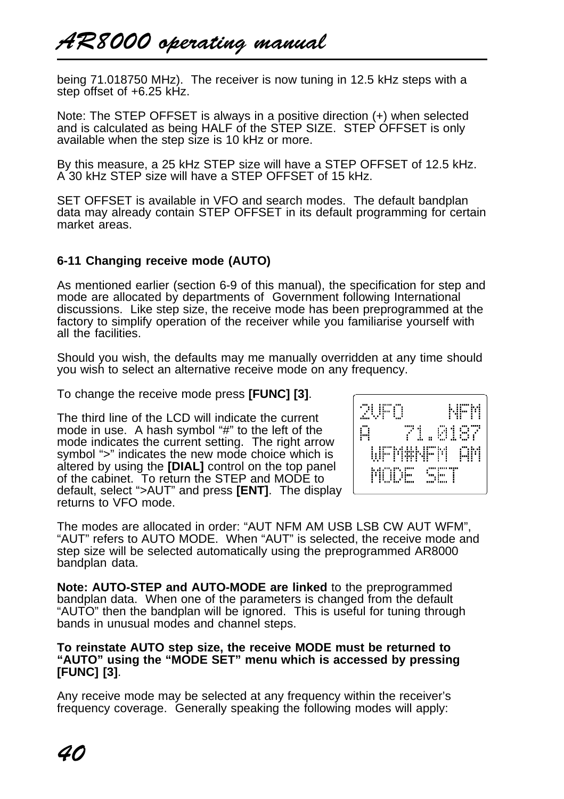being 71.018750 MHz). The receiver is now tuning in 12.5 kHz steps with a step offset of +6.25 kHz.

Note: The STEP OFFSET is always in a positive direction (+) when selected and is calculated as being HALF of the STEP SIZE. STEP OFFSET is only available when the step size is 10 kHz or more.

By this measure, a 25 kHz STEP size will have a STEP OFFSET of 12.5 kHz. A 30 kHz STEP size will have a STEP OFFSET of 15 kHz.

SET OFFSET is available in VFO and search modes. The default bandplan data may already contain STEP OFFSET in its default programming for certain market areas.

## **6-11 Changing receive mode (AUTO)**

As mentioned earlier (section 6-9 of this manual), the specification for step and mode are allocated by departments of Government following International discussions. Like step size, the receive mode has been preprogrammed at the factory to simplify operation of the receiver while you familiarise yourself with all the facilities.

Should you wish, the defaults may me manually overridden at any time should you wish to select an alternative receive mode on any frequency.

To change the receive mode press **[FUNC] [3]**.

The third line of the LCD will indicate the current mode in use. A hash symbol "#" to the left of the mode indicates the current setting. The right arrow symbol ">" indicates the new mode choice which is altered by using the **[DIAL]** control on the top panel of the cabinet. To return the STEP and MODE to default, select ">AUT" and press **[ENT]**. The display returns to VFO mode.



The modes are allocated in order: "AUT NFM AM USB LSB CW AUT WFM", "AUT" refers to AUTO MODE. When "AUT" is selected, the receive mode and step size will be selected automatically using the preprogrammed AR8000 bandplan data.

**Note: AUTO-STEP and AUTO-MODE are linked** to the preprogrammed bandplan data. When one of the parameters is changed from the default "AUTO" then the bandplan will be ignored. This is useful for tuning through bands in unusual modes and channel steps.

#### **To reinstate AUTO step size, the receive MODE must be returned to "AUTO" using the "MODE SET" menu which is accessed by pressing [FUNC] [3]**.

Any receive mode may be selected at any frequency within the receiver's frequency coverage. Generally speaking the following modes will apply: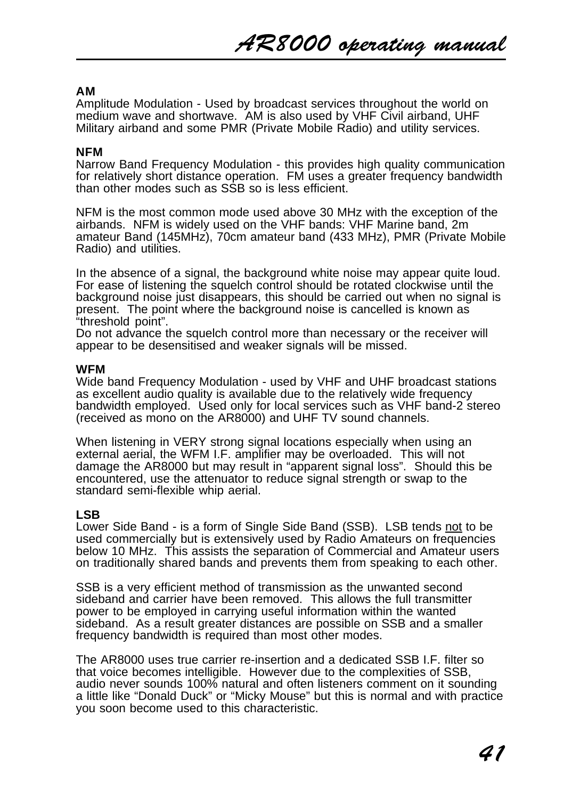## **AM**

Amplitude Modulation - Used by broadcast services throughout the world on medium wave and shortwave. AM is also used by VHF Civil airband, UHF Military airband and some PMR (Private Mobile Radio) and utility services.

#### **NFM**

Narrow Band Frequency Modulation - this provides high quality communication for relatively short distance operation. FM uses a greater frequency bandwidth than other modes such as SSB so is less efficient.

NFM is the most common mode used above 30 MHz with the exception of the airbands. NFM is widely used on the VHF bands: VHF Marine band, 2m amateur Band (145MHz), 70cm amateur band (433 MHz), PMR (Private Mobile Radio) and utilities.

In the absence of a signal, the background white noise may appear quite loud. For ease of listening the squelch control should be rotated clockwise until the background noise just disappears, this should be carried out when no signal is present. The point where the background noise is cancelled is known as "threshold point".

Do not advance the squelch control more than necessary or the receiver will appear to be desensitised and weaker signals will be missed.

#### **WFM**

Wide band Frequency Modulation - used by VHF and UHF broadcast stations as excellent audio quality is available due to the relatively wide frequency bandwidth employed. Used only for local services such as VHF band-2 stereo (received as mono on the AR8000) and UHF TV sound channels.

When listening in VERY strong signal locations especially when using an external aerial, the WFM I.F. amplifier may be overloaded. This will not damage the AR8000 but may result in "apparent signal loss". Should this be encountered, use the attenuator to reduce signal strength or swap to the standard semi-flexible whip aerial.

#### **LSB**

Lower Side Band - is a form of Single Side Band (SSB). LSB tends not to be used commercially but is extensively used by Radio Amateurs on frequencies below 10 MHz. This assists the separation of Commercial and Amateur users on traditionally shared bands and prevents them from speaking to each other.

SSB is a very efficient method of transmission as the unwanted second sideband and carrier have been removed. This allows the full transmitter power to be employed in carrying useful information within the wanted sideband. As a result greater distances are possible on SSB and a smaller frequency bandwidth is required than most other modes.

The AR8000 uses true carrier re-insertion and a dedicated SSB I.F. filter so that voice becomes intelligible. However due to the complexities of SSB, audio never sounds 100% natural and often listeners comment on it sounding a little like "Donald Duck" or "Micky Mouse" but this is normal and with practice you soon become used to this characteristic.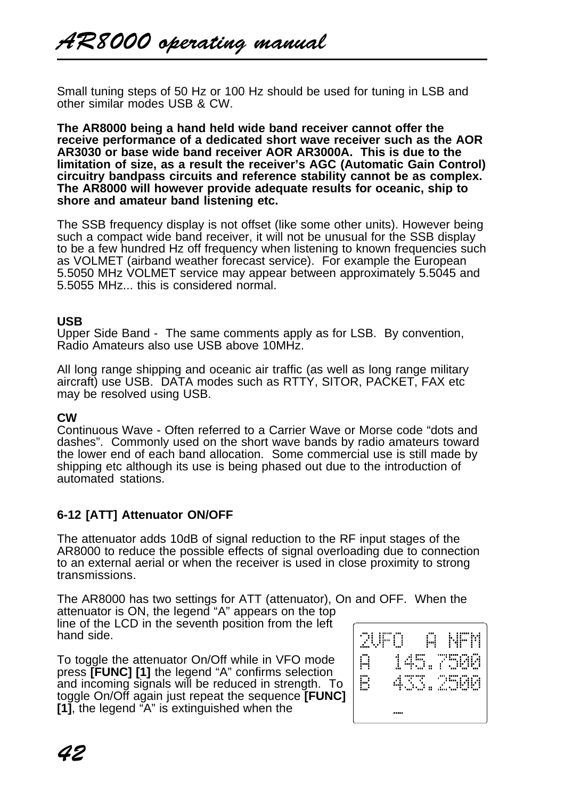Small tuning steps of 50 Hz or 100 Hz should be used for tuning in LSB and other similar modes USB & CW.

**The AR8000 being a hand held wide band receiver cannot offer the receive performance of a dedicated short wave receiver such as the AOR AR3030 or base wide band receiver AOR AR3000A. This is due to the limitation of size, as a result the receiver's AGC (Automatic Gain Control) circuitry bandpass circuits and reference stability cannot be as complex. The AR8000 will however provide adequate results for oceanic, ship to shore and amateur band listening etc.**

The SSB frequency display is not offset (like some other units). However being such a compact wide band receiver, it will not be unusual for the SSB display to be a few hundred Hz off frequency when listening to known frequencies such as VOLMET (airband weather forecast service). For example the European 5.5050 MHz VOLMET service may appear between approximately 5.5045 and 5.5055 MHz... this is considered normal.

#### **USB**

Upper Side Band - The same comments apply as for LSB. By convention, Radio Amateurs also use USB above 10MHz.

All long range shipping and oceanic air traffic (as well as long range military aircraft) use USB. DATA modes such as RTTY, SITOR, PACKET, FAX etc may be resolved using USB.

## **CW**

Continuous Wave - Often referred to a Carrier Wave or Morse code "dots and dashes". Commonly used on the short wave bands by radio amateurs toward the lower end of each band allocation. Some commercial use is still made by shipping etc although its use is being phased out due to the introduction of automated stations.

# **6-12 [ATT] Attenuator ON/OFF**

The attenuator adds 10dB of signal reduction to the RF input stages of the AR8000 to reduce the possible effects of signal overloading due to connection to an external aerial or when the receiver is used in close proximity to strong transmissions.

The AR8000 has two settings for ATT (attenuator), On and OFF. When the attenuator is ON, the legend "A" appears on the top

line of the LCD in the seventh position from the left hand side.

To toggle the attenuator On/Off while in VFO mode press **[FUNC] [1]** the legend "A" confirms selection and incoming signals will be reduced in strength. To toggle On/Off again just repeat the sequence **[FUNC] [1]**, the legend "A" is extinguished when the

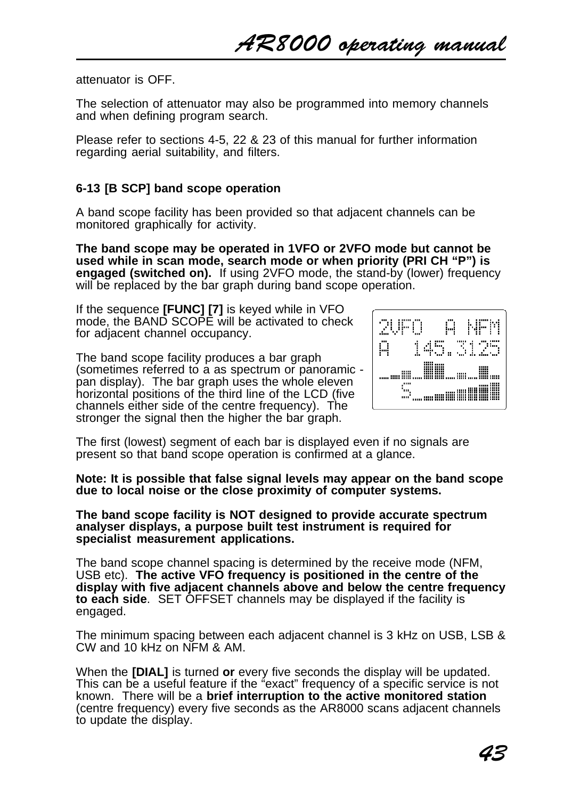attenuator is OFF.

The selection of attenuator may also be programmed into memory channels and when defining program search.

Please refer to sections 4-5, 22 & 23 of this manual for further information regarding aerial suitability, and filters.

## **6-13 [B SCP] band scope operation**

A band scope facility has been provided so that adjacent channels can be monitored graphically for activity.

**The band scope may be operated in 1VFO or 2VFO mode but cannot be used while in scan mode, search mode or when priority (PRI CH "P") is engaged (switched on).** If using 2VFO mode, the stand-by (lower) frequency will be replaced by the bar graph during band scope operation.

If the sequence **[FUNC] [7]** is keyed while in VFO mode, the BAND SCOPE will be activated to check for adjacent channel occupancy.

The band scope facility produces a bar graph (sometimes referred to a as spectrum or panoramic pan display). The bar graph uses the whole eleven horizontal positions of the third line of the LCD (five channels either side of the centre frequency). The stronger the signal then the higher the bar graph.



The first (lowest) segment of each bar is displayed even if no signals are present so that band scope operation is confirmed at a glance.

**Note: It is possible that false signal levels may appear on the band scope due to local noise or the close proximity of computer systems.**

**The band scope facility is NOT designed to provide accurate spectrum analyser displays, a purpose built test instrument is required for specialist measurement applications.**

The band scope channel spacing is determined by the receive mode (NFM, USB etc). **The active VFO frequency is positioned in the centre of the display with five adjacent channels above and below the centre frequency to each side**. SET OFFSET channels may be displayed if the facility is engaged.

The minimum spacing between each adjacent channel is 3 kHz on USB, LSB & CW and 10 kHz on NFM & AM.

When the **[DIAL]** is turned **or** every five seconds the display will be updated. This can be a useful feature if the "exact" frequency of a specific service is not known. There will be a **brief interruption to the active monitored station** (centre frequency) every five seconds as the AR8000 scans adjacent channels to update the display.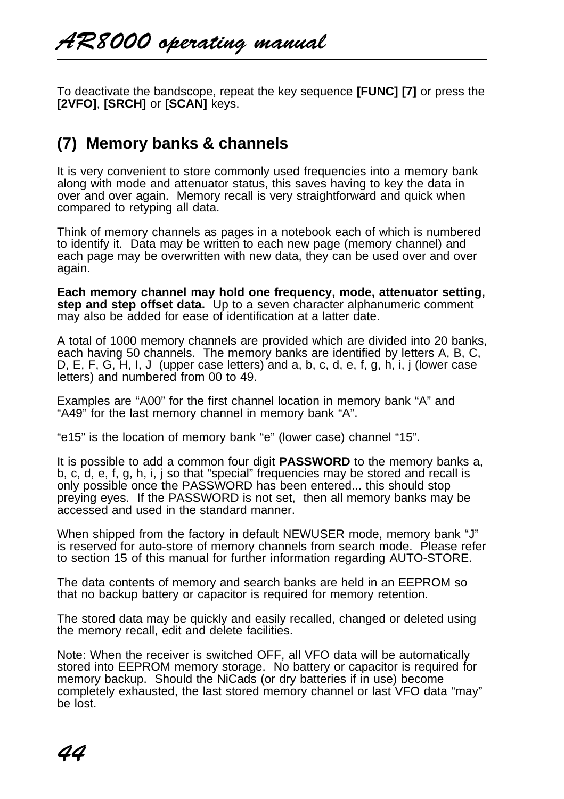To deactivate the bandscope, repeat the key sequence **[FUNC] [7]** or press the **[2VFO]**, **[SRCH]** or **[SCAN]** keys.

# **(7) Memory banks & channels**

It is very convenient to store commonly used frequencies into a memory bank along with mode and attenuator status, this saves having to key the data in over and over again. Memory recall is very straightforward and quick when compared to retyping all data.

Think of memory channels as pages in a notebook each of which is numbered to identify it. Data may be written to each new page (memory channel) and each page may be overwritten with new data, they can be used over and over again.

**Each memory channel may hold one frequency, mode, attenuator setting, step and step offset data.** Up to a seven character alphanumeric comment may also be added for ease of identification at a latter date.

A total of 1000 memory channels are provided which are divided into 20 banks, each having 50 channels. The memory banks are identified by letters A, B, C, D, E, F, G, H, I, J (upper case letters) and a, b, c, d, e, f, g, h, i, j (lower case letters) and numbered from 00 to 49.

Examples are "A00" for the first channel location in memory bank "A" and "A49" for the last memory channel in memory bank "A".

"e15" is the location of memory bank "e" (lower case) channel "15".

It is possible to add a common four digit **PASSWORD** to the memory banks a, b, c, d, e, f, g, h, i, j so that "special" frequencies may be stored and recall is only possible once the PASSWORD has been entered... this should stop preying eyes. If the PASSWORD is not set, then all memory banks may be accessed and used in the standard manner.

When shipped from the factory in default NEWUSER mode, memory bank "J" is reserved for auto-store of memory channels from search mode. Please refer to section 15 of this manual for further information regarding AUTO-STORE.

The data contents of memory and search banks are held in an EEPROM so that no backup battery or capacitor is required for memory retention.

The stored data may be quickly and easily recalled, changed or deleted using the memory recall, edit and delete facilities.

Note: When the receiver is switched OFF, all VFO data will be automatically stored into EEPROM memory storage. No battery or capacitor is required for memory backup. Should the NiCads (or dry batteries if in use) become completely exhausted, the last stored memory channel or last VFO data "may" be lost.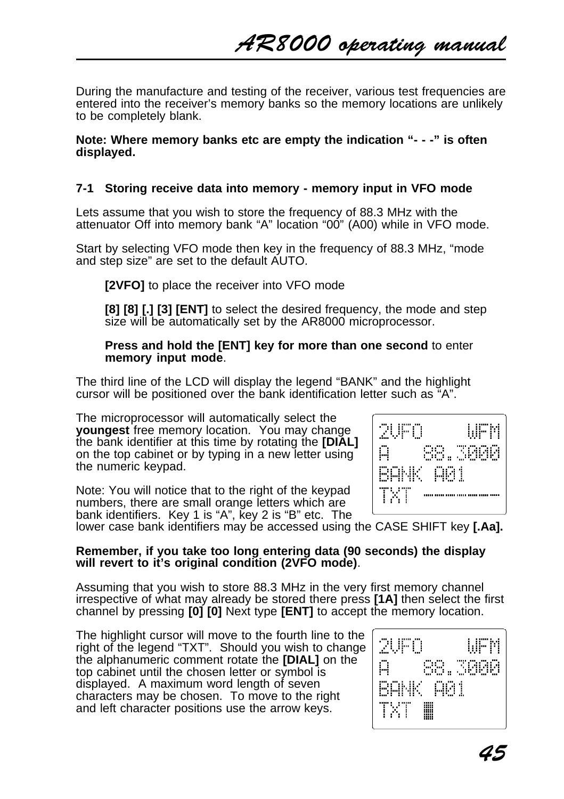AR8000 operating manual

During the manufacture and testing of the receiver, various test frequencies are entered into the receiver's memory banks so the memory locations are unlikely to be completely blank.

**Note: Where memory banks etc are empty the indication "- - -" is often displayed.**

## **7-1 Storing receive data into memory - memory input in VFO mode**

Lets assume that you wish to store the frequency of 88.3 MHz with the attenuator Off into memory bank "A" location "00" (A00) while in VFO mode.

Start by selecting VFO mode then key in the frequency of 88.3 MHz, "mode and step size" are set to the default AUTO.

**[2VFO]** to place the receiver into VFO mode

**[8] [8] [.] [3] [ENT]** to select the desired frequency, the mode and step size will be automatically set by the AR8000 microprocessor.

#### **Press and hold the [ENT] key for more than one second** to enter **memory input mode**.

The third line of the LCD will display the legend "BANK" and the highlight cursor will be positioned over the bank identification letter such as "A".

The microprocessor will automatically select the **youngest** free memory location. You may change the bank identifier at this time by rotating the **[DIAL]** on the top cabinet or by typing in a new letter using the numeric keypad.

Note: You will notice that to the right of the keypad numbers, there are small orange letters which are bank identifiers. Key 1 is "A", key 2 is "B" etc. The



lower case bank identifiers may be accessed using the CASE SHIFT key **[.Aa].**

### **Remember, if you take too long entering data (90 seconds) the display will revert to it's original condition (2VFO mode)**.

Assuming that you wish to store 88.3 MHz in the very first memory channel irrespective of what may already be stored there press **[1A]** then select the first channel by pressing **[0] [0]** Next type **[ENT]** to accept the memory location.

The highlight cursor will move to the fourth line to the right of the legend "TXT". Should you wish to change the alphanumeric comment rotate the **[DIAL]** on the top cabinet until the chosen letter or symbol is displayed. A maximum word length of seven characters may be chosen. To move to the right and left character positions use the arrow keys.

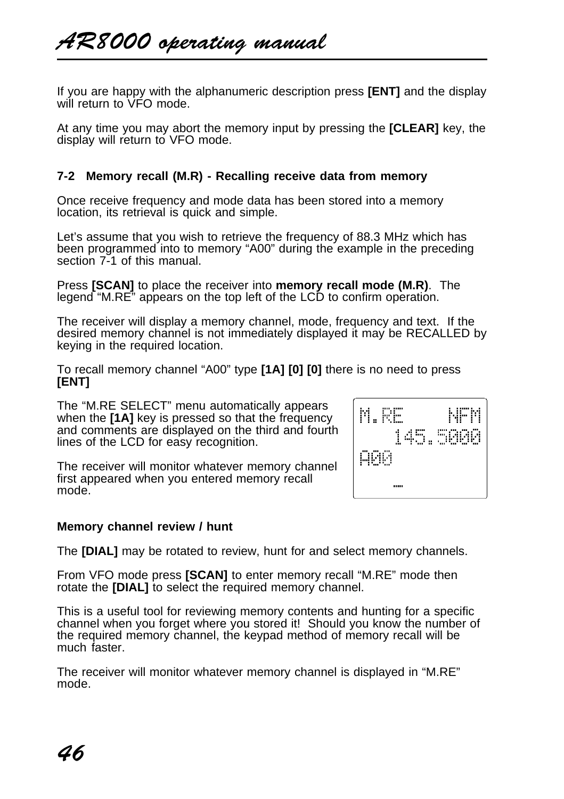If you are happy with the alphanumeric description press **[ENT]** and the display will return to VFO mode.

At any time you may abort the memory input by pressing the **[CLEAR]** key, the display will return to VFO mode.

## **7-2 Memory recall (M.R) - Recalling receive data from memory**

Once receive frequency and mode data has been stored into a memory location, its retrieval is quick and simple.

Let's assume that you wish to retrieve the frequency of 88.3 MHz which has been programmed into to memory "A00" during the example in the preceding section  $7-1$  of this manual.

Press **[SCAN]** to place the receiver into **memory recall mode (M.R)**. The legend "M.RE" appears on the top left of the LCD to confirm operation.

The receiver will display a memory channel, mode, frequency and text. If the desired memory channel is not immediately displayed it may be RECALLED by keying in the required location.

M.RF -

дял

NFM

145.5000

To recall memory channel "A00" type **[1A] [0] [0]** there is no need to press **[ENT]**

The "M.RE SELECT" menu automatically appears when the **[1A]** key is pressed so that the frequency and comments are displayed on the third and fourth lines of the LCD for easy recognition.

The receiver will monitor whatever memory channel first appeared when you entered memory recall mode.

#### **Memory channel review / hunt**

The **[DIAL]** may be rotated to review, hunt for and select memory channels.

From VFO mode press **[SCAN]** to enter memory recall "M.RE" mode then rotate the **[DIAL]** to select the required memory channel.

This is a useful tool for reviewing memory contents and hunting for a specific channel when you forget where you stored it! Should you know the number of the required memory channel, the keypad method of memory recall will be much faster.

The receiver will monitor whatever memory channel is displayed in "M.RE" mode.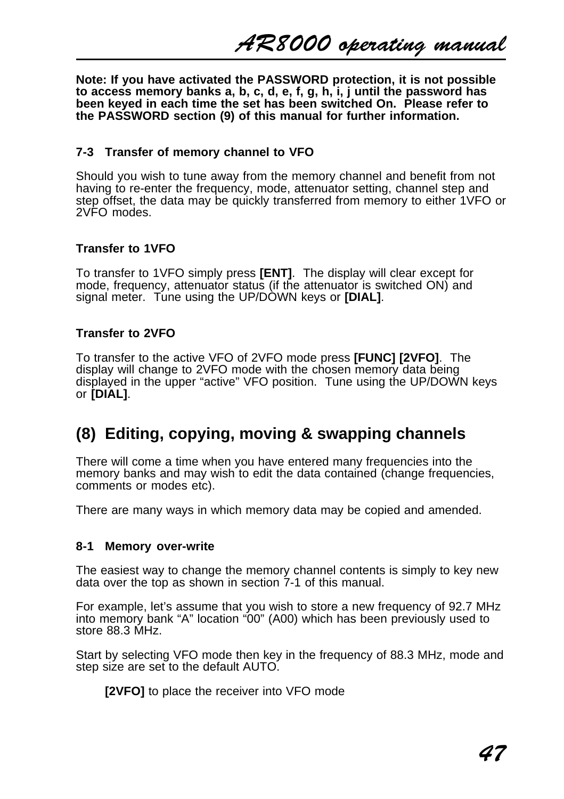AR8000 operating manual

**Note: If you have activated the PASSWORD protection, it is not possible to access memory banks a, b, c, d, e, f, g, h, i, j until the password has been keyed in each time the set has been switched On. Please refer to the PASSWORD section (9) of this manual for further information.**

#### **7-3 Transfer of memory channel to VFO**

Should you wish to tune away from the memory channel and benefit from not having to re-enter the frequency, mode, attenuator setting, channel step and step offset, the data may be quickly transferred from memory to either 1VFO or 2VFO modes.

#### **Transfer to 1VFO**

To transfer to 1VFO simply press **[ENT]**. The display will clear except for mode, frequency, attenuator status (if the attenuator is switched ON) and signal meter. Tune using the UP/DOWN keys or **[DIAL]**.

#### **Transfer to 2VFO**

To transfer to the active VFO of 2VFO mode press **[FUNC] [2VFO]**. The display will change to 2VFO mode with the chosen memory data being displayed in the upper "active" VFO position. Tune using the UP/DOWN keys or **[DIAL]**.

# **(8) Editing, copying, moving & swapping channels**

There will come a time when you have entered many frequencies into the memory banks and may wish to edit the data contained (change frequencies, comments or modes etc).

There are many ways in which memory data may be copied and amended.

#### **8-1 Memory over-write**

The easiest way to change the memory channel contents is simply to key new data over the top as shown in section 7-1 of this manual.

For example, let's assume that you wish to store a new frequency of 92.7 MHz into memory bank "A" location "00" (A00) which has been previously used to store 88.3 MHz.

Start by selecting VFO mode then key in the frequency of 88.3 MHz, mode and step size are set to the default AUTO.

**[2VFO]** to place the receiver into VFO mode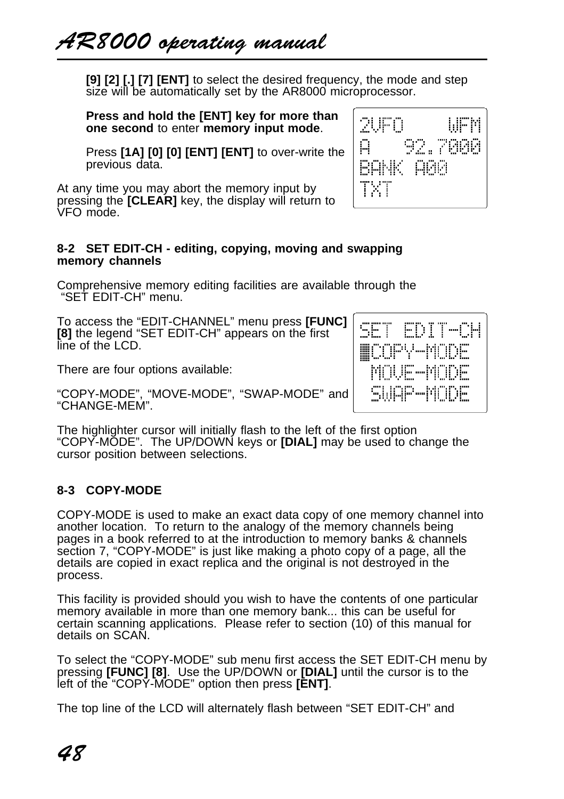**[9] [2] [.] [7] [ENT]** to select the desired frequency, the mode and step size will be automatically set by the AR8000 microprocessor.

**Press and hold the [ENT] key for more than one second** to enter **memory input mode**.

Press **[1A] [0] [0] [ENT] [ENT]** to over-write the previous data.

At any time you may abort the memory input by pressing the **[CLEAR]** key, the display will return to VFO mode.

#### **8-2 SET EDIT-CH - editing, copying, moving and swapping memory channels**

Comprehensive memory editing facilities are available through the "SET EDIT-CH" menu.

To access the "EDIT-CHANNEL" menu press **[FUNC] [8]** the legend "SET EDIT-CH" appears on the first line of the LCD.

There are four options available:

"COPY-MODE", "MOVE-MODE", "SWAP-MODE" and "CHANGE-MEM".

The highlighter cursor will initially flash to the left of the first option "COPY-MODE". The UP/DOWN keys or **[DIAL]** may be used to change the cursor position between selections.

# **8-3 COPY-MODE**

COPY-MODE is used to make an exact data copy of one memory channel into another location. To return to the analogy of the memory channels being pages in a book referred to at the introduction to memory banks & channels section 7, "COPY-MODE" is just like making a photo copy of a page, all the details are copied in exact replica and the original is not destroyed in the process.

This facility is provided should you wish to have the contents of one particular memory available in more than one memory bank... this can be useful for certain scanning applications. Please refer to section (10) of this manual for details on SCAN.

To select the "COPY-MODE" sub menu first access the SET EDIT-CH menu by pressing **[FUNC] [8]**. Use the UP/DOWN or **[DIAL]** until the cursor is to the left of the "COPY-MODE" option then press **[ENT]**.

The top line of the LCD will alternately flash between "SET EDIT-CH" and

ス店自 WEM ρ 92.7000 **BANK A00** TXT

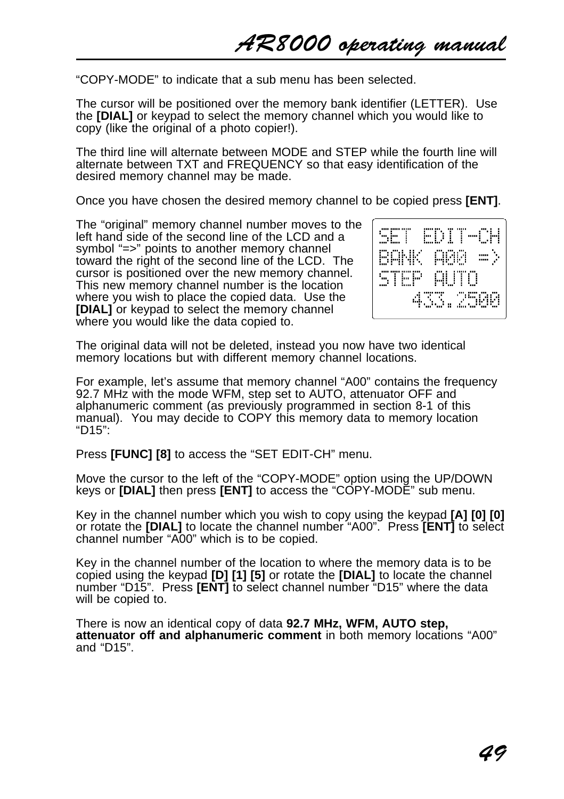"COPY-MODE" to indicate that a sub menu has been selected.

The cursor will be positioned over the memory bank identifier (LETTER). Use the **[DIAL]** or keypad to select the memory channel which you would like to copy (like the original of a photo copier!).

The third line will alternate between MODE and STEP while the fourth line will alternate between TXT and FREQUENCY so that easy identification of the desired memory channel may be made.

Once you have chosen the desired memory channel to be copied press **[ENT]**.

The "original" memory channel number moves to the left hand side of the second line of the LCD and a symbol "=>" points to another memory channel toward the right of the second line of the LCD. The cursor is positioned over the new memory channel. This new memory channel number is the location where you wish to place the copied data. Use the **IDIAL1** or keypad to select the memory channel where you would like the data copied to.



The original data will not be deleted, instead you now have two identical memory locations but with different memory channel locations.

For example, let's assume that memory channel "A00" contains the frequency 92.7 MHz with the mode WFM, step set to AUTO, attenuator OFF and alphanumeric comment (as previously programmed in section 8-1 of this manual). You may decide to COPY this memory data to memory location "D15":

Press **[FUNC] [8]** to access the "SET EDIT-CH" menu.

Move the cursor to the left of the "COPY-MODE" option using the UP/DOWN keys or **[DIAL]** then press **[ENT]** to access the "COPY-MODE" sub menu.

Key in the channel number which you wish to copy using the keypad **[A] [0] [0]** or rotate the **[DIAL]** to locate the channel number "A00". Press **[ENT]** to select channel number "A00" which is to be copied.

Key in the channel number of the location to where the memory data is to be copied using the keypad **[D] [1] [5]** or rotate the **[DIAL]** to locate the channel number "D15". Press **[ENT]** to select channel number "D15" where the data will be copied to.

There is now an identical copy of data **92.7 MHz, WFM, AUTO step, attenuator off and alphanumeric comment** in both memory locations "A00" and "D15".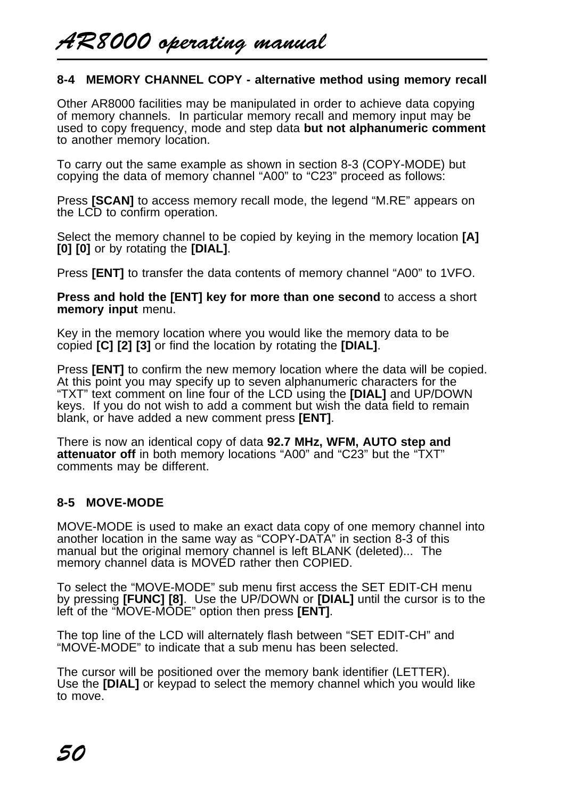## **8-4 MEMORY CHANNEL COPY - alternative method using memory recall**

Other AR8000 facilities may be manipulated in order to achieve data copying of memory channels. In particular memory recall and memory input may be used to copy frequency, mode and step data **but not alphanumeric comment** to another memory location.

To carry out the same example as shown in section 8-3 (COPY-MODE) but copying the data of memory channel "A00" to "C23" proceed as follows:

Press **[SCAN]** to access memory recall mode, the legend "M.RE" appears on the LCD to confirm operation.

Select the memory channel to be copied by keying in the memory location **[A] [0] [0]** or by rotating the **[DIAL]**.

Press **[ENT]** to transfer the data contents of memory channel "A00" to 1VFO.

**Press and hold the [ENT] key for more than one second** to access a short **memory input** menu.

Key in the memory location where you would like the memory data to be copied **[C] [2] [3]** or find the location by rotating the **[DIAL]**.

Press **[ENT]** to confirm the new memory location where the data will be copied. At this point you may specify up to seven alphanumeric characters for the "TXT" text comment on line four of the LCD using the **[DIAL]** and UP/DOWN keys. If you do not wish to add a comment but wish the data field to remain blank, or have added a new comment press **[ENT]**.

There is now an identical copy of data **92.7 MHz, WFM, AUTO step and attenuator off** in both memory locations "A00" and "C23" but the "TXT" comments may be different.

# **8-5 MOVE-MODE**

MOVE-MODE is used to make an exact data copy of one memory channel into another location in the same way as "COPY-DATA" in section 8-3 of this manual but the original memory channel is left BLANK (deleted)... The memory channel data is MOVED rather then COPIED.

To select the "MOVE-MODE" sub menu first access the SET EDIT-CH menu by pressing **[FUNC] [8]**. Use the UP/DOWN or **[DIAL]** until the cursor is to the left of the "MOVE-MODE" option then press **[ENT]**.

The top line of the LCD will alternately flash between "SET EDIT-CH" and "MOVE-MODE" to indicate that a sub menu has been selected.

The cursor will be positioned over the memory bank identifier (LETTER). Use the **[DIAL]** or keypad to select the memory channel which you would like to move.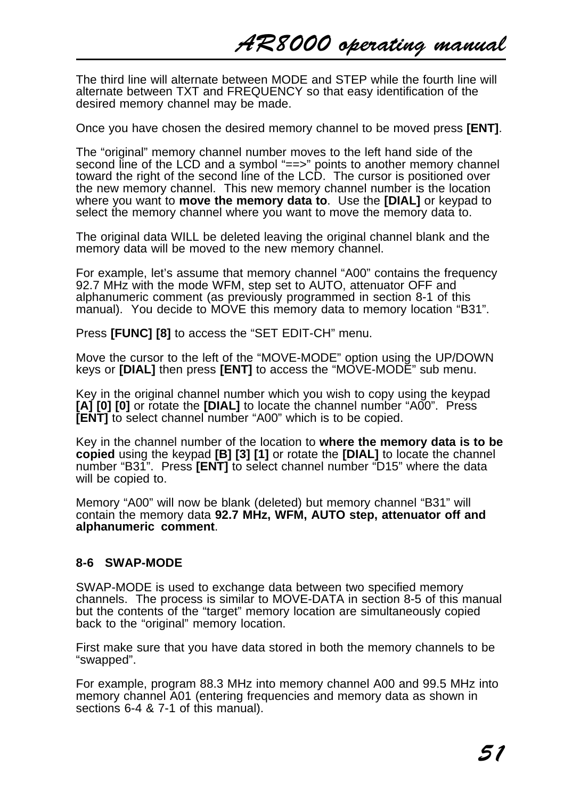The third line will alternate between MODE and STEP while the fourth line will alternate between TXT and FREQUENCY so that easy identification of the desired memory channel may be made.

Once you have chosen the desired memory channel to be moved press **[ENT]**.

The "original" memory channel number moves to the left hand side of the second line of the LCD and a symbol "==>" points to another memory channel toward the right of the second line of the LCD. The cursor is positioned over the new memory channel. This new memory channel number is the location where you want to **move the memory data to**. Use the **[DIAL]** or keypad to select the memory channel where you want to move the memory data to.

The original data WILL be deleted leaving the original channel blank and the memory data will be moved to the new memory channel.

For example, let's assume that memory channel "A00" contains the frequency 92.7 MHz with the mode WFM, step set to AUTO, attenuator OFF and alphanumeric comment (as previously programmed in section 8-1 of this manual). You decide to MOVE this memory data to memory location "B31".

Press **[FUNC] [8]** to access the "SET EDIT-CH" menu.

Move the cursor to the left of the "MOVE-MODE" option using the UP/DOWN keys or **[DIAL]** then press **[ENT]** to access the "MOVE-MODE" sub menu.

Key in the original channel number which you wish to copy using the keypad **[A] [0] [0]** or rotate the **[DIAL]** to locate the channel number "A00". Press **[ENT]** to select channel number "A00" which is to be copied.

Key in the channel number of the location to **where the memory data is to be copied** using the keypad **[B] [3] [1]** or rotate the **[DIAL]** to locate the channel number "B31". Press **[ENT]** to select channel number "D15" where the data will be copied to.

Memory "A00" will now be blank (deleted) but memory channel "B31" will contain the memory data **92.7 MHz, WFM, AUTO step, attenuator off and alphanumeric comment**.

## **8-6 SWAP-MODE**

SWAP-MODE is used to exchange data between two specified memory channels. The process is similar to MOVE-DATA in section 8-5 of this manual but the contents of the "target" memory location are simultaneously copied back to the "original" memory location.

First make sure that you have data stored in both the memory channels to be "swapped".

For example, program 88.3 MHz into memory channel A00 and 99.5 MHz into memory channel A01 (entering frequencies and memory data as shown in sections 6-4 & 7-1 of this manual).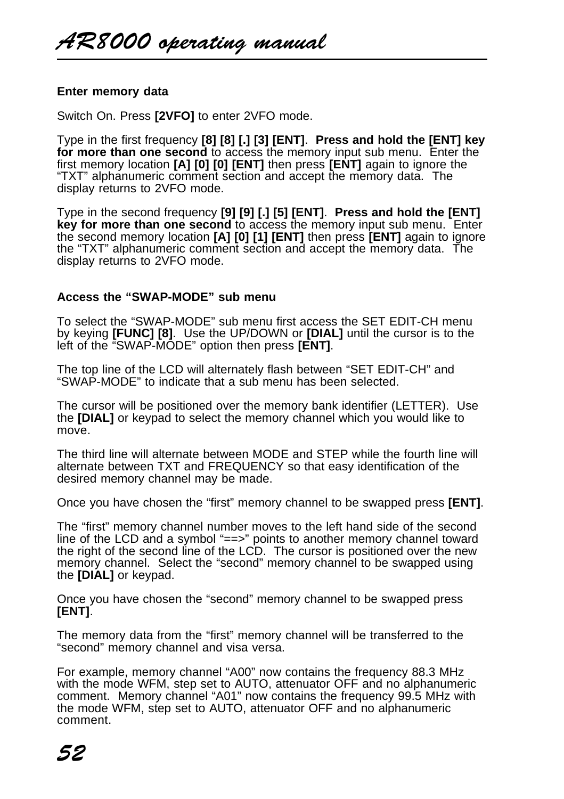### **Enter memory data**

Switch On. Press **[2VFO]** to enter 2VFO mode.

Type in the first frequency **[8] [8] [.] [3] [ENT]**. **Press and hold the [ENT] key for more than one second** to access the memory input sub menu. Enter the first memory location **[A] [0] [0] [ENT]** then press **[ENT]** again to ignore the "TXT" alphanumeric comment section and accept the memory data. The display returns to 2VFO mode.

Type in the second frequency **[9] [9] [.] [5] [ENT]**. **Press and hold the [ENT] key for more than one second** to access the memory input sub menu. Enter the second memory location **[A] [0] [1] [ENT]** then press **[ENT]** again to ignore the "TXT" alphanumeric comment section and accept the memory data. The display returns to 2VFO mode.

### **Access the "SWAP-MODE" sub menu**

To select the "SWAP-MODE" sub menu first access the SET EDIT-CH menu by keying **[FUNC] [8]**. Use the UP/DOWN or **[DIAL]** until the cursor is to the left of the "SWAP-MODE" option then press **[ENT]**.

The top line of the LCD will alternately flash between "SET EDIT-CH" and "SWAP-MODE" to indicate that a sub menu has been selected.

The cursor will be positioned over the memory bank identifier (LETTER). Use the **[DIAL]** or keypad to select the memory channel which you would like to move.

The third line will alternate between MODE and STEP while the fourth line will alternate between TXT and FREQUENCY so that easy identification of the desired memory channel may be made.

Once you have chosen the "first" memory channel to be swapped press **[ENT]**.

The "first" memory channel number moves to the left hand side of the second line of the LCD and a symbol "==>" points to another memory channel toward the right of the second line of the LCD. The cursor is positioned over the new memory channel. Select the "second" memory channel to be swapped using the **[DIAL]** or keypad.

Once you have chosen the "second" memory channel to be swapped press **[ENT]**.

The memory data from the "first" memory channel will be transferred to the "second" memory channel and visa versa.

For example, memory channel "A00" now contains the frequency 88.3 MHz with the mode WFM, step set to AUTO, attenuator OFF and no alphanumeric comment. Memory channel "A01" now contains the frequency 99.5 MHz with the mode WFM, step set to AUTO, attenuator OFF and no alphanumeric comment.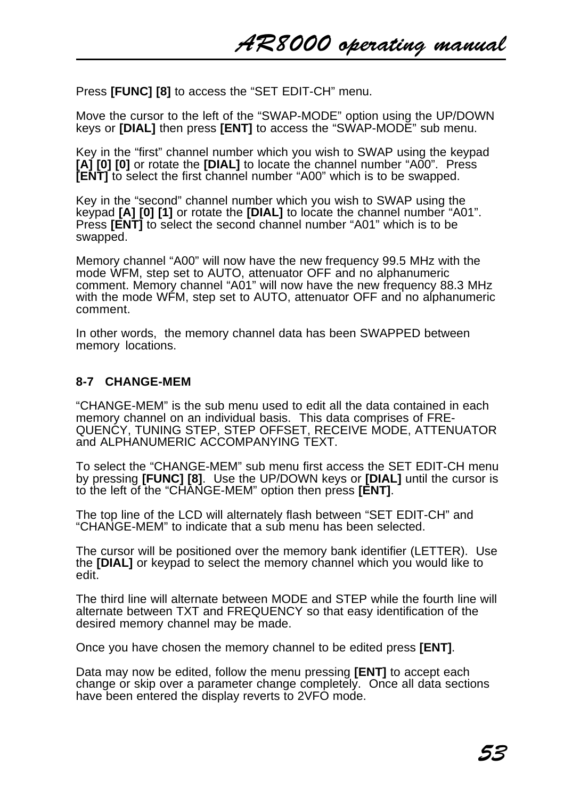Press **[FUNC] [8]** to access the "SET EDIT-CH" menu.

Move the cursor to the left of the "SWAP-MODE" option using the UP/DOWN keys or **[DIAL]** then press **[ENT]** to access the "SWAP-MODE" sub menu.

Key in the "first" channel number which you wish to SWAP using the keypad **[A] [0] [0]** or rotate the **[DIAL]** to locate the channel number "A00". Press **[ENT]** to select the first channel number "A00" which is to be swapped.

Key in the "second" channel number which you wish to SWAP using the keypad **[A] [0] [1]** or rotate the **[DIAL]** to locate the channel number "A01". Press **[ENT]** to select the second channel number "A01" which is to be swapped.

Memory channel "A00" will now have the new frequency 99.5 MHz with the mode WFM, step set to AUTO, attenuator OFF and no alphanumeric comment. Memory channel "A01" will now have the new frequency 88.3 MHz with the mode WFM, step set to AUTO, attenuator OFF and no alphanumeric comment.

In other words, the memory channel data has been SWAPPED between memory locations.

### **8-7 CHANGE-MEM**

"CHANGE-MEM" is the sub menu used to edit all the data contained in each memory channel on an individual basis. This data comprises of FRE-QUENCY, TUNING STEP, STEP OFFSET, RECEIVE MODE, ATTENUATOR and ALPHANUMERIC ACCOMPANYING TEXT.

To select the "CHANGE-MEM" sub menu first access the SET EDIT-CH menu by pressing **[FUNC] [8]**. Use the UP/DOWN keys or **[DIAL]** until the cursor is to the left of the "CHANGE-MEM" option then press **[ENT]**.

The top line of the LCD will alternately flash between "SET EDIT-CH" and "CHANGE-MEM" to indicate that a sub menu has been selected.

The cursor will be positioned over the memory bank identifier (LETTER). Use the **[DIAL]** or keypad to select the memory channel which you would like to edit.

The third line will alternate between MODE and STEP while the fourth line will alternate between TXT and FREQUENCY so that easy identification of the desired memory channel may be made.

Once you have chosen the memory channel to be edited press **[ENT]**.

Data may now be edited, follow the menu pressing **[ENT]** to accept each change or skip over a parameter change completely. Once all data sections have been entered the display reverts to 2VFO mode.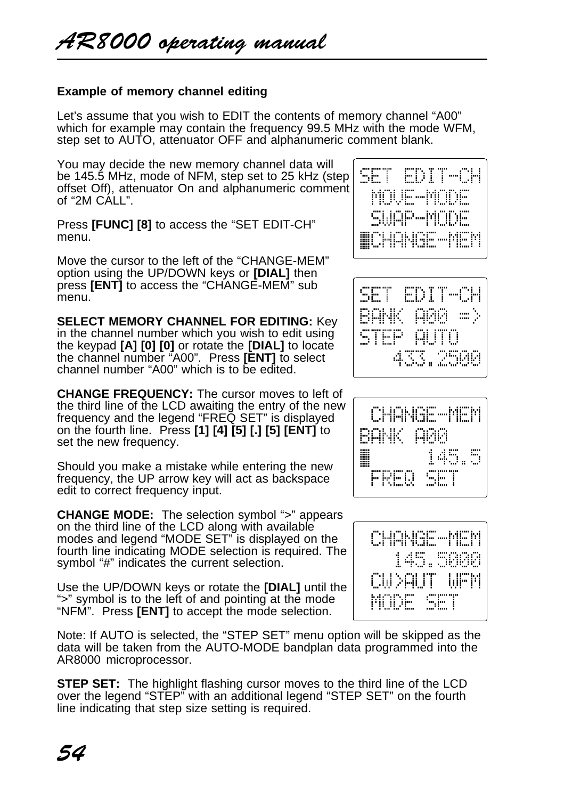## **Example of memory channel editing**

Let's assume that you wish to EDIT the contents of memory channel "A00" which for example may contain the frequency 99.5 MHz with the mode WFM, step set to AUTO, attenuator OFF and alphanumeric comment blank.

You may decide the new memory channel data will be 145.5 MHz, mode of NFM, step set to 25 kHz (step offset Off), attenuator On and alphanumeric comment of "2M CALL".

Press **[FUNC] [8]** to access the "SET EDIT-CH" menu.

Move the cursor to the left of the "CHANGE-MEM" option using the UP/DOWN keys or **[DIAL]** then press **[ENT]** to access the "CHANGE-MEM" sub menu.

**SELECT MEMORY CHANNEL FOR EDITING:** Key in the channel number which you wish to edit using the keypad **[A] [0] [0]** or rotate the **[DIAL]** to locate the channel number "A00". Press **[ENT]** to select channel number "A00" which is to be edited.

**CHANGE FREQUENCY:** The cursor moves to left of the third line of the LCD awaiting the entry of the new frequency and the legend "FREQ SET" is displayed on the fourth line. Press **[1] [4] [5] [.] [5] [ENT]** to set the new frequency.

Should you make a mistake while entering the new frequency, the UP arrow key will act as backspace edit to correct frequency input.

**CHANGE MODE:** The selection symbol ">" appears on the third line of the LCD along with available modes and legend "MODE SET" is displayed on the fourth line indicating MODE selection is required. The symbol "#" indicates the current selection.

Use the UP/DOWN keys or rotate the **[DIAL]** until the ">" symbol is to the left of and pointing at the mode "NFM". Press **[ENT]** to accept the mode selection.

Note: If AUTO is selected, the "STEP SET" menu option will be skipped as the data will be taken from the AUTO-MODE bandplan data programmed into the AR8000 microprocessor.

**STEP SET:** The highlight flashing cursor moves to the third line of the LCD over the legend "STEP" with an additional legend "STEP SET" on the fourth line indicating that step size setting is required.







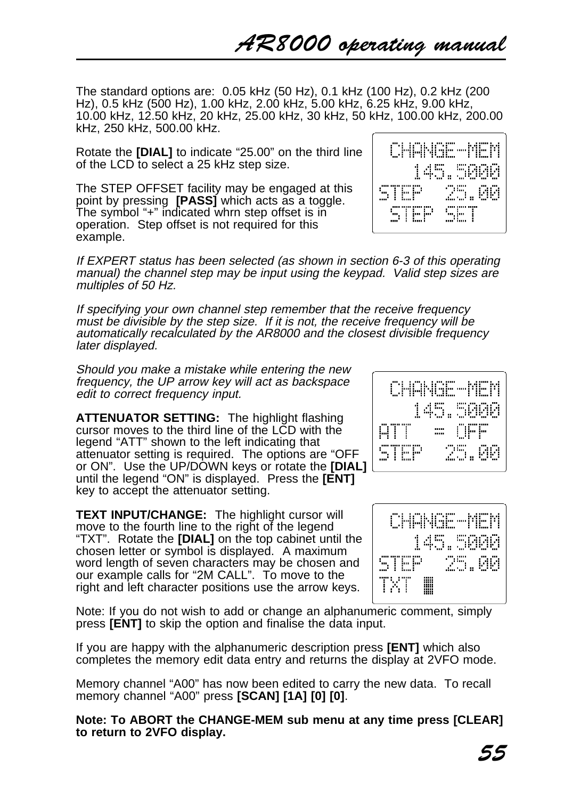The standard options are: 0.05 kHz (50 Hz), 0.1 kHz (100 Hz), 0.2 kHz (200 Hz), 0.5 kHz (500 Hz), 1.00 kHz, 2.00 kHz, 5.00 kHz, 6.25 kHz, 9.00 kHz, 10.00 kHz, 12.50 kHz, 20 kHz, 25.00 kHz, 30 kHz, 50 kHz, 100.00 kHz, 200.00 kHz, 250 kHz, 500.00 kHz.

Rotate the **[DIAL]** to indicate "25.00" on the third line of the LCD to select a 25 kHz step size.

The STEP OFFSET facility may be engaged at this point by pressing **[PASS]** which acts as a toggle. The symbol "+" indicated whrn step offset is in operation. Step offset is not required for this example.

If EXPERT status has been selected (as shown in section 6-3 of this operating manual) the channel step may be input using the keypad. Valid step sizes are multiples of 50 Hz.

If specifying your own channel step remember that the receive frequency must be divisible by the step size. If it is not, the receive frequency will be automatically recalculated by the AR8000 and the closest divisible frequency later displayed.

Should you make a mistake while entering the new frequency, the UP arrow key will act as backspace edit to correct frequency input.

**ATTENUATOR SETTING:** The highlight flashing cursor moves to the third line of the LCD with the legend "ATT" shown to the left indicating that attenuator setting is required. The options are "OFF or ON". Use the UP/DOWN keys or rotate the **[DIAL]** until the legend "ON" is displayed. Press the **[ENT]** key to accept the attenuator setting.

**TEXT INPUT/CHANGE:** The highlight cursor will move to the fourth line to the right of the legend "TXT". Rotate the **[DIAL]** on the top cabinet until the chosen letter or symbol is displayed. A maximum word length of seven characters may be chosen and our example calls for "2M CALL". To move to the right and left character positions use the arrow keys.





Note: If you do not wish to add or change an alphanumeric comment, simply press **[ENT]** to skip the option and finalise the data input.

If you are happy with the alphanumeric description press **[ENT]** which also completes the memory edit data entry and returns the display at 2VFO mode.

Memory channel "A00" has now been edited to carry the new data. To recall memory channel "A00" press **[SCAN] [1A] [0] [0]**.

**Note: To ABORT the CHANGE-MEM sub menu at any time press [CLEAR] to return to 2VFO display.**

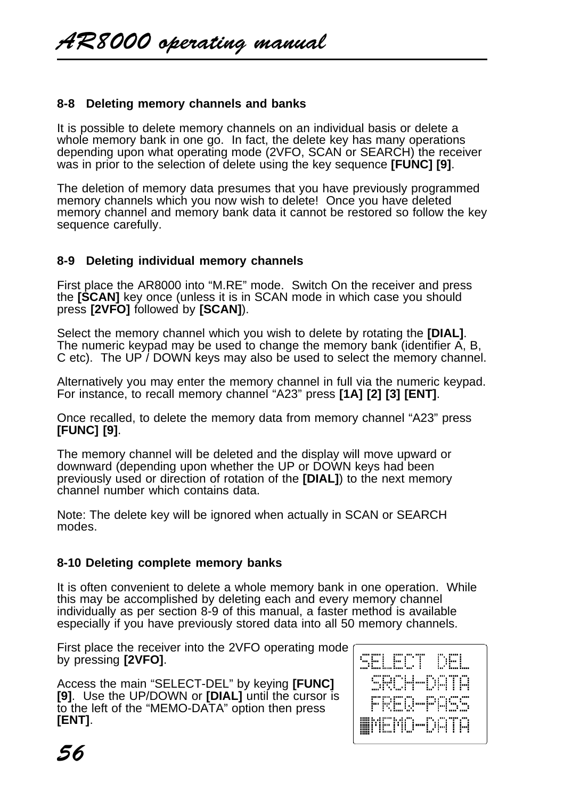## **8-8 Deleting memory channels and banks**

It is possible to delete memory channels on an individual basis or delete a whole memory bank in one go. In fact, the delete key has many operations depending upon what operating mode (2VFO, SCAN or SEARCH) the receiver was in prior to the selection of delete using the key sequence **[FUNC] [9]**.

The deletion of memory data presumes that you have previously programmed memory channels which you now wish to delete! Once you have deleted memory channel and memory bank data it cannot be restored so follow the key sequence carefully.

## **8-9 Deleting individual memory channels**

First place the AR8000 into "M.RE" mode. Switch On the receiver and press the **[SCAN]** key once (unless it is in SCAN mode in which case you should press **[2VFO]** followed by **[SCAN]**).

Select the memory channel which you wish to delete by rotating the **[DIAL]**. The numeric keypad may be used to change the memory bank (identifier A, B, C etc). The UP / DOWN keys may also be used to select the memory channel.

Alternatively you may enter the memory channel in full via the numeric keypad. For instance, to recall memory channel "A23" press **[1A] [2] [3] [ENT]**.

Once recalled, to delete the memory data from memory channel "A23" press **[FUNC] [9]**.

The memory channel will be deleted and the display will move upward or downward (depending upon whether the UP or DOWN keys had been previously used or direction of rotation of the **[DIAL]**) to the next memory channel number which contains data.

Note: The delete key will be ignored when actually in SCAN or SEARCH modes.

# **8-10 Deleting complete memory banks**

It is often convenient to delete a whole memory bank in one operation. While this may be accomplished by deleting each and every memory channel individually as per section 8-9 of this manual, a faster method is available especially if you have previously stored data into all 50 memory channels.

First place the receiver into the 2VFO operating mode by pressing **[2VFO]**.

Access the main "SELECT-DEL" by keying **[FUNC] [9]**. Use the UP/DOWN or **[DIAL]** until the cursor is to the left of the "MEMO-DATA" option then press **[ENT]**.

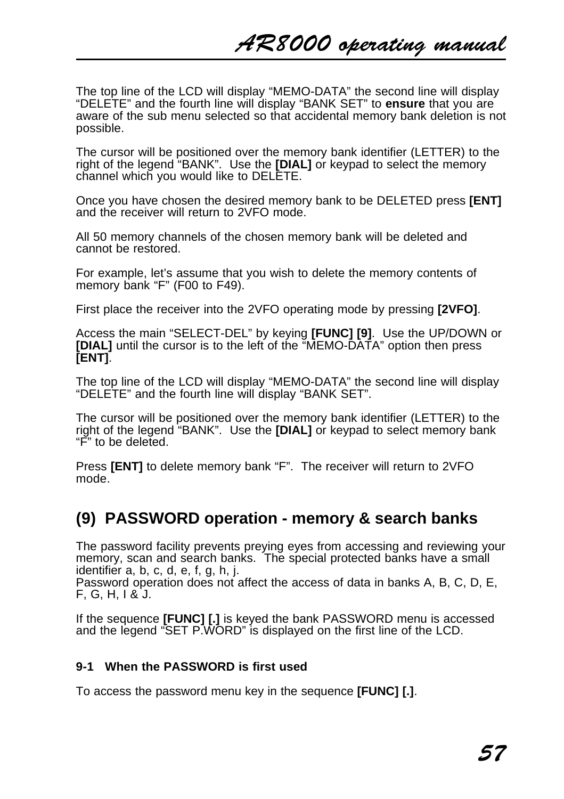The top line of the LCD will display "MEMO-DATA" the second line will display "DELETE" and the fourth line will display "BANK SET" to **ensure** that you are aware of the sub menu selected so that accidental memory bank deletion is not possible.

The cursor will be positioned over the memory bank identifier (LETTER) to the right of the legend "BANK". Use the **[DIAL]** or keypad to select the memory channel which you would like to DELETE.

Once you have chosen the desired memory bank to be DELETED press **[ENT]** and the receiver will return to 2VFO mode.

All 50 memory channels of the chosen memory bank will be deleted and cannot be restored.

For example, let's assume that you wish to delete the memory contents of memory bank "F" (F00 to F49).

First place the receiver into the 2VFO operating mode by pressing **[2VFO]**.

Access the main "SELECT-DEL" by keying **[FUNC] [9]**. Use the UP/DOWN or **[DIAL]** until the cursor is to the left of the "MEMO-DATA" option then press **[ENT]**.

The top line of the LCD will display "MEMO-DATA" the second line will display "DELETE" and the fourth line will display "BANK SET".

The cursor will be positioned over the memory bank identifier (LETTER) to the right of the legend "BANK". Use the **[DIAL]** or keypad to select memory bank "F" to be deleted.

Press **[ENT]** to delete memory bank "F". The receiver will return to 2VFO mode.

# **(9) PASSWORD operation - memory & search banks**

The password facility prevents preying eyes from accessing and reviewing your memory, scan and search banks. The special protected banks have a small identifier a, b, c, d, e, f, g, h, j.

Password operation does not affect the access of data in banks A, B, C, D, E, F, G, H, I & J.

If the sequence **[FUNC] [.]** is keyed the bank PASSWORD menu is accessed and the legend "SET P.WORD" is displayed on the first line of the LCD.

## **9-1 When the PASSWORD is first used**

To access the password menu key in the sequence **[FUNC] [.]**.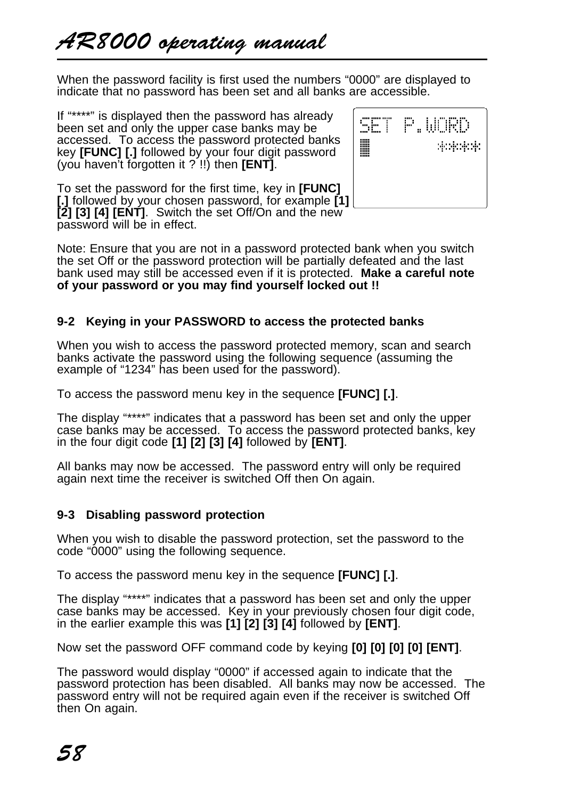When the password facility is first used the numbers "0000" are displayed to indicate that no password has been set and all banks are accessible.

If "\*\*\*\*" is displayed then the password has already been set and only the upper case banks may be accessed. To access the password protected banks key **[FUNC] [.]** followed by your four digit password (you haven't forgotten it ? !!) then **[ENT]**.

To set the password for the first time, key in **[FUNC] [.]** followed by your chosen password, for example **[1] [2] [3] [4] [ENT]**. Switch the set Off/On and the new password will be in effect.



Note: Ensure that you are not in a password protected bank when you switch the set Off or the password protection will be partially defeated and the last bank used may still be accessed even if it is protected. **Make a careful note of your password or you may find yourself locked out !!**

# **9-2 Keying in your PASSWORD to access the protected banks**

When you wish to access the password protected memory, scan and search banks activate the password using the following sequence (assuming the example of "1234" has been used for the password).

To access the password menu key in the sequence **[FUNC] [.]**.

The display "\*\*\*\*" indicates that a password has been set and only the upper case banks may be accessed. To access the password protected banks, key in the four digit code **[1] [2] [3] [4]** followed by **[ENT]**.

All banks may now be accessed. The password entry will only be required again next time the receiver is switched Off then On again.

# **9-3 Disabling password protection**

When you wish to disable the password protection, set the password to the code "0000" using the following sequence.

To access the password menu key in the sequence **[FUNC] [.]**.

The display "\*\*\*\*" indicates that a password has been set and only the upper case banks may be accessed. Key in your previously chosen four digit code, in the earlier example this was **[1] [2] [3] [4]** followed by **[ENT]**.

Now set the password OFF command code by keying **[0] [0] [0] [0] [ENT]**.

The password would display "0000" if accessed again to indicate that the password protection has been disabled. All banks may now be accessed. The password entry will not be required again even if the receiver is switched Off then On again.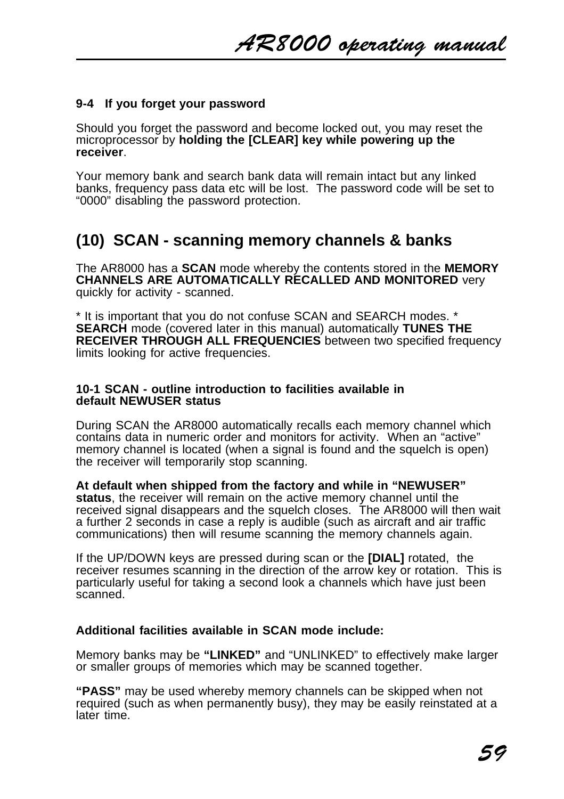## **9-4 If you forget your password**

Should you forget the password and become locked out, you may reset the microprocessor by **holding the [CLEAR] key while powering up the receiver**.

Your memory bank and search bank data will remain intact but any linked banks, frequency pass data etc will be lost. The password code will be set to "0000" disabling the password protection.

# **(10) SCAN - scanning memory channels & banks**

The AR8000 has a **SCAN** mode whereby the contents stored in the **MEMORY CHANNELS ARE AUTOMATICALLY RECALLED AND MONITORED** very quickly for activity - scanned.

\* It is important that you do not confuse SCAN and SEARCH modes. \* **SEARCH** mode (covered later in this manual) automatically **TUNES THE RECEIVER THROUGH ALL FREQUENCIES** between two specified frequency limits looking for active frequencies.

#### **10-1 SCAN - outline introduction to facilities available in default NEWUSER status**

During SCAN the AR8000 automatically recalls each memory channel which contains data in numeric order and monitors for activity. When an "active" memory channel is located (when a signal is found and the squelch is open) the receiver will temporarily stop scanning.

**At default when shipped from the factory and while in "NEWUSER" status**, the receiver will remain on the active memory channel until the received signal disappears and the squelch closes. The AR8000 will then wait a further 2 seconds in case a reply is audible (such as aircraft and air traffic communications) then will resume scanning the memory channels again.

If the UP/DOWN keys are pressed during scan or the **[DIAL]** rotated, the receiver resumes scanning in the direction of the arrow key or rotation. This is particularly useful for taking a second look a channels which have just been scanned.

## **Additional facilities available in SCAN mode include:**

Memory banks may be **"LINKED"** and "UNLINKED" to effectively make larger or smaller groups of memories which may be scanned together.

**"PASS"** may be used whereby memory channels can be skipped when not required (such as when permanently busy), they may be easily reinstated at a later time.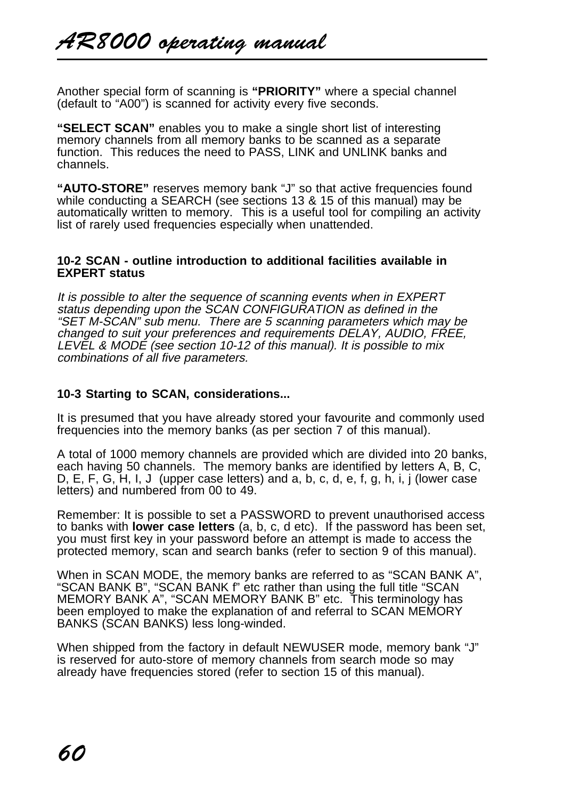Another special form of scanning is **"PRIORITY"** where a special channel (default to "A00") is scanned for activity every five seconds.

**"SELECT SCAN"** enables you to make a single short list of interesting memory channels from all memory banks to be scanned as a separate function. This reduces the need to PASS, LINK and UNLINK banks and channels.

**"AUTO-STORE"** reserves memory bank "J" so that active frequencies found while conducting a SEARCH (see sections 13 & 15 of this manual) may be automatically written to memory. This is a useful tool for compiling an activity list of rarely used frequencies especially when unattended.

#### **10-2 SCAN - outline introduction to additional facilities available in EXPERT status**

It is possible to alter the sequence of scanning events when in EXPERT status depending upon the SCAN CONFIGURATION as defined in the "SET M-SCAN" sub menu. There are 5 scanning parameters which may be changed to suit your preferences and requirements DELAY, AUDIO, FREE, LEVEL & MODE (see section 10-12 of this manual). It is possible to mix combinations of all five parameters.

## **10-3 Starting to SCAN, considerations...**

It is presumed that you have already stored your favourite and commonly used frequencies into the memory banks (as per section 7 of this manual).

A total of 1000 memory channels are provided which are divided into 20 banks, each having 50 channels. The memory banks are identified by letters A, B, C, D, E, F, G, H, I, J (upper case letters) and a, b, c, d, e, f, g, h, i, j (lower case letters) and numbered from 00 to 49.

Remember: It is possible to set a PASSWORD to prevent unauthorised access to banks with **lower case letters** (a, b, c, d etc). If the password has been set, you must first key in your password before an attempt is made to access the protected memory, scan and search banks (refer to section 9 of this manual).

When in SCAN MODE, the memory banks are referred to as "SCAN BANK A", "SCAN BANK B", "SCAN BANK f" etc rather than using the full title "SCAN MEMORY BANK A", "SCAN MEMORY BANK B" etc. This terminology has been employed to make the explanation of and referral to SCAN MEMORY BANKS (SCAN BANKS) less long-winded.

When shipped from the factory in default NEWUSER mode, memory bank "J" is reserved for auto-store of memory channels from search mode so may already have frequencies stored (refer to section 15 of this manual).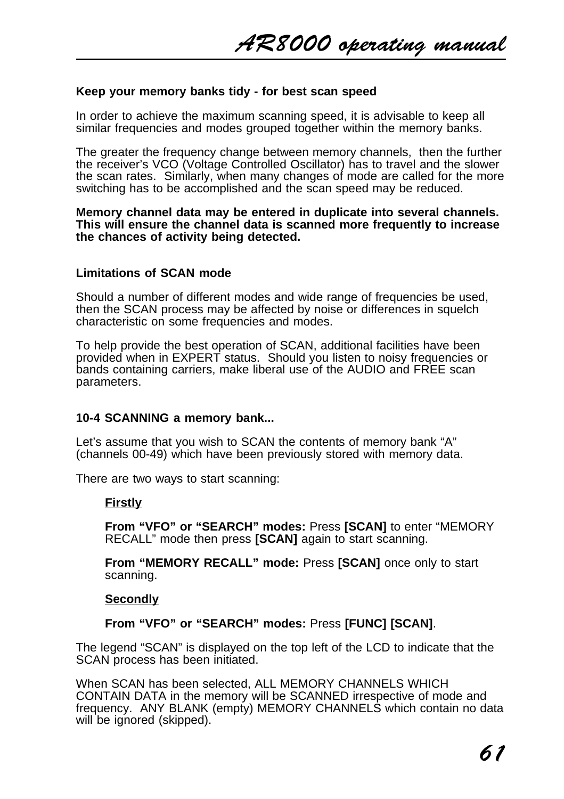#### **Keep your memory banks tidy - for best scan speed**

In order to achieve the maximum scanning speed, it is advisable to keep all similar frequencies and modes grouped together within the memory banks.

The greater the frequency change between memory channels, then the further the receiver's VCO (Voltage Controlled Oscillator) has to travel and the slower the scan rates. Similarly, when many changes of mode are called for the more switching has to be accomplished and the scan speed may be reduced.

#### **Memory channel data may be entered in duplicate into several channels. This will ensure the channel data is scanned more frequently to increase the chances of activity being detected.**

### **Limitations of SCAN mode**

Should a number of different modes and wide range of frequencies be used, then the SCAN process may be affected by noise or differences in squelch characteristic on some frequencies and modes.

To help provide the best operation of SCAN, additional facilities have been provided when in EXPERT status. Should you listen to noisy frequencies or bands containing carriers, make liberal use of the AUDIO and FREE scan parameters.

#### **10-4 SCANNING a memory bank...**

Let's assume that you wish to SCAN the contents of memory bank "A" (channels 00-49) which have been previously stored with memory data.

There are two ways to start scanning:

## **Firstly**

**From "VFO" or "SEARCH" modes:** Press **[SCAN]** to enter "MEMORY RECALL" mode then press **[SCAN]** again to start scanning.

**From "MEMORY RECALL" mode:** Press **[SCAN]** once only to start scanning.

#### **Secondly**

**From "VFO" or "SEARCH" modes:** Press **[FUNC] [SCAN]**.

The legend "SCAN" is displayed on the top left of the LCD to indicate that the SCAN process has been initiated.

When SCAN has been selected, ALL MEMORY CHANNELS WHICH CONTAIN DATA in the memory will be SCANNED irrespective of mode and frequency. ANY BLANK (empty) MEMORY CHANNELS which contain no data will be ignored (skipped).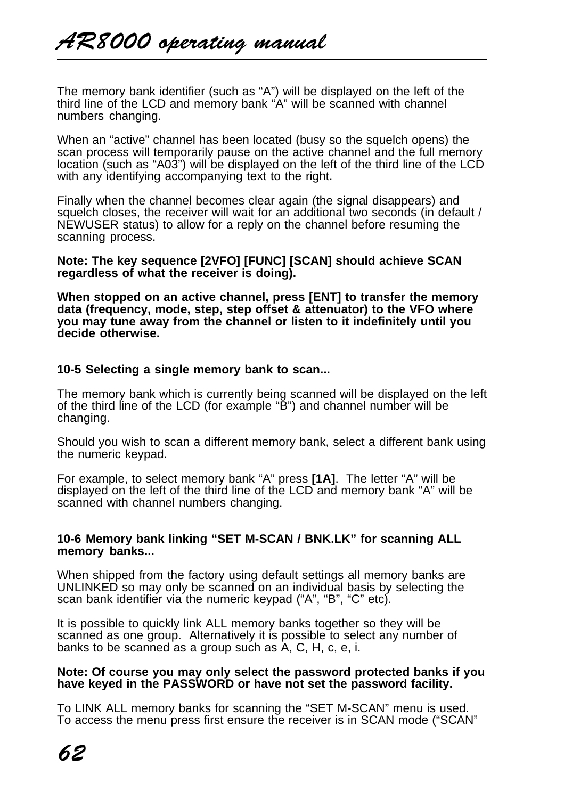The memory bank identifier (such as "A") will be displayed on the left of the third line of the LCD and memory bank "A" will be scanned with channel numbers changing.

When an "active" channel has been located (busy so the squelch opens) the scan process will temporarily pause on the active channel and the full memory location (such as "A03") will be displayed on the left of the third line of the LCD with any identifying accompanying text to the right.

Finally when the channel becomes clear again (the signal disappears) and squelch closes, the receiver will wait for an additional two seconds (in default / NEWUSER status) to allow for a reply on the channel before resuming the scanning process.

**Note: The key sequence [2VFO] [FUNC] [SCAN] should achieve SCAN regardless of what the receiver is doing).**

**When stopped on an active channel, press [ENT] to transfer the memory data (frequency, mode, step, step offset & attenuator) to the VFO where you may tune away from the channel or listen to it indefinitely until you decide otherwise.**

#### **10-5 Selecting a single memory bank to scan...**

The memory bank which is currently being scanned will be displayed on the left of the third line of the LCD (for example "B") and channel number will be changing.

Should you wish to scan a different memory bank, select a different bank using the numeric keypad.

For example, to select memory bank "A" press **[1A]**. The letter "A" will be displayed on the left of the third line of the LCD and memory bank "A" will be scanned with channel numbers changing.

#### **10-6 Memory bank linking "SET M-SCAN / BNK.LK" for scanning ALL memory banks...**

When shipped from the factory using default settings all memory banks are UNLINKED so may only be scanned on an individual basis by selecting the scan bank identifier via the numeric keypad ("A", "B", "C" etc).

It is possible to quickly link ALL memory banks together so they will be scanned as one group. Alternatively it is possible to select any number of banks to be scanned as a group such as A, C, H, c, e, i.

#### **Note: Of course you may only select the password protected banks if you have keyed in the PASSWORD or have not set the password facility.**

To LINK ALL memory banks for scanning the "SET M-SCAN" menu is used. To access the menu press first ensure the receiver is in SCAN mode ("SCAN"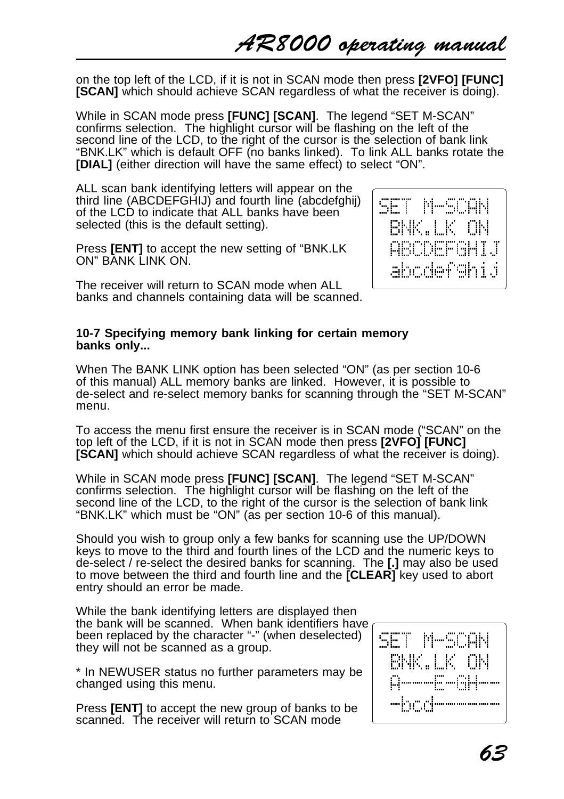AR8000 operating manual

on the top left of the LCD, if it is not in SCAN mode then press **[2VFO] [FUNC] [SCAN]** which should achieve SCAN regardless of what the receiver is doing).

While in SCAN mode press **[FUNC] [SCAN]**. The legend "SET M-SCAN" confirms selection. The highlight cursor will be flashing on the left of the second line of the LCD, to the right of the cursor is the selection of bank link "BNK.LK" which is default OFF (no banks linked). To link ALL banks rotate the **[DIAL]** (either direction will have the same effect) to select "ON".

ALL scan bank identifying letters will appear on the third line (ABCDEFGHIJ) and fourth line (abcdefghij) of the LCD to indicate that ALL banks have been selected (this is the default setting).

Press **[ENT]** to accept the new setting of "BNK.LK ON" BANK LINK ON

The receiver will return to SCAN mode when ALL banks and channels containing data will be scanned.



#### **10-7 Specifying memory bank linking for certain memory banks only...**

When The BANK LINK option has been selected "ON" (as per section 10-6 of this manual) ALL memory banks are linked. However, it is possible to de-select and re-select memory banks for scanning through the "SET M-SCAN" menu.

To access the menu first ensure the receiver is in SCAN mode ("SCAN" on the top left of the LCD, if it is not in SCAN mode then press **[2VFO] [FUNC] [SCAN]** which should achieve SCAN regardless of what the receiver is doing).

While in SCAN mode press **[FUNC] [SCAN]**. The legend "SET M-SCAN" confirms selection. The highlight cursor will be flashing on the left of the second line of the LCD, to the right of the cursor is the selection of bank link "BNK.LK" which must be "ON" (as per section 10-6 of this manual).

Should you wish to group only a few banks for scanning use the UP/DOWN keys to move to the third and fourth lines of the LCD and the numeric keys to de-select / re-select the desired banks for scanning. The **[.]** may also be used to move between the third and fourth line and the **[CLEAR]** key used to abort entry should an error be made.

While the bank identifying letters are displayed then the bank will be scanned. When bank identifiers have been replaced by the character "-" (when deselected) they will not be scanned as a group.

\* In NEWUSER status no further parameters may be changed using this menu.

Press **[ENT]** to accept the new group of banks to be scanned. The receiver will return to SCAN mode

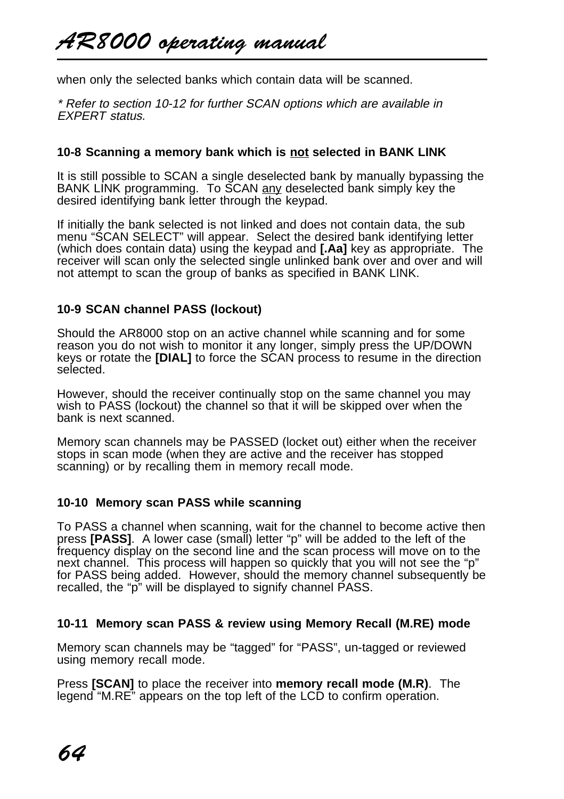when only the selected banks which contain data will be scanned.

\* Refer to section 10-12 for further SCAN options which are available in EXPERT status.

## **10-8 Scanning a memory bank which is not selected in BANK LINK**

It is still possible to SCAN a single deselected bank by manually bypassing the BANK LINK programming. To SCAN any deselected bank simply key the desired identifying bank letter through the keypad.

If initially the bank selected is not linked and does not contain data, the sub menu "SCAN SELECT" will appear. Select the desired bank identifying letter (which does contain data) using the keypad and **[.Aa]** key as appropriate. The receiver will scan only the selected single unlinked bank over and over and will not attempt to scan the group of banks as specified in BANK LINK.

## **10-9 SCAN channel PASS (lockout)**

Should the AR8000 stop on an active channel while scanning and for some reason you do not wish to monitor it any longer, simply press the UP/DOWN keys or rotate the **[DIAL]** to force the SCAN process to resume in the direction selected.

However, should the receiver continually stop on the same channel you may wish to PASS (lockout) the channel so that it will be skipped over when the bank is next scanned.

Memory scan channels may be PASSED (locket out) either when the receiver stops in scan mode (when they are active and the receiver has stopped scanning) or by recalling them in memory recall mode.

## **10-10 Memory scan PASS while scanning**

To PASS a channel when scanning, wait for the channel to become active then press **[PASS]**. A lower case (small) letter "p" will be added to the left of the frequency display on the second line and the scan process will move on to the next channel. This process will happen so quickly that you will not see the "p" for PASS being added. However, should the memory channel subsequently be recalled, the "p" will be displayed to signify channel PASS.

## **10-11 Memory scan PASS & review using Memory Recall (M.RE) mode**

Memory scan channels may be "tagged" for "PASS", un-tagged or reviewed using memory recall mode.

Press **[SCAN]** to place the receiver into **memory recall mode (M.R)**. The legend "M.RE" appears on the top left of the LCD to confirm operation.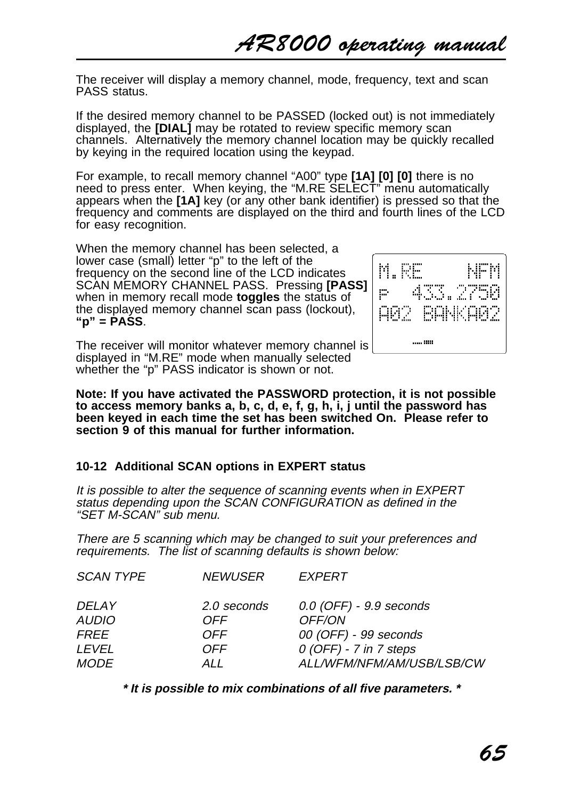The receiver will display a memory channel, mode, frequency, text and scan PASS status.

If the desired memory channel to be PASSED (locked out) is not immediately displayed, the **[DIAL]** may be rotated to review specific memory scan channels. Alternatively the memory channel location may be quickly recalled by keying in the required location using the keypad.

For example, to recall memory channel "A00" type **[1A] [0] [0]** there is no need to press enter. When keying, the "M.RE SELECT" menu automatically appears when the **[1A]** key (or any other bank identifier) is pressed so that the frequency and comments are displayed on the third and fourth lines of the LCD for easy recognition.

When the memory channel has been selected, a lower case (small) letter "p" to the left of the frequency on the second line of the LCD indicates SCAN MEMORY CHANNEL PASS. Pressing **[PASS]** when in memory recall mode **toggles** the status of the displayed memory channel scan pass (lockout), **"p" = PASS**.



The receiver will monitor whatever memory channel is displayed in "M.RE" mode when manually selected whether the "p" PASS indicator is shown or not.

**Note: If you have activated the PASSWORD protection, it is not possible to access memory banks a, b, c, d, e, f, g, h, i, j until the password has been keyed in each time the set has been switched On. Please refer to section 9 of this manual for further information.**

## **10-12 Additional SCAN options in EXPERT status**

It is possible to alter the sequence of scanning events when in EXPERT status depending upon the SCAN CONFIGURATION as defined in the "SET M-SCAN" sub menu.

There are 5 scanning which may be changed to suit your preferences and requirements. The list of scanning defaults is shown below:

| <b>SCAN TYPE</b> | <i>NEWUSER</i> | EXPERT                      |
|------------------|----------------|-----------------------------|
| DELAY            | 2.0 seconds    | $0.0$ (OFF) - $9.9$ seconds |
| <b>AUDIO</b>     | <b>OFF</b>     | OFF/ON                      |
| FREE             | OFF.           | 00 (OFF) - 99 seconds       |
| LEVEL            | <b>OFF</b>     | $0$ (OFF) - 7 in 7 steps    |
| <b>MODE</b>      | ALL            | ALL/WFM/NFM/AM/USB/LSB/CW   |

**\* It is possible to mix combinations of all five parameters. \***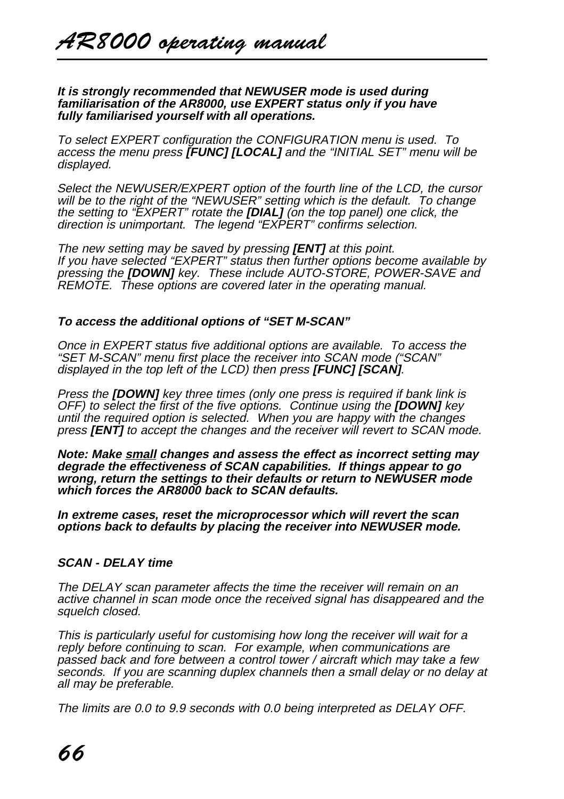#### **It is strongly recommended that NEWUSER mode is used during familiarisation of the AR8000, use EXPERT status only if you have fully familiarised yourself with all operations.**

To select EXPERT configuration the CONFIGURATION menu is used. To access the menu press **[FUNC] [LOCAL]** and the "INITIAL SET" menu will be displayed.

Select the NEWUSER/EXPERT option of the fourth line of the LCD, the cursor will be to the right of the "NEWUSER" setting which is the default. To change the setting to "EXPERT" rotate the **[DIAL]** (on the top panel) one click, the direction is unimportant. The legend "EXPERT" confirms selection.

The new setting may be saved by pressing **[ENT]** at this point. If you have selected "EXPERT" status then further options become available by pressing the **[DOWN]** key. These include AUTO-STORE, POWER-SAVE and REMOTE. These options are covered later in the operating manual.

## **To access the additional options of "SET M-SCAN"**

Once in EXPERT status five additional options are available. To access the "SET M-SCAN" menu first place the receiver into SCAN mode ("SCAN" displayed in the top left of the LCD) then press **[FUNC] [SCAN]**.

Press the **[DOWN]** key three times (only one press is required if bank link is OFF) to select the first of the five options. Continue using the **[DOWN]** key until the required option is selected. When you are happy with the changes press **[ENT]** to accept the changes and the receiver will revert to SCAN mode.

**Note: Make small changes and assess the effect as incorrect setting may degrade the effectiveness of SCAN capabilities. If things appear to go wrong, return the settings to their defaults or return to NEWUSER mode which forces the AR8000 back to SCAN defaults.**

**In extreme cases, reset the microprocessor which will revert the scan options back to defaults by placing the receiver into NEWUSER mode.**

## **SCAN - DELAY time**

The DELAY scan parameter affects the time the receiver will remain on an active channel in scan mode once the received signal has disappeared and the squelch closed.

This is particularly useful for customising how long the receiver will wait for a reply before continuing to scan. For example, when communications are passed back and fore between a control tower / aircraft which may take a few seconds. If you are scanning duplex channels then a small delay or no delay at all may be preferable.

The limits are 0.0 to 9.9 seconds with 0.0 being interpreted as DELAY OFF.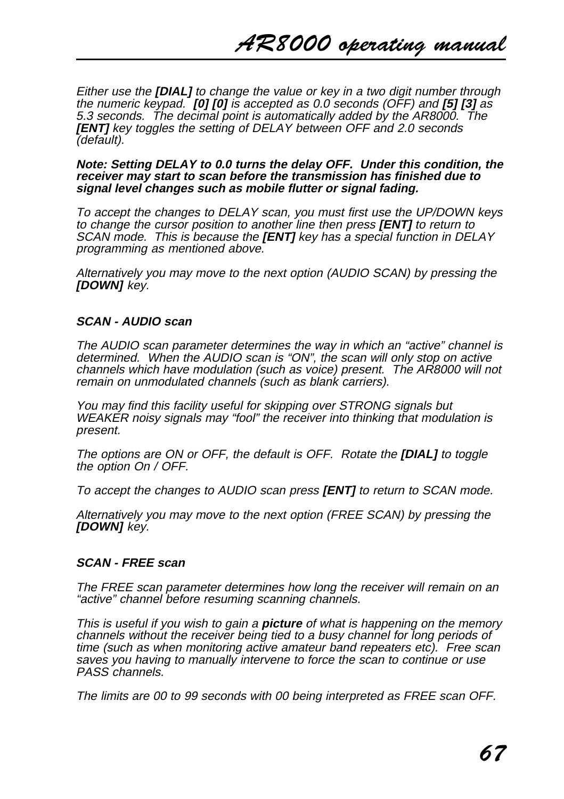Either use the **[DIAL]** to change the value or key in a two digit number through the numeric keypad. **[0] [0]** is accepted as 0.0 seconds (OFF) and **[5] [3]** as 5.3 seconds. The decimal point is automatically added by the AR8000. The **[ENT]** key toggles the setting of DELAY between OFF and 2.0 seconds (default).

#### **Note: Setting DELAY to 0.0 turns the delay OFF. Under this condition, the receiver may start to scan before the transmission has finished due to signal level changes such as mobile flutter or signal fading.**

To accept the changes to DELAY scan, you must first use the UP/DOWN keys to change the cursor position to another line then press **[ENT]** to return to SCAN mode. This is because the **[ENT]** key has a special function in DELAY programming as mentioned above.

Alternatively you may move to the next option (AUDIO SCAN) by pressing the **[DOWN]** key.

## **SCAN - AUDIO scan**

The AUDIO scan parameter determines the way in which an "active" channel is determined. When the AUDIO scan is "ON", the scan will only stop on active channels which have modulation (such as voice) present. The AR8000 will not remain on unmodulated channels (such as blank carriers).

You may find this facility useful for skipping over STRONG signals but WEAKER noisy signals may "fool" the receiver into thinking that modulation is present.

The options are ON or OFF, the default is OFF. Rotate the **[DIAL]** to toggle the option On / OFF.

To accept the changes to AUDIO scan press **[ENT]** to return to SCAN mode.

Alternatively you may move to the next option (FREE SCAN) by pressing the **[DOWN]** key.

#### **SCAN - FREE scan**

The FREE scan parameter determines how long the receiver will remain on an "active" channel before resuming scanning channels.

This is useful if you wish to gain a **picture** of what is happening on the memory channels without the receiver being tied to a busy channel for long periods of time (such as when monitoring active amateur band repeaters etc). Free scan saves you having to manually intervene to force the scan to continue or use PASS channels.

The limits are 00 to 99 seconds with 00 being interpreted as FREE scan OFF.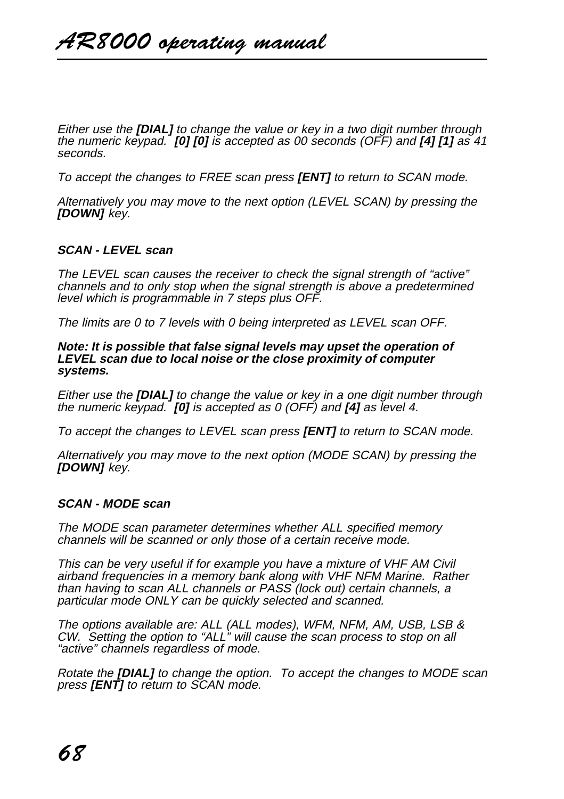Either use the **[DIAL]** to change the value or key in a two digit number through the numeric keypad. **[0] [0]** is accepted as 00 seconds (OFF) and **[4] [1]** as 41 seconds.

To accept the changes to FREE scan press **[ENT]** to return to SCAN mode.

Alternatively you may move to the next option (LEVEL SCAN) by pressing the **[DOWN]** key.

#### **SCAN - LEVEL scan**

The LEVEL scan causes the receiver to check the signal strength of "active" channels and to only stop when the signal strength is above a predetermined level which is programmable in 7 steps plus OFF.

The limits are 0 to 7 levels with 0 being interpreted as LEVEL scan OFF.

**Note: It is possible that false signal levels may upset the operation of LEVEL scan due to local noise or the close proximity of computer systems.**

Either use the **[DIAL]** to change the value or key in a one digit number through the numeric keypad. **[0]** is accepted as 0 (OFF) and **[4]** as level 4.

To accept the changes to LEVEL scan press **[ENT]** to return to SCAN mode.

Alternatively you may move to the next option (MODE SCAN) by pressing the **[DOWN]** key.

#### **SCAN - MODE scan**

The MODE scan parameter determines whether ALL specified memory channels will be scanned or only those of a certain receive mode.

This can be very useful if for example you have a mixture of VHF AM Civil airband frequencies in a memory bank along with VHF NFM Marine. Rather than having to scan ALL channels or PASS (lock out) certain channels, a particular mode ONLY can be quickly selected and scanned.

The options available are: ALL (ALL modes), WFM, NFM, AM, USB, LSB & CW. Setting the option to "ALL" will cause the scan process to stop on all "active" channels regardless of mode.

Rotate the **[DIAL]** to change the option. To accept the changes to MODE scan press **[ENT]** to return to SCAN mode.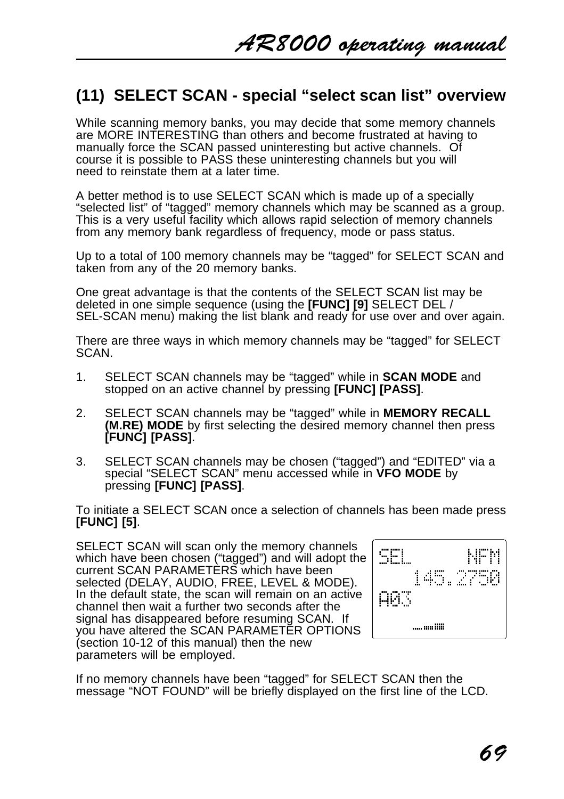# **(11) SELECT SCAN - special "select scan list" overview**

While scanning memory banks, you may decide that some memory channels are MORE INTERESTING than others and become frustrated at having to manually force the SCAN passed uninteresting but active channels. Of course it is possible to PASS these uninteresting channels but you will need to reinstate them at a later time.

A better method is to use SELECT SCAN which is made up of a specially "selected list" of "tagged" memory channels which may be scanned as a group. This is a very useful facility which allows rapid selection of memory channels from any memory bank regardless of frequency, mode or pass status.

Up to a total of 100 memory channels may be "tagged" for SELECT SCAN and taken from any of the 20 memory banks.

One great advantage is that the contents of the SELECT SCAN list may be deleted in one simple sequence (using the **[FUNC] [9]** SELECT DEL / SEL-SCAN menu) making the list blank and ready for use over and over again.

There are three ways in which memory channels may be "tagged" for SELECT SCAN.

- 1. SELECT SCAN channels may be "tagged" while in **SCAN MODE** and stopped on an active channel by pressing **[FUNC] [PASS]**.
- 2. SELECT SCAN channels may be "tagged" while in **MEMORY RECALL (M.RE) MODE** by first selecting the desired memory channel then press **[FUNC] [PASS]**.
- 3. SELECT SCAN channels may be chosen ("tagged") and "EDITED" via a special "SELECT SCAN" menu accessed while in **VFO MODE** by pressing **[FUNC] [PASS]**.

To initiate a SELECT SCAN once a selection of channels has been made press **[FUNC] [5]**.

SELECT SCAN will scan only the memory channels which have been chosen ("tagged") and will adopt the current SCAN PARAMETERS which have been selected (DELAY, AUDIO, FREE, LEVEL & MODE). In the default state, the scan will remain on an active channel then wait a further two seconds after the signal has disappeared before resuming SCAN. If you have altered the SCAN PARAMETER OPTIONS (section 10-12 of this manual) then the new parameters will be employed.



If no memory channels have been "tagged" for SELECT SCAN then the message "NOT FOUND" will be briefly displayed on the first line of the LCD.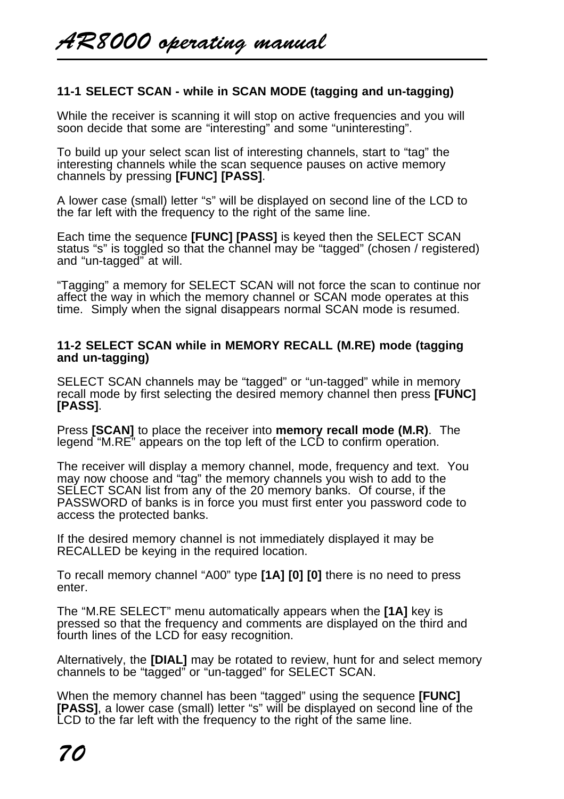## **11-1 SELECT SCAN - while in SCAN MODE (tagging and un-tagging)**

While the receiver is scanning it will stop on active frequencies and you will soon decide that some are "interesting" and some "uninteresting".

To build up your select scan list of interesting channels, start to "tag" the interesting channels while the scan sequence pauses on active memory channels by pressing **[FUNC] [PASS]**.

A lower case (small) letter "s" will be displayed on second line of the LCD to the far left with the frequency to the right of the same line.

Each time the sequence **[FUNC] [PASS]** is keyed then the SELECT SCAN status "s" is toggled so that the channel may be "tagged" (chosen / registered) and "un-tagged" at will.

"Tagging" a memory for SELECT SCAN will not force the scan to continue nor affect the way in which the memory channel or SCAN mode operates at this time. Simply when the signal disappears normal SCAN mode is resumed.

#### **11-2 SELECT SCAN while in MEMORY RECALL (M.RE) mode (tagging and un-tagging)**

SELECT SCAN channels may be "tagged" or "un-tagged" while in memory recall mode by first selecting the desired memory channel then press **[FUNC] [PASS]**.

Press **[SCAN]** to place the receiver into **memory recall mode (M.R)**. The legend "M.RE" appears on the top left of the LCD to confirm operation.

The receiver will display a memory channel, mode, frequency and text. You may now choose and "tag" the memory channels you wish to add to the SELECT SCAN list from any of the 20 memory banks. Of course, if the PASSWORD of banks is in force you must first enter you password code to access the protected banks.

If the desired memory channel is not immediately displayed it may be RECALLED be keying in the required location.

To recall memory channel "A00" type **[1A] [0] [0]** there is no need to press enter.

The "M.RE SELECT" menu automatically appears when the **[1A]** key is pressed so that the frequency and comments are displayed on the third and fourth lines of the LCD for easy recognition.

Alternatively, the **[DIAL]** may be rotated to review, hunt for and select memory channels to be "tagged" or "un-tagged" for SELECT SCAN.

When the memory channel has been "tagged" using the sequence **[FUNC] [PASS]**, a lower case (small) letter "s" will be displayed on second line of the LCD to the far left with the frequency to the right of the same line.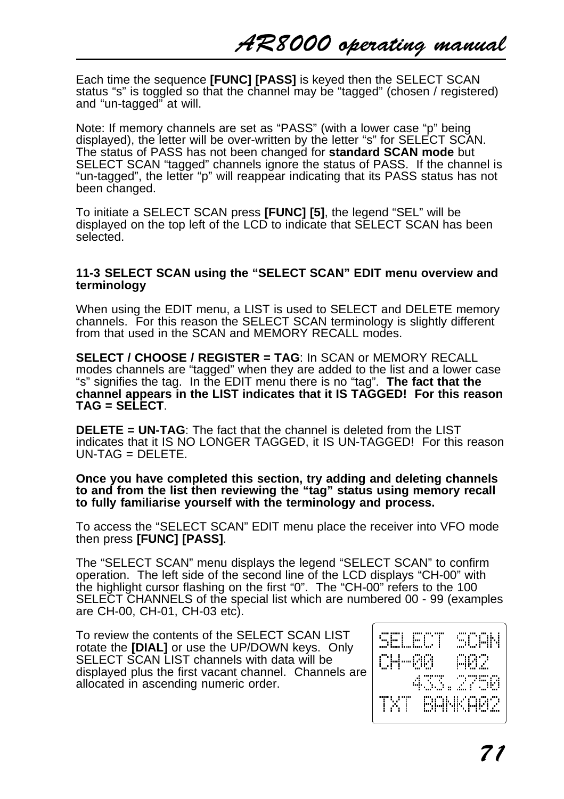Each time the sequence **[FUNC] [PASS]** is keyed then the SELECT SCAN status "s" is toggled so that the channel may be "tagged" (chosen / registered) and "un-tagged" at will.

Note: If memory channels are set as "PASS" (with a lower case "p" being displayed), the letter will be over-written by the letter "s" for SELECT SCAN. The status of PASS has not been changed for **standard SCAN mode** but SELECT SCAN "tagged" channels ignore the status of PASS. If the channel is "un-tagged", the letter "p" will reappear indicating that its PASS status has not been changed.

To initiate a SELECT SCAN press **[FUNC] [5]**, the legend "SEL" will be displayed on the top left of the LCD to indicate that SELECT SCAN has been selected.

#### **11-3 SELECT SCAN using the "SELECT SCAN" EDIT menu overview and terminology**

When using the EDIT menu, a LIST is used to SELECT and DELETE memory channels. For this reason the SELECT SCAN terminology is slightly different from that used in the SCAN and MEMORY RECALL modes.

**SELECT / CHOOSE / REGISTER = TAG**: In SCAN or MEMORY RECALL modes channels are "tagged" when they are added to the list and a lower case "s" signifies the tag. In the EDIT menu there is no "tag". **The fact that the channel appears in the LIST indicates that it IS TAGGED! For this reason TAG = SELECT**.

**DELETE = UN-TAG**: The fact that the channel is deleted from the LIST indicates that it IS NO LONGER TAGGED, it IS UN-TAGGED! For this reason UN-TAG = DELETE.

#### **Once you have completed this section, try adding and deleting channels to and from the list then reviewing the "tag" status using memory recall to fully familiarise yourself with the terminology and process.**

To access the "SELECT SCAN" EDIT menu place the receiver into VFO mode then press **[FUNC] [PASS]**.

The "SELECT SCAN" menu displays the legend "SELECT SCAN" to confirm operation. The left side of the second line of the LCD displays "CH-00" with the highlight cursor flashing on the first "0". The "CH-00" refers to the 100 SELECT CHANNELS of the special list which are numbered 00 - 99 (examples are CH-00, CH-01, CH-03 etc).

To review the contents of the SELECT SCAN LIST rotate the **[DIAL]** or use the UP/DOWN keys. Only SELECT SCAN LIST channels with data will be displayed plus the first vacant channel. Channels are allocated in ascending numeric order.

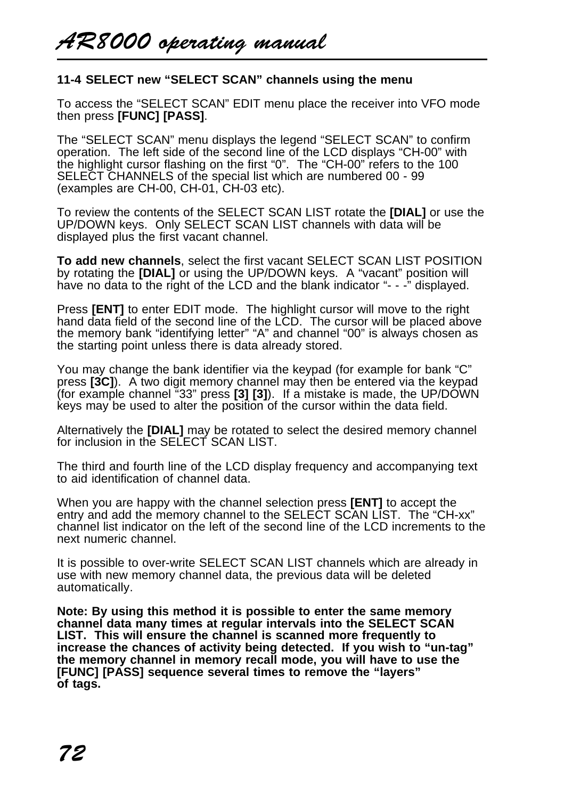## **11-4 SELECT new "SELECT SCAN" channels using the menu**

To access the "SELECT SCAN" EDIT menu place the receiver into VFO mode then press **[FUNC] [PASS]**.

The "SELECT SCAN" menu displays the legend "SELECT SCAN" to confirm operation. The left side of the second line of the LCD displays "CH-00" with the highlight cursor flashing on the first "0". The "CH-00" refers to the 100 SELECT CHANNELS of the special list which are numbered 00 - 99 (examples are CH-00, CH-01, CH-03 etc).

To review the contents of the SELECT SCAN LIST rotate the **[DIAL]** or use the UP/DOWN keys. Only SELECT SCAN LIST channels with data will be displayed plus the first vacant channel.

**To add new channels**, select the first vacant SELECT SCAN LIST POSITION by rotating the **[DIAL]** or using the UP/DOWN keys. A "vacant" position will have no data to the right of the LCD and the blank indicator "- - -" displayed.

Press **[ENT]** to enter EDIT mode. The highlight cursor will move to the right hand data field of the second line of the LCD. The cursor will be placed above the memory bank "identifying letter" "A" and channel "00" is always chosen as the starting point unless there is data already stored.

You may change the bank identifier via the keypad (for example for bank "C" press **[3C]**). A two digit memory channel may then be entered via the keypad (for example channel "33" press **[3] [3]**). If a mistake is made, the UP/DOWN keys may be used to alter the position of the cursor within the data field.

Alternatively the **[DIAL]** may be rotated to select the desired memory channel for inclusion in the SELECT SCAN LIST.

The third and fourth line of the LCD display frequency and accompanying text to aid identification of channel data.

When you are happy with the channel selection press **[ENT]** to accept the entry and add the memory channel to the SELECT SCAN LIST. The "CH-xx" channel list indicator on the left of the second line of the LCD increments to the next numeric channel.

It is possible to over-write SELECT SCAN LIST channels which are already in use with new memory channel data, the previous data will be deleted automatically.

**Note: By using this method it is possible to enter the same memory channel data many times at regular intervals into the SELECT SCAN LIST. This will ensure the channel is scanned more frequently to increase the chances of activity being detected. If you wish to "un-tag" the memory channel in memory recall mode, you will have to use the [FUNC] [PASS] sequence several times to remove the "layers" of tags.**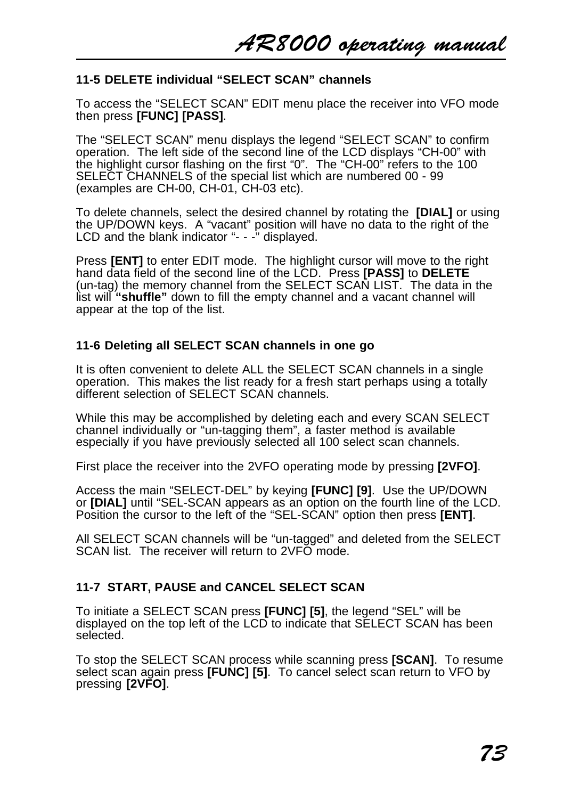# **11-5 DELETE individual "SELECT SCAN" channels**

To access the "SELECT SCAN" EDIT menu place the receiver into VFO mode then press **[FUNC] [PASS]**.

The "SELECT SCAN" menu displays the legend "SELECT SCAN" to confirm operation. The left side of the second line of the LCD displays "CH-00" with the highlight cursor flashing on the first "0". The "CH-00" refers to the 100 SELECT CHANNELS of the special list which are numbered 00 - 99 (examples are CH-00, CH-01, CH-03 etc).

To delete channels, select the desired channel by rotating the **[DIAL]** or using the UP/DOWN keys. A "vacant" position will have no data to the right of the LCD and the blank indicator "- - -" displayed.

Press **[ENT]** to enter EDIT mode. The highlight cursor will move to the right hand data field of the second line of the LCD. Press **[PASS]** to **DELETE** (un-tag) the memory channel from the SELECT SCAN LIST. The data in the list will **"shuffle"** down to fill the empty channel and a vacant channel will appear at the top of the list.

# **11-6 Deleting all SELECT SCAN channels in one go**

It is often convenient to delete ALL the SELECT SCAN channels in a single operation. This makes the list ready for a fresh start perhaps using a totally different selection of SELECT SCAN channels.

While this may be accomplished by deleting each and every SCAN SELECT channel individually or "un-tagging them", a faster method is available especially if you have previously selected all 100 select scan channels.

First place the receiver into the 2VFO operating mode by pressing **[2VFO]**.

Access the main "SELECT-DEL" by keying **[FUNC] [9]**. Use the UP/DOWN or **[DIAL]** until "SEL-SCAN appears as an option on the fourth line of the LCD. Position the cursor to the left of the "SEL-SCAN" option then press **[ENT]**.

All SELECT SCAN channels will be "un-tagged" and deleted from the SELECT SCAN list. The receiver will return to 2VFO mode.

# **11-7 START, PAUSE and CANCEL SELECT SCAN**

To initiate a SELECT SCAN press **[FUNC] [5]**, the legend "SEL" will be displayed on the top left of the LCD to indicate that SELECT SCAN has been selected.

To stop the SELECT SCAN process while scanning press **[SCAN]**. To resume select scan again press **[FUNC] [5]**. To cancel select scan return to VFO by pressing **[2VFO]**.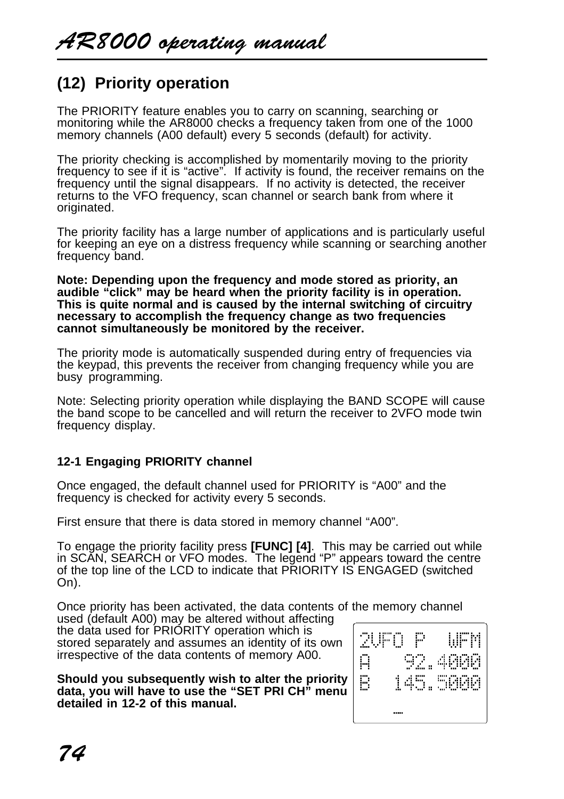# **(12) Priority operation**

The PRIORITY feature enables you to carry on scanning, searching or monitoring while the AR8000 checks a frequency taken from one of the 1000 memory channels (A00 default) every 5 seconds (default) for activity.

The priority checking is accomplished by momentarily moving to the priority frequency to see if it is "active". If activity is found, the receiver remains on the frequency until the signal disappears. If no activity is detected, the receiver returns to the VFO frequency, scan channel or search bank from where it originated.

The priority facility has a large number of applications and is particularly useful for keeping an eye on a distress frequency while scanning or searching another frequency band.

**Note: Depending upon the frequency and mode stored as priority, an audible "click" may be heard when the priority facility is in operation. This is quite normal and is caused by the internal switching of circuitry necessary to accomplish the frequency change as two frequencies cannot simultaneously be monitored by the receiver.**

The priority mode is automatically suspended during entry of frequencies via the keypad, this prevents the receiver from changing frequency while you are busy programming.

Note: Selecting priority operation while displaying the BAND SCOPE will cause the band scope to be cancelled and will return the receiver to 2VFO mode twin frequency display.

# **12-1 Engaging PRIORITY channel**

Once engaged, the default channel used for PRIORITY is "A00" and the frequency is checked for activity every 5 seconds.

First ensure that there is data stored in memory channel "A00".

To engage the priority facility press **[FUNC] [4]**. This may be carried out while in SCAN, SEARCH or VFO modes. The legend "P" appears toward the centre of the top line of the LCD to indicate that PRIORITY IS ENGAGED (switched On).

Once priority has been activated, the data contents of the memory channel

used (default A00) may be altered without affecting the data used for PRIORITY operation which is stored separately and assumes an identity of its own irrespective of the data contents of memory A00.

**Should you subsequently wish to alter the priority data, you will have to use the "SET PRI CH" menu detailed in 12-2 of this manual.**

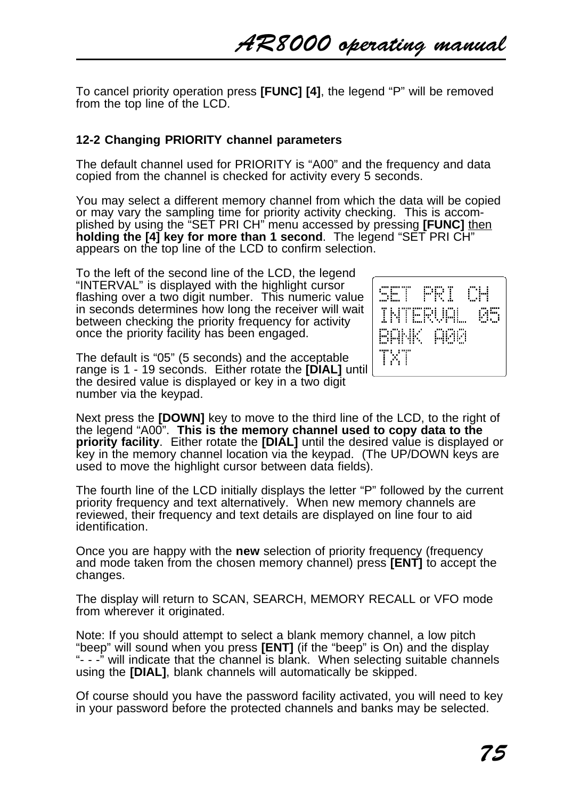To cancel priority operation press **[FUNC] [4]**, the legend "P" will be removed from the top line of the LCD.

# **12-2 Changing PRIORITY channel parameters**

The default channel used for PRIORITY is "A00" and the frequency and data copied from the channel is checked for activity every 5 seconds.

You may select a different memory channel from which the data will be copied or may vary the sampling time for priority activity checking. This is accomplished by using the "SET PRI CH" menu accessed by pressing **[FUNC]** then **holding the [4] key for more than 1 second.** The legend "SET PRI CH<sup>"</sup> appears on the top line of the LCD to confirm selection.

To the left of the second line of the LCD, the legend "INTERVAL" is displayed with the highlight cursor flashing over a two digit number. This numeric value in seconds determines how long the receiver will wait between checking the priority frequency for activity once the priority facility has been engaged.



The default is "05" (5 seconds) and the acceptable range is 1 - 19 seconds. Either rotate the **[DIAL]** until the desired value is displayed or key in a two digit number via the keypad.

Next press the **[DOWN]** key to move to the third line of the LCD, to the right of the legend "A00". **This is the memory channel used to copy data to the priority facility**. Either rotate the **[DIAL]** until the desired value is displayed or key in the memory channel location via the keypad. (The UP/DOWN keys are used to move the highlight cursor between data fields).

The fourth line of the LCD initially displays the letter "P" followed by the current priority frequency and text alternatively. When new memory channels are reviewed, their frequency and text details are displayed on line four to aid identification.

Once you are happy with the **new** selection of priority frequency (frequency and mode taken from the chosen memory channel) press **[ENT]** to accept the changes.

The display will return to SCAN, SEARCH, MEMORY RECALL or VFO mode from wherever it originated.

Note: If you should attempt to select a blank memory channel, a low pitch "beep" will sound when you press **[ENT]** (if the "beep" is On) and the display "- - -" will indicate that the channel is blank. When selecting suitable channels using the **[DIAL]**, blank channels will automatically be skipped.

Of course should you have the password facility activated, you will need to key in your password before the protected channels and banks may be selected.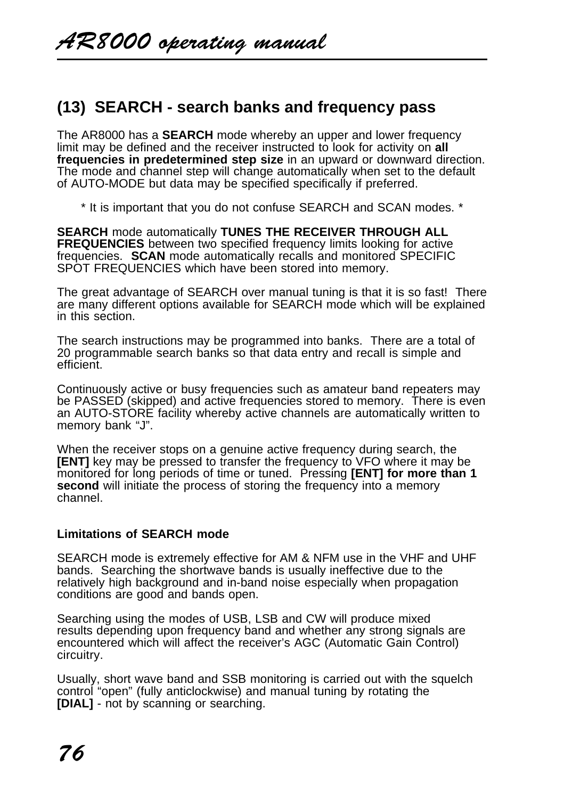# **(13) SEARCH - search banks and frequency pass**

The AR8000 has a **SEARCH** mode whereby an upper and lower frequency limit may be defined and the receiver instructed to look for activity on **all frequencies in predetermined step size** in an upward or downward direction. The mode and channel step will change automatically when set to the default of AUTO-MODE but data may be specified specifically if preferred.

\* It is important that you do not confuse SEARCH and SCAN modes. \*

**SEARCH** mode automatically **TUNES THE RECEIVER THROUGH ALL FREQUENCIES** between two specified frequency limits looking for active frequencies. **SCAN** mode automatically recalls and monitored SPECIFIC SPOT FREQUENCIES which have been stored into memory.

The great advantage of SEARCH over manual tuning is that it is so fast! There are many different options available for SEARCH mode which will be explained in this section.

The search instructions may be programmed into banks. There are a total of 20 programmable search banks so that data entry and recall is simple and efficient.

Continuously active or busy frequencies such as amateur band repeaters may be PASSED (skipped) and active frequencies stored to memory. There is even an AUTO-STORE facility whereby active channels are automatically written to memory bank "J".

When the receiver stops on a genuine active frequency during search, the **[ENT]** key may be pressed to transfer the frequency to VFO where it may be monitored for long periods of time or tuned. Pressing **[ENT] for more than 1 second** will initiate the process of storing the frequency into a memory channel.

# **Limitations of SEARCH mode**

SEARCH mode is extremely effective for AM & NFM use in the VHF and UHF bands. Searching the shortwave bands is usually ineffective due to the relatively high background and in-band noise especially when propagation conditions are good and bands open.

Searching using the modes of USB, LSB and CW will produce mixed results depending upon frequency band and whether any strong signals are encountered which will affect the receiver's AGC (Automatic Gain Control) circuitry.

Usually, short wave band and SSB monitoring is carried out with the squelch control "open" (fully anticlockwise) and manual tuning by rotating the **[DIAL]** - not by scanning or searching.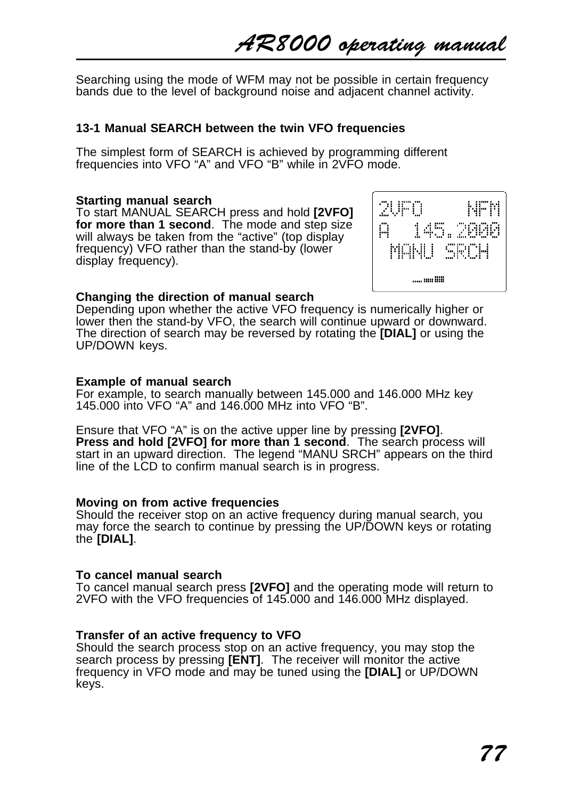AR8000 operating manual

Searching using the mode of WFM may not be possible in certain frequency bands due to the level of background noise and adjacent channel activity.

#### **13-1 Manual SEARCH between the twin VFO frequencies**

The simplest form of SEARCH is achieved by programming different frequencies into VFO "A" and VFO "B" while in 2VFO mode.

#### **Starting manual search**

To start MANUAL SEARCH press and hold **[2VFO] for more than 1 second**. The mode and step size will always be taken from the "active" (top display frequency) VFO rather than the stand-by (lower display frequency).



#### **Changing the direction of manual search**

Depending upon whether the active VFO frequency is numerically higher or lower then the stand-by VFO, the search will continue upward or downward. The direction of search may be reversed by rotating the **[DIAL]** or using the UP/DOWN keys.

#### **Example of manual search**

For example, to search manually between 145.000 and 146.000 MHz key 145.000 into VFO "A" and 146.000 MHz into VFO "B".

Ensure that VFO "A" is on the active upper line by pressing **[2VFO]**. **Press and hold [2VFO] for more than 1 second**. The search process will start in an upward direction. The legend "MANU SRCH" appears on the third line of the LCD to confirm manual search is in progress.

#### **Moving on from active frequencies**

Should the receiver stop on an active frequency during manual search, you may force the search to continue by pressing the UP/DOWN keys or rotating the **[DIAL]**.

#### **To cancel manual search**

To cancel manual search press **[2VFO]** and the operating mode will return to 2VFO with the VFO frequencies of 145.000 and 146.000 MHz displayed.

#### **Transfer of an active frequency to VFO**

Should the search process stop on an active frequency, you may stop the search process by pressing **[ENT]**. The receiver will monitor the active frequency in VFO mode and may be tuned using the **[DIAL]** or UP/DOWN keys.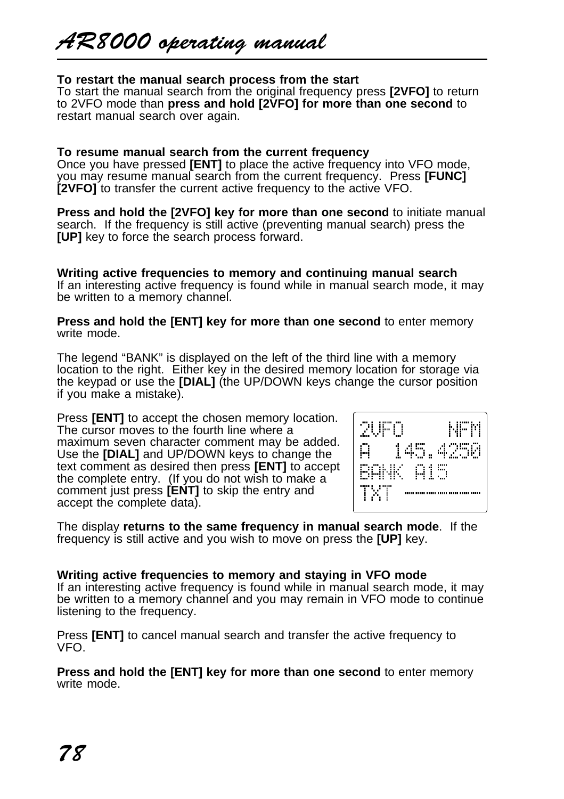# **To restart the manual search process from the start**

To start the manual search from the original frequency press **[2VFO]** to return to 2VFO mode than **press and hold [2VFO] for more than one second** to restart manual search over again.

# **To resume manual search from the current frequency**

Once you have pressed **[ENT]** to place the active frequency into VFO mode, you may resume manual search from the current frequency. Press **[FUNC] [2VFO]** to transfer the current active frequency to the active VFO.

**Press and hold the [2VFO] key for more than one second** to initiate manual search. If the frequency is still active (preventing manual search) press the **[UP]** key to force the search process forward.

**Writing active frequencies to memory and continuing manual search** If an interesting active frequency is found while in manual search mode, it may be written to a memory channel.

**Press and hold the [ENT] key for more than one second** to enter memory write mode.

The legend "BANK" is displayed on the left of the third line with a memory location to the right. Either key in the desired memory location for storage via the keypad or use the **[DIAL]** (the UP/DOWN keys change the cursor position if you make a mistake).

Press **[ENT]** to accept the chosen memory location. The cursor moves to the fourth line where a maximum seven character comment may be added. Use the **[DIAL]** and UP/DOWN keys to change the text comment as desired then press **[ENT]** to accept the complete entry. (If you do not wish to make a comment just press **[ENT]** to skip the entry and accept the complete data).



The display **returns to the same frequency in manual search mode**. If the frequency is still active and you wish to move on press the **[UP]** key.

# **Writing active frequencies to memory and staying in VFO mode**

If an interesting active frequency is found while in manual search mode, it may be written to a memory channel and you may remain in VFO mode to continue listening to the frequency.

Press **[ENT]** to cancel manual search and transfer the active frequency to VFO.

**Press and hold the [ENT] key for more than one second** to enter memory write mode.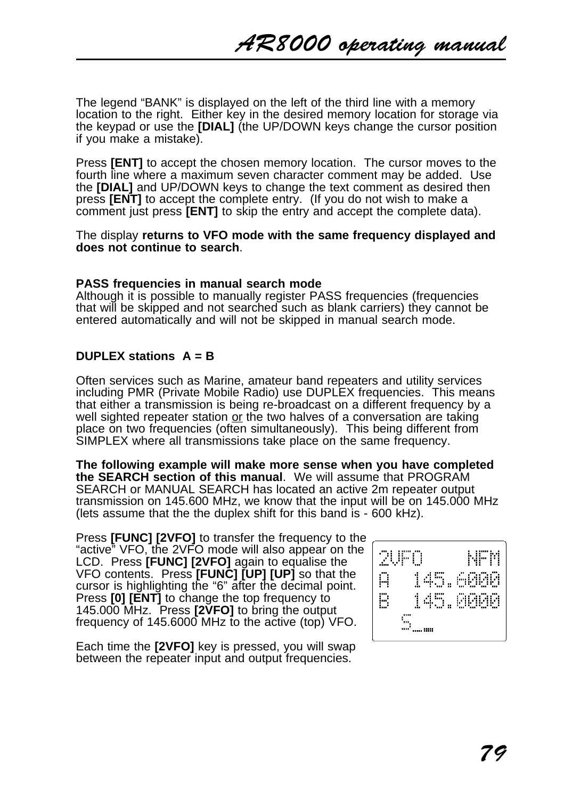The legend "BANK" is displayed on the left of the third line with a memory location to the right. Either key in the desired memory location for storage via the keypad or use the **[DIAL]** (the UP/DOWN keys change the cursor position if you make a mistake).

Press **[ENT]** to accept the chosen memory location. The cursor moves to the fourth line where a maximum seven character comment may be added. Use the **[DIAL]** and UP/DOWN keys to change the text comment as desired then press **[ENT]** to accept the complete entry. (If you do not wish to make a comment just press **[ENT]** to skip the entry and accept the complete data).

The display **returns to VFO mode with the same frequency displayed and does not continue to search**.

#### **PASS frequencies in manual search mode**

Although it is possible to manually register PASS frequencies (frequencies that will be skipped and not searched such as blank carriers) they cannot be entered automatically and will not be skipped in manual search mode.

# **DUPLEX stations A = B**

Often services such as Marine, amateur band repeaters and utility services including PMR (Private Mobile Radio) use DUPLEX frequencies. This means that either a transmission is being re-broadcast on a different frequency by a well sighted repeater station or the two halves of a conversation are taking place on two frequencies (often simultaneously). This being different from SIMPLEX where all transmissions take place on the same frequency.

**The following example will make more sense when you have completed the SEARCH section of this manual**. We will assume that PROGRAM SEARCH or MANUAL SEARCH has located an active 2m repeater output transmission on 145.600 MHz, we know that the input will be on 145.000 MHz (lets assume that the the duplex shift for this band is - 600 kHz).

Press **[FUNC] [2VFO]** to transfer the frequency to the "active" VFO, the 2VFO mode will also appear on the LCD. Press **[FUNC] [2VFO]** again to equalise the VFO contents. Press **[FUNC] [UP] [UP]** so that the cursor is highlighting the "6" after the decimal point. Press **[0] [ENT]** to change the top frequency to 145.000 MHz. Press **[2VFO]** to bring the output frequency of 145.6000 MHz to the active (top) VFO.

Each time the **[2VFO]** key is pressed, you will swap between the repeater input and output frequencies.

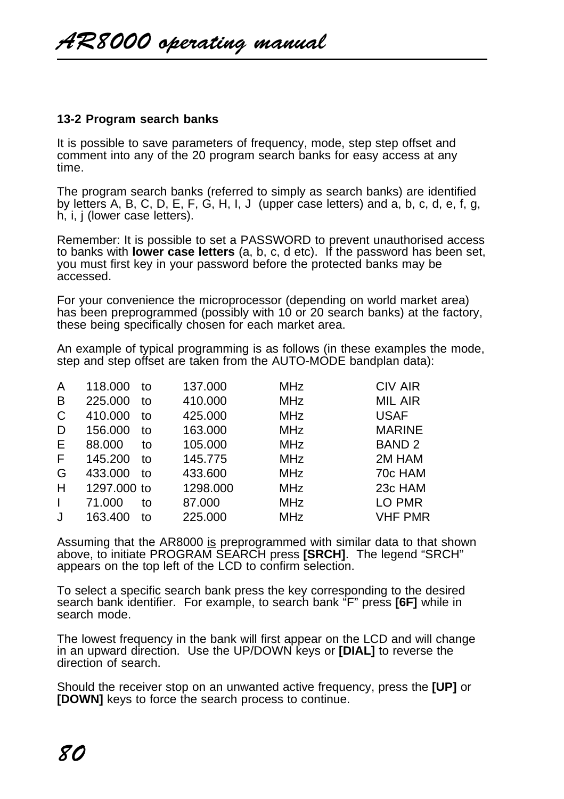# **13-2 Program search banks**

It is possible to save parameters of frequency, mode, step step offset and comment into any of the 20 program search banks for easy access at any time.

The program search banks (referred to simply as search banks) are identified by letters A, B, C, D, E, F, G, H, I, J (upper case letters) and a, b, c, d, e, f, g, h, i, j (lower case letters).

Remember: It is possible to set a PASSWORD to prevent unauthorised access to banks with **lower case letters** (a, b, c, d etc). If the password has been set, you must first key in your password before the protected banks may be accessed.

For your convenience the microprocessor (depending on world market area) has been preprogrammed (possibly with 10 or 20 search banks) at the factory, these being specifically chosen for each market area.

An example of typical programming is as follows (in these examples the mode, step and step offset are taken from the AUTO-MODE bandplan data):

| A            | 118.000     | to | 137.000  | <b>MHz</b> | CIV AIR           |
|--------------|-------------|----|----------|------------|-------------------|
| B            | 225.000     | to | 410.000  | <b>MHz</b> | MIL AIR           |
| C            | 410.000     | to | 425.000  | <b>MHz</b> | <b>USAF</b>       |
| D            | 156.000     | to | 163.000  | <b>MHz</b> | <b>MARINE</b>     |
| Е            | 88,000      | to | 105.000  | <b>MHz</b> | BAND <sub>2</sub> |
| F            | 145.200     | to | 145.775  | <b>MHz</b> | 2M HAM            |
| G            | 433.000     | to | 433.600  | <b>MHz</b> | 70c HAM           |
| н            | 1297,000 to |    | 1298.000 | <b>MHz</b> | 23c HAM           |
| $\mathbf{I}$ | 71.000      | to | 87.000   | <b>MHz</b> | LO PMR            |
|              | 163.400     | to | 225.000  | <b>MHz</b> | <b>VHF PMR</b>    |
|              |             |    |          |            |                   |

Assuming that the AR8000 is preprogrammed with similar data to that shown above, to initiate PROGRAM SEARCH press **[SRCH]**. The legend "SRCH" appears on the top left of the LCD to confirm selection.

To select a specific search bank press the key corresponding to the desired search bank identifier. For example, to search bank "F" press **[6F]** while in search mode.

The lowest frequency in the bank will first appear on the LCD and will change in an upward direction. Use the UP/DOWN keys or **[DIAL]** to reverse the direction of search.

Should the receiver stop on an unwanted active frequency, press the **[UP]** or **[DOWN]** keys to force the search process to continue.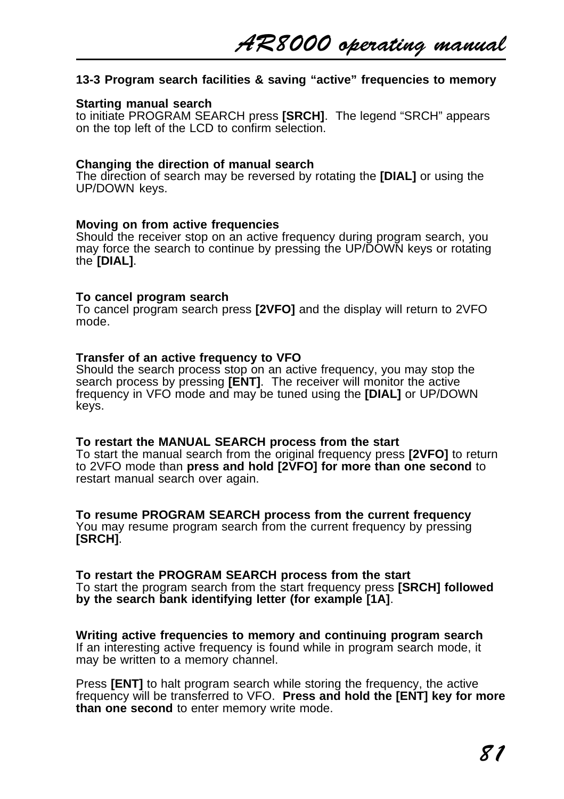# **13-3 Program search facilities & saving "active" frequencies to memory**

#### **Starting manual search**

to initiate PROGRAM SEARCH press **[SRCH]**. The legend "SRCH" appears on the top left of the LCD to confirm selection.

#### **Changing the direction of manual search**

The direction of search may be reversed by rotating the **[DIAL]** or using the UP/DOWN keys.

### **Moving on from active frequencies**

Should the receiver stop on an active frequency during program search, you may force the search to continue by pressing the UP/DOWN keys or rotating the **[DIAL]**.

#### **To cancel program search**

To cancel program search press **[2VFO]** and the display will return to 2VFO mode.

#### **Transfer of an active frequency to VFO**

Should the search process stop on an active frequency, you may stop the search process by pressing **[ENT]**. The receiver will monitor the active frequency in VFO mode and may be tuned using the **[DIAL]** or UP/DOWN keys.

#### **To restart the MANUAL SEARCH process from the start**

To start the manual search from the original frequency press **[2VFO]** to return to 2VFO mode than **press and hold [2VFO] for more than one second** to restart manual search over again.

### **To resume PROGRAM SEARCH process from the current frequency**

You may resume program search from the current frequency by pressing **[SRCH]**.

#### **To restart the PROGRAM SEARCH process from the start**

To start the program search from the start frequency press **[SRCH] followed by the search bank identifying letter (for example [1A]**.

**Writing active frequencies to memory and continuing program search** If an interesting active frequency is found while in program search mode, it may be written to a memory channel.

Press **[ENT]** to halt program search while storing the frequency, the active frequency will be transferred to VFO. **Press and hold the [ENT] key for more than one second** to enter memory write mode.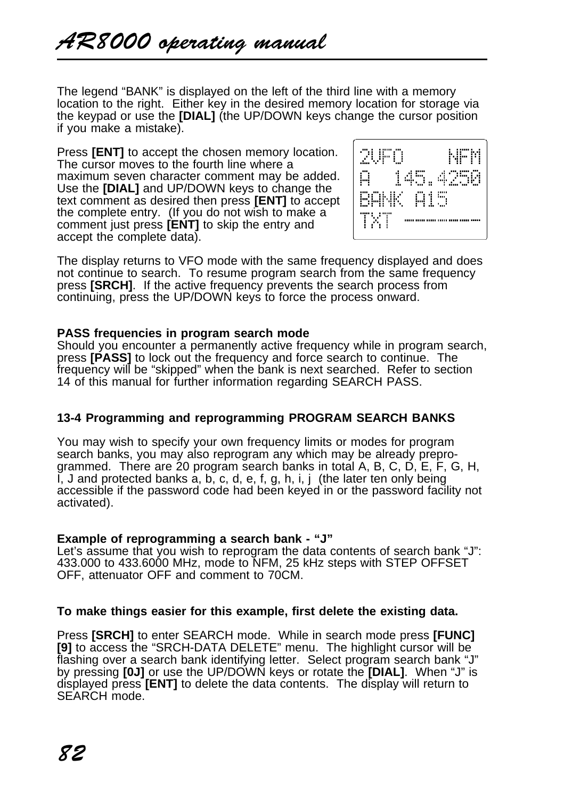The legend "BANK" is displayed on the left of the third line with a memory location to the right. Either key in the desired memory location for storage via the keypad or use the **[DIAL]** (the UP/DOWN keys change the cursor position if you make a mistake).

Press **[ENT]** to accept the chosen memory location. The cursor moves to the fourth line where a maximum seven character comment may be added. Use the **[DIAL]** and UP/DOWN keys to change the text comment as desired then press **[ENT]** to accept the complete entry. (If you do not wish to make a comment just press **[ENT]** to skip the entry and accept the complete data).



The display returns to VFO mode with the same frequency displayed and does not continue to search. To resume program search from the same frequency press **[SRCH]**. If the active frequency prevents the search process from continuing, press the UP/DOWN keys to force the process onward.

## **PASS frequencies in program search mode**

Should you encounter a permanently active frequency while in program search, press **[PASS]** to lock out the frequency and force search to continue. The frequency will be "skipped" when the bank is next searched. Refer to section 14 of this manual for further information regarding SEARCH PASS.

# **13-4 Programming and reprogramming PROGRAM SEARCH BANKS**

You may wish to specify your own frequency limits or modes for program search banks, you may also reprogram any which may be already preprogrammed. There are 20 program search banks in total A, B, C, D, E, F, G, H, I, J and protected banks a, b, c, d, e, f, g, h, i, j (the later ten only being accessible if the password code had been keyed in or the password facility not activated).

# **Example of reprogramming a search bank - "J"**

Let's assume that you wish to reprogram the data contents of search bank "J": 433.000 to 433.6000 MHz, mode to NFM, 25 kHz steps with STEP OFFSET OFF, attenuator OFF and comment to 70CM.

# **To make things easier for this example, first delete the existing data.**

Press **[SRCH]** to enter SEARCH mode. While in search mode press **[FUNC] [9]** to access the "SRCH-DATA DELETE" menu. The highlight cursor will be flashing over a search bank identifying letter. Select program search bank "J" by pressing **[0J]** or use the UP/DOWN keys or rotate the **[DIAL]**. When "J" is displayed press **[ENT]** to delete the data contents. The display will return to SEARCH mode.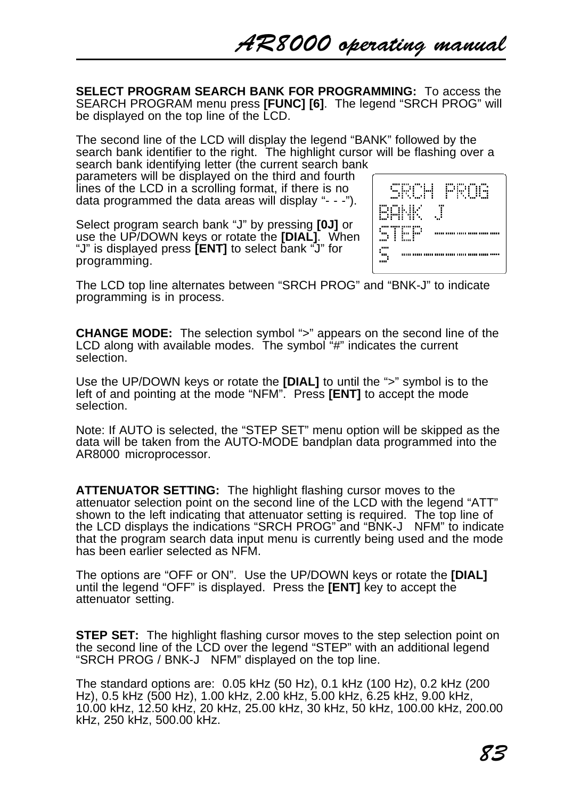**SELECT PROGRAM SEARCH BANK FOR PROGRAMMING:** To access the SEARCH PROGRAM menu press **[FUNC] [6]**. The legend "SRCH PROG" will be displayed on the top line of the LCD.

The second line of the LCD will display the legend "BANK" followed by the search bank identifier to the right. The highlight cursor will be flashing over a search bank identifying letter (the current search bank

parameters will be displayed on the third and fourth lines of the LCD in a scrolling format, if there is no data programmed the data areas will display "- - -").

Select program search bank "J" by pressing **[0J]** or use the UP/DOWN keys or rotate the **[DIAL]**. When "J" is displayed press **[ENT]** to select bank "J" for programming.

| SRCH PROG      |
|----------------|
| BANK<br><br>.Τ |
| STEP<br>       |
| <br>           |

The LCD top line alternates between "SRCH PROG" and "BNK-J" to indicate programming is in process.

**CHANGE MODE:** The selection symbol ">" appears on the second line of the LCD along with available modes. The symbol "#" indicates the current selection.

Use the UP/DOWN keys or rotate the **[DIAL]** to until the ">" symbol is to the left of and pointing at the mode "NFM". Press **[ENT]** to accept the mode selection.

Note: If AUTO is selected, the "STEP SET" menu option will be skipped as the data will be taken from the AUTO-MODE bandplan data programmed into the AR8000 microprocessor.

**ATTENUATOR SETTING:** The highlight flashing cursor moves to the attenuator selection point on the second line of the LCD with the legend "ATT" shown to the left indicating that attenuator setting is required. The top line of the LCD displays the indications "SRCH PROG" and "BNK-J NFM" to indicate that the program search data input menu is currently being used and the mode has been earlier selected as NFM.

The options are "OFF or ON". Use the UP/DOWN keys or rotate the **[DIAL]** until the legend "OFF" is displayed. Press the **[ENT]** key to accept the attenuator setting.

**STEP SET:** The highlight flashing cursor moves to the step selection point on the second line of the LCD over the legend "STEP" with an additional legend "SRCH PROG / BNK-J NFM" displayed on the top line.

The standard options are: 0.05 kHz (50 Hz), 0.1 kHz (100 Hz), 0.2 kHz (200 Hz), 0.5 kHz (500 Hz), 1.00 kHz, 2.00 kHz, 5.00 kHz, 6.25 kHz, 9.00 kHz, 10.00 kHz, 12.50 kHz, 20 kHz, 25.00 kHz, 30 kHz, 50 kHz, 100.00 kHz, 200.00 kHz, 250 kHz, 500.00 kHz.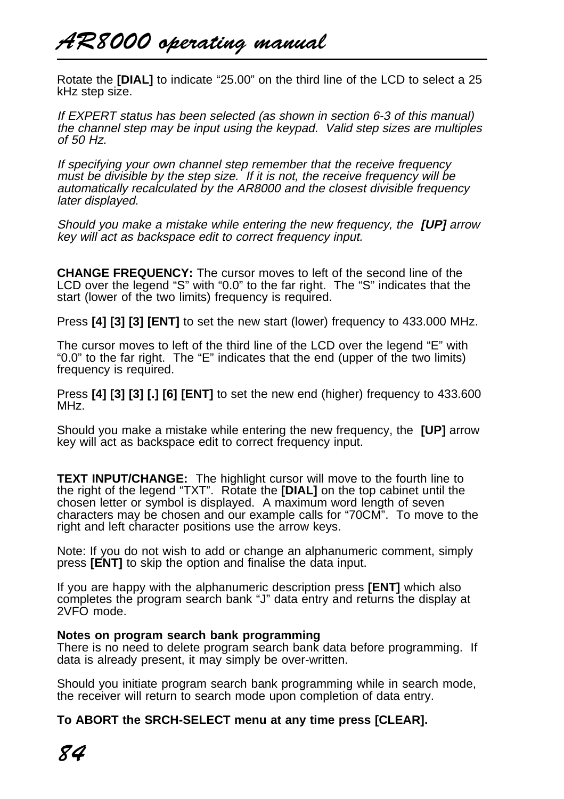# AR8000 operating manual

Rotate the **[DIAL]** to indicate "25.00" on the third line of the LCD to select a 25 kHz step size.

If EXPERT status has been selected (as shown in section 6-3 of this manual) the channel step may be input using the keypad. Valid step sizes are multiples of 50 Hz.

If specifying your own channel step remember that the receive frequency must be divisible by the step size. If it is not, the receive frequency will be automatically recalculated by the AR8000 and the closest divisible frequency later displayed.

Should you make a mistake while entering the new frequency, the **[UP]** arrow key will act as backspace edit to correct frequency input.

**CHANGE FREQUENCY:** The cursor moves to left of the second line of the LCD over the legend "S" with "0.0" to the far right. The "S" indicates that the start (lower of the two limits) frequency is required.

Press **[4] [3] [3] [ENT]** to set the new start (lower) frequency to 433.000 MHz.

The cursor moves to left of the third line of the LCD over the legend "E" with "0.0" to the far right. The "E" indicates that the end (upper of the two limits) frequency is required.

Press **[4] [3] [3] [.] [6] [ENT]** to set the new end (higher) frequency to 433.600 MHz.

Should you make a mistake while entering the new frequency, the **[UP]** arrow key will act as backspace edit to correct frequency input.

**TEXT INPUT/CHANGE:** The highlight cursor will move to the fourth line to the right of the legend "TXT". Rotate the **[DIAL]** on the top cabinet until the chosen letter or symbol is displayed. A maximum word length of seven characters may be chosen and our example calls for "70CM". To move to the right and left character positions use the arrow keys.

Note: If you do not wish to add or change an alphanumeric comment, simply press **[ENT]** to skip the option and finalise the data input.

If you are happy with the alphanumeric description press **[ENT]** which also completes the program search bank "J" data entry and returns the display at 2VFO mode.

### **Notes on program search bank programming**

There is no need to delete program search bank data before programming. If data is already present, it may simply be over-written.

Should you initiate program search bank programming while in search mode, the receiver will return to search mode upon completion of data entry.

**To ABORT the SRCH-SELECT menu at any time press [CLEAR].**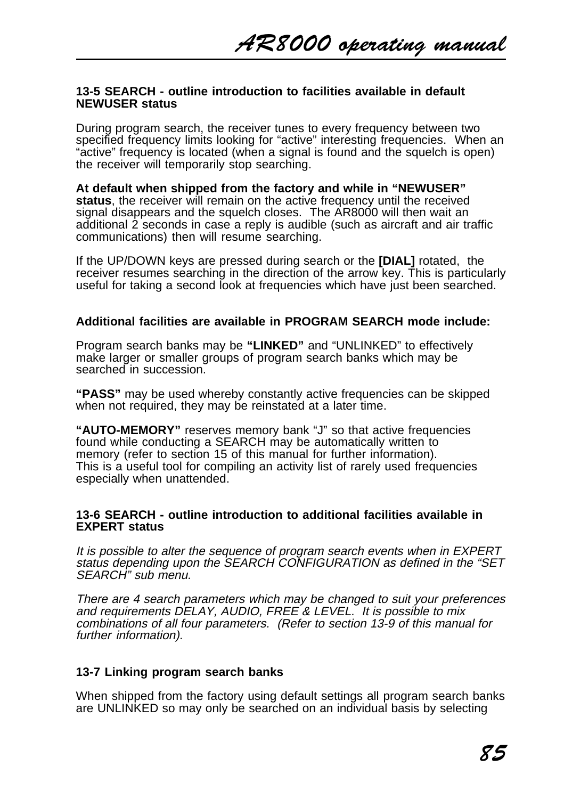### **13-5 SEARCH - outline introduction to facilities available in default NEWUSER status**

During program search, the receiver tunes to every frequency between two specified frequency limits looking for "active" interesting frequencies. When an "active" frequency is located (when a signal is found and the squelch is open) the receiver will temporarily stop searching.

**At default when shipped from the factory and while in "NEWUSER" status**, the receiver will remain on the active frequency until the received signal disappears and the squelch closes. The AR8000 will then wait an additional 2 seconds in case a reply is audible (such as aircraft and air traffic communications) then will resume searching.

If the UP/DOWN keys are pressed during search or the **[DIAL]** rotated, the receiver resumes searching in the direction of the arrow key. This is particularly useful for taking a second look at frequencies which have just been searched.

## **Additional facilities are available in PROGRAM SEARCH mode include:**

Program search banks may be **"LINKED"** and "UNLINKED" to effectively make larger or smaller groups of program search banks which may be searched in succession.

**"PASS"** may be used whereby constantly active frequencies can be skipped when not required, they may be reinstated at a later time.

**"AUTO-MEMORY"** reserves memory bank "J" so that active frequencies found while conducting a SEARCH may be automatically written to memory (refer to section 15 of this manual for further information). This is a useful tool for compiling an activity list of rarely used frequencies especially when unattended.

### **13-6 SEARCH - outline introduction to additional facilities available in EXPERT status**

It is possible to alter the sequence of program search events when in EXPERT status depending upon the SEARCH CONFIGURATION as defined in the "SET SEARCH" sub menu.

There are 4 search parameters which may be changed to suit your preferences and requirements DELAY, AUDIO, FREE & LEVEL. It is possible to mix combinations of all four parameters. (Refer to section 13-9 of this manual for further information).

# **13-7 Linking program search banks**

When shipped from the factory using default settings all program search banks are UNLINKED so may only be searched on an individual basis by selecting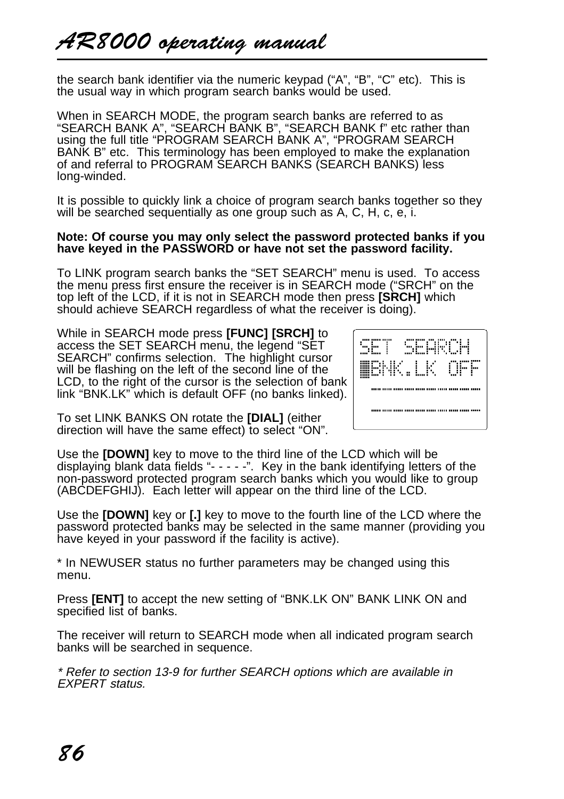the search bank identifier via the numeric keypad ("A", "B", "C" etc). This is the usual way in which program search banks would be used.

When in SEARCH MODE, the program search banks are referred to as "SEARCH BANK A", "SEARCH BANK B", "SEARCH BANK f" etc rather than using the full title "PROGRAM SEARCH BANK A", "PROGRAM SEARCH BANK B" etc. This terminology has been employed to make the explanation of and referral to PROGRAM SEARCH BANKS (SEARCH BANKS) less long-winded.

It is possible to quickly link a choice of program search banks together so they will be searched sequentially as one group such as A, C, H, c, e, i.

#### **Note: Of course you may only select the password protected banks if you have keyed in the PASSWORD or have not set the password facility.**

To LINK program search banks the "SET SEARCH" menu is used. To access the menu press first ensure the receiver is in SEARCH mode ("SRCH" on the top left of the LCD, if it is not in SEARCH mode then press **[SRCH]** which should achieve SEARCH regardless of what the receiver is doing).

While in SEARCH mode press **[FUNC] [SRCH]** to access the SET SEARCH menu, the legend "SET SEARCH" confirms selection. The highlight cursor will be flashing on the left of the second line of the LCD, to the right of the cursor is the selection of bank link "BNK.LK" which is default OFF (no banks linked).

| 'uu iuu<br>$\cdots$<br>50000 | ĩ                | ET SEA      | .<br>. .<br>. .<br>÷<br>n.<br>. .<br>. . |
|------------------------------|------------------|-------------|------------------------------------------|
| ÷                            | . .<br><br><br>٠ | $LK$ OF<br> | .<br>÷<br>п<br>Ξ<br>                     |
|                              |                  |             |                                          |
|                              |                  |             |                                          |

To set LINK BANKS ON rotate the **[DIAL]** (either direction will have the same effect) to select "ON".

Use the **[DOWN]** key to move to the third line of the LCD which will be displaying blank data fields "- - - - -". Key in the bank identifying letters of the non-password protected program search banks which you would like to group (ABCDEFGHIJ). Each letter will appear on the third line of the LCD.

Use the **[DOWN]** key or **[.]** key to move to the fourth line of the LCD where the password protected banks may be selected in the same manner (providing you have keyed in your password if the facility is active).

\* In NEWUSER status no further parameters may be changed using this menu.

Press **[ENT]** to accept the new setting of "BNK.LK ON" BANK LINK ON and specified list of banks.

The receiver will return to SEARCH mode when all indicated program search banks will be searched in sequence.

\* Refer to section 13-9 for further SEARCH options which are available in EXPERT status.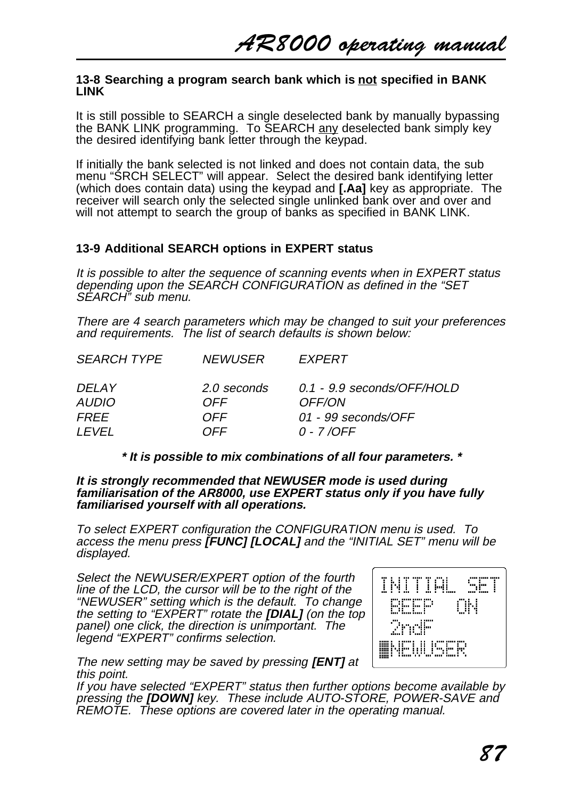### **13-8 Searching a program search bank which is not specified in BANK LINK**

It is still possible to SEARCH a single deselected bank by manually bypassing the BANK LINK programming. To SEARCH any deselected bank simply key the desired identifying bank letter through the keypad.

If initially the bank selected is not linked and does not contain data, the sub menu "SRCH SELECT" will appear. Select the desired bank identifying letter (which does contain data) using the keypad and **[.Aa]** key as appropriate. The receiver will search only the selected single unlinked bank over and over and will not attempt to search the group of banks as specified in BANK LINK.

# **13-9 Additional SEARCH options in EXPERT status**

It is possible to alter the sequence of scanning events when in EXPERT status depending upon the SEARCH CONFIGURATION as defined in the "SET SEARCH" sub menu.

There are 4 search parameters which may be changed to suit your preferences and requirements. The list of search defaults is shown below:

| <b>SEARCH TYPE</b> | <i>NEWUSER</i> | <b>FXPERT</b>              |
|--------------------|----------------|----------------------------|
| DEL AY             | 2.0 seconds    | 0.1 - 9.9 seconds/OFF/HOLD |
| AUDIO              | OFF.           | OFF/ON                     |
| FRFF               | OFF.           | 01 - 99 seconds/OFF        |
| I FVFI             | OFF.           | 0 - 7 / OFF                |

# **\* It is possible to mix combinations of all four parameters. \***

**It is strongly recommended that NEWUSER mode is used during familiarisation of the AR8000, use EXPERT status only if you have fully familiarised yourself with all operations.**

To select EXPERT configuration the CONFIGURATION menu is used. To access the menu press **[FUNC] [LOCAL]** and the "INITIAL SET" menu will be displayed.

Select the NEWUSER/EXPERT option of the fourth line of the LCD, the cursor will be to the right of the "NEWUSER" setting which is the default. To change the setting to "EXPERT" rotate the **[DIAL]** (on the top panel) one click, the direction is unimportant. The legend "EXPERT" confirms selection.



The new setting may be saved by pressing **[ENT]** at this point.

If you have selected "EXPERT" status then further options become available by pressing the **[DOWN]** key. These include AUTO-STORE, POWER-SAVE and REMOTE. These options are covered later in the operating manual.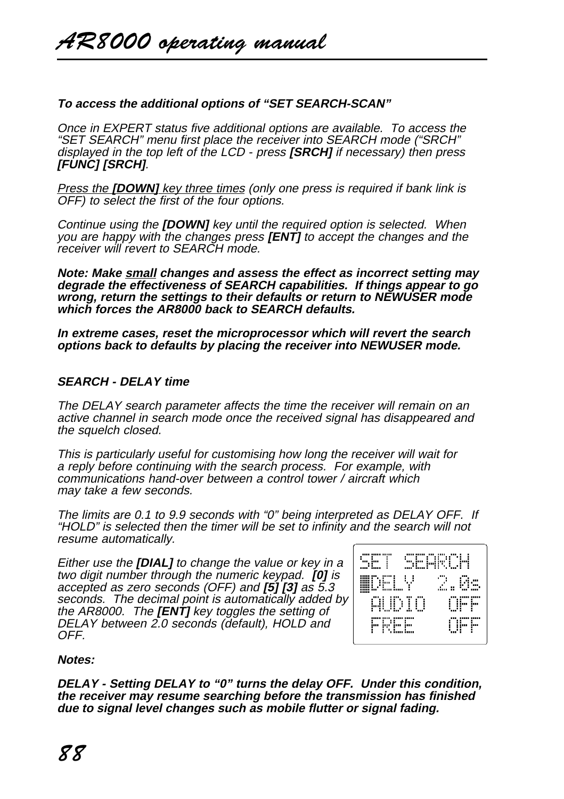# **To access the additional options of "SET SEARCH-SCAN"**

Once in EXPERT status five additional options are available. To access the "SET SEARCH" menu first place the receiver into SEARCH mode ("SRCH" displayed in the top left of the LCD - press **[SRCH]** if necessary) then press **[FUNC] [SRCH]**.

Press the **[DOWN]** key three times (only one press is required if bank link is OFF) to select the first of the four options.

Continue using the **[DOWN]** key until the required option is selected. When you are happy with the changes press **[ENT]** to accept the changes and the receiver will revert to SEARCH mode.

**Note: Make small changes and assess the effect as incorrect setting may degrade the effectiveness of SEARCH capabilities. If things appear to go wrong, return the settings to their defaults or return to NEWUSER mode which forces the AR8000 back to SEARCH defaults.**

**In extreme cases, reset the microprocessor which will revert the search options back to defaults by placing the receiver into NEWUSER mode.**

# **SEARCH - DELAY time**

The DELAY search parameter affects the time the receiver will remain on an active channel in search mode once the received signal has disappeared and the squelch closed.

This is particularly useful for customising how long the receiver will wait for a reply before continuing with the search process. For example, with communications hand-over between a control tower / aircraft which may take a few seconds.

The limits are 0.1 to 9.9 seconds with "0" being interpreted as DELAY OFF. If "HOLD" is selected then the timer will be set to infinity and the search will not resume automatically.

Either use the **[DIAL]** to change the value or key in a two digit number through the numeric keypad. **[0]** is accepted as zero seconds (OFF) and **[5] [3]** as 5.3 seconds. The decimal point is automatically added by the AR8000. The **[ENT]** key toggles the setting of DELAY between 2.0 seconds (default), HOLD and OFF.



### **Notes:**

**DELAY - Setting DELAY to "0" turns the delay OFF. Under this condition, the receiver may resume searching before the transmission has finished due to signal level changes such as mobile flutter or signal fading.**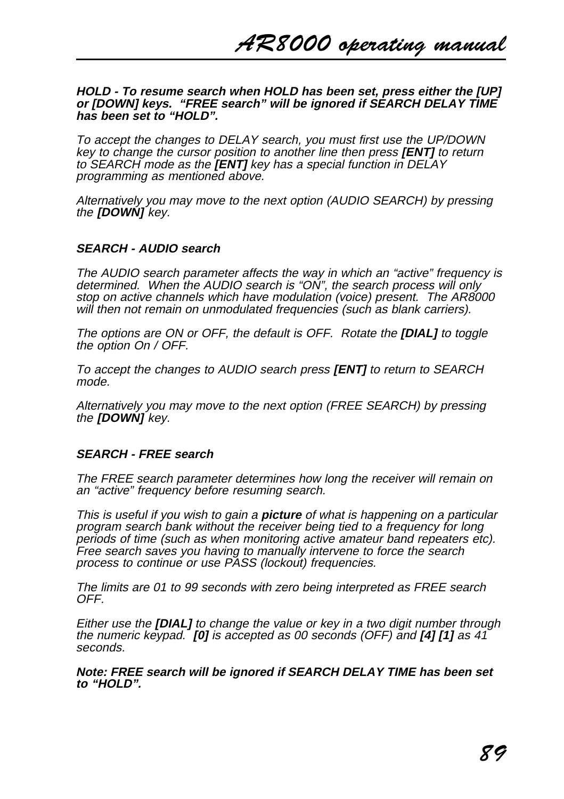#### **HOLD - To resume search when HOLD has been set, press either the [UP] or [DOWN] keys. "FREE search" will be ignored if SEARCH DELAY TIME has been set to "HOLD".**

To accept the changes to DELAY search, you must first use the UP/DOWN key to change the cursor position to another line then press **[ENT]** to return to SEARCH mode as the **[ENT]** key has a special function in DELAY programming as mentioned above.

Alternatively you may move to the next option (AUDIO SEARCH) by pressing the **[DOWN]** key.

## **SEARCH - AUDIO search**

The AUDIO search parameter affects the way in which an "active" frequency is determined. When the AUDIO search is "ON", the search process will only stop on active channels which have modulation (voice) present. The AR8000 will then not remain on unmodulated frequencies (such as blank carriers).

The options are ON or OFF, the default is OFF. Rotate the **[DIAL]** to toggle the option On / OFF.

To accept the changes to AUDIO search press **[ENT]** to return to SEARCH mode.

Alternatively you may move to the next option (FREE SEARCH) by pressing the **[DOWN]** key.

### **SEARCH - FREE search**

The FREE search parameter determines how long the receiver will remain on an "active" frequency before resuming search.

This is useful if you wish to gain a **picture** of what is happening on a particular program search bank without the receiver being tied to a frequency for long periods of time (such as when monitoring active amateur band repeaters etc). Free search saves you having to manually intervene to force the search process to continue or use PASS (lockout) frequencies.

The limits are 01 to 99 seconds with zero being interpreted as FREE search OFF.

Either use the **[DIAL]** to change the value or key in a two digit number through the numeric keypad. **[0]** is accepted as 00 seconds (OFF) and **[4] [1]** as 41 seconds.

**Note: FREE search will be ignored if SEARCH DELAY TIME has been set to "HOLD".**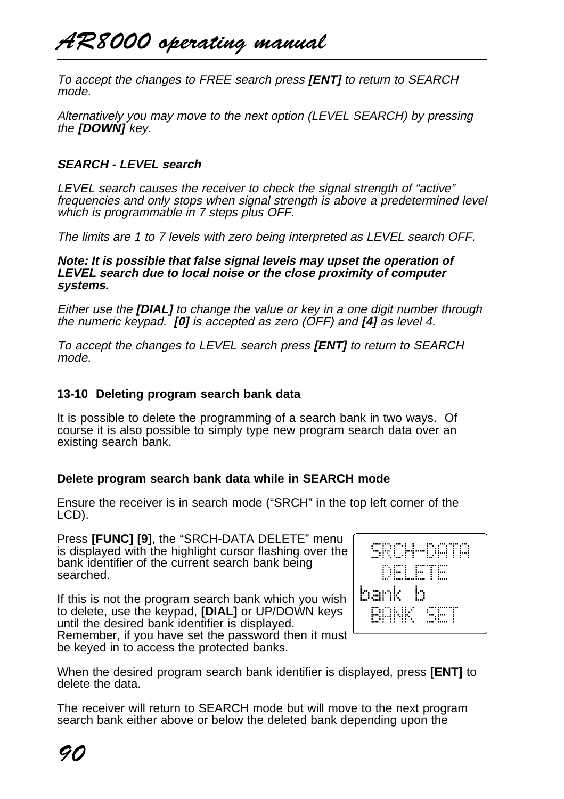To accept the changes to FREE search press **[ENT]** to return to SEARCH mode.

Alternatively you may move to the next option (LEVEL SEARCH) by pressing the **[DOWN]** key.

# **SEARCH - LEVEL search**

LEVEL search causes the receiver to check the signal strength of "active" frequencies and only stops when signal strength is above a predetermined level which is programmable in 7 steps plus OFF.

The limits are 1 to 7 levels with zero being interpreted as LEVEL search OFF.

**Note: It is possible that false signal levels may upset the operation of LEVEL search due to local noise or the close proximity of computer systems.**

Either use the **[DIAL]** to change the value or key in a one digit number through the numeric keypad. **[0]** is accepted as zero (OFF) and **[4]** as level 4.

To accept the changes to LEVEL search press **[ENT]** to return to SEARCH mode.

# **13-10 Deleting program search bank data**

It is possible to delete the programming of a search bank in two ways. Of course it is also possible to simply type new program search data over an existing search bank.

# **Delete program search bank data while in SEARCH mode**

Ensure the receiver is in search mode ("SRCH" in the top left corner of the LCD).

Press **[FUNC] [9]**, the "SRCH-DATA DELETE" menu is displayed with the highlight cursor flashing over the bank identifier of the current search bank being searched.

If this is not the program search bank which you wish to delete, use the keypad, **[DIAL]** or UP/DOWN keys until the desired bank identifier is displayed. Remember, if you have set the password then it must be keyed in to access the protected banks.



When the desired program search bank identifier is displayed, press **[ENT]** to delete the data.

The receiver will return to SEARCH mode but will move to the next program search bank either above or below the deleted bank depending upon the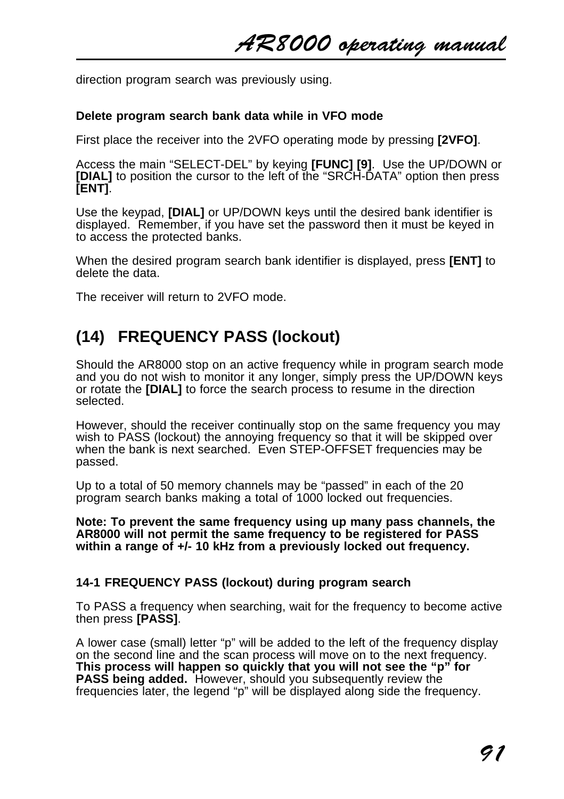direction program search was previously using.

# **Delete program search bank data while in VFO mode**

First place the receiver into the 2VFO operating mode by pressing **[2VFO]**.

Access the main "SELECT-DEL" by keying **[FUNC] [9]**. Use the UP/DOWN or **[DIAL]** to position the cursor to the left of the "SRCH-DATA" option then press **[ENT]**.

Use the keypad, **[DIAL]** or UP/DOWN keys until the desired bank identifier is displayed. Remember, if you have set the password then it must be keyed in to access the protected banks.

When the desired program search bank identifier is displayed, press **[ENT]** to delete the data.

The receiver will return to 2VFO mode.

# **(14) FREQUENCY PASS (lockout)**

Should the AR8000 stop on an active frequency while in program search mode and you do not wish to monitor it any longer, simply press the UP/DOWN keys or rotate the **[DIAL]** to force the search process to resume in the direction selected.

However, should the receiver continually stop on the same frequency you may wish to PASS (lockout) the annoying frequency so that it will be skipped over when the bank is next searched. Even STEP-OFFSET frequencies may be passed.

Up to a total of 50 memory channels may be "passed" in each of the 20 program search banks making a total of 1000 locked out frequencies.

**Note: To prevent the same frequency using up many pass channels, the AR8000 will not permit the same frequency to be registered for PASS within a range of +/- 10 kHz from a previously locked out frequency.**

# **14-1 FREQUENCY PASS (lockout) during program search**

To PASS a frequency when searching, wait for the frequency to become active then press **[PASS]**.

A lower case (small) letter "p" will be added to the left of the frequency display on the second line and the scan process will move on to the next frequency. **This process will happen so quickly that you will not see the "p" for PASS being added.** However, should you subsequently review the frequencies later, the legend "p" will be displayed along side the frequency.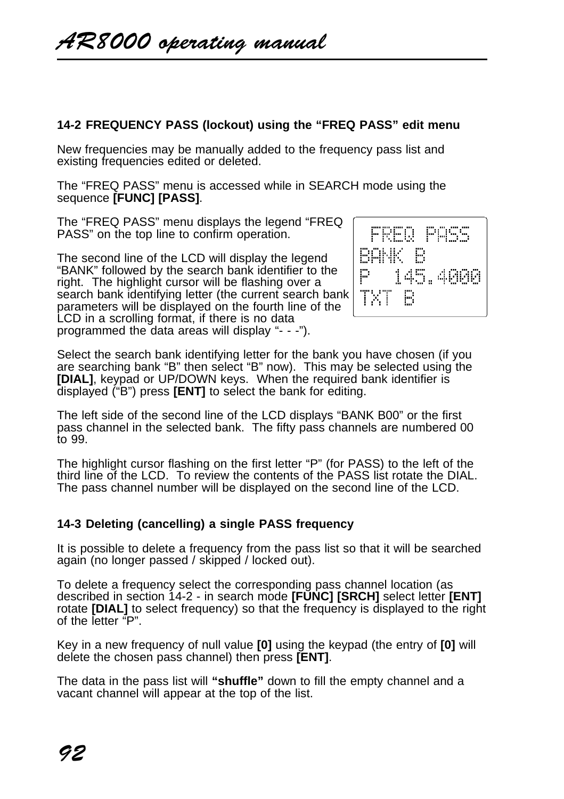# **14-2 FREQUENCY PASS (lockout) using the "FREQ PASS" edit menu**

New frequencies may be manually added to the frequency pass list and existing frequencies edited or deleted.

The "FREQ PASS" menu is accessed while in SEARCH mode using the sequence **[FUNC] [PASS]**.

The "FREQ PASS" menu displays the legend "FREQ PASS" on the top line to confirm operation.

The second line of the LCD will display the legend "BANK" followed by the search bank identifier to the right. The highlight cursor will be flashing over a search bank identifying letter (the current search bank parameters will be displayed on the fourth line of the LCD in a scrolling format, if there is no data programmed the data areas will display "- - -").



Select the search bank identifying letter for the bank you have chosen (if you are searching bank "B" then select "B" now). This may be selected using the **[DIAL]**, keypad or UP/DOWN keys. When the required bank identifier is displayed ("B") press **[ENT]** to select the bank for editing.

The left side of the second line of the LCD displays "BANK B00" or the first pass channel in the selected bank. The fifty pass channels are numbered 00 to 99.

The highlight cursor flashing on the first letter "P" (for PASS) to the left of the third line of the LCD. To review the contents of the PASS list rotate the DIAL. The pass channel number will be displayed on the second line of the LCD.

# **14-3 Deleting (cancelling) a single PASS frequency**

It is possible to delete a frequency from the pass list so that it will be searched again (no longer passed / skipped / locked out).

To delete a frequency select the corresponding pass channel location (as described in section 14-2 - in search mode **[FUNC] [SRCH]** select letter **[ENT]** rotate **[DIAL]** to select frequency) so that the frequency is displayed to the right of the letter "P".

Key in a new frequency of null value **[0]** using the keypad (the entry of **[0]** will delete the chosen pass channel) then press **[ENT]**.

The data in the pass list will **"shuffle"** down to fill the empty channel and a vacant channel will appear at the top of the list.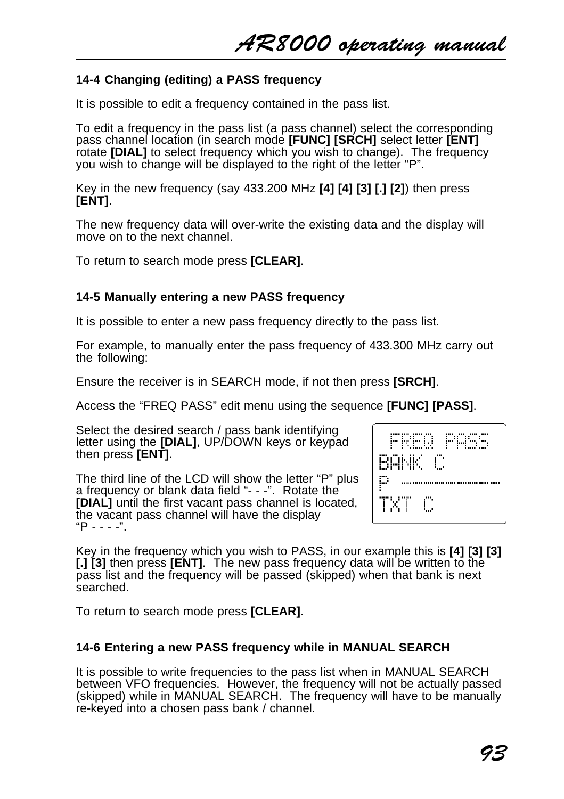AR8000 operating manual

## **14-4 Changing (editing) a PASS frequency**

It is possible to edit a frequency contained in the pass list.

To edit a frequency in the pass list (a pass channel) select the corresponding pass channel location (in search mode **[FUNC] [SRCH]** select letter **[ENT]** rotate **[DIAL]** to select frequency which you wish to change). The frequency you wish to change will be displayed to the right of the letter "P".

Key in the new frequency (say 433.200 MHz **[4] [4] [3] [.] [2]**) then press **[ENT]**.

The new frequency data will over-write the existing data and the display will move on to the next channel.

To return to search mode press **[CLEAR]**.

#### **14-5 Manually entering a new PASS frequency**

It is possible to enter a new pass frequency directly to the pass list.

For example, to manually enter the pass frequency of 433.300 MHz carry out the following:

Ensure the receiver is in SEARCH mode, if not then press **[SRCH]**.

Access the "FREQ PASS" edit menu using the sequence **[FUNC] [PASS]**.

Select the desired search / pass bank identifying letter using the **[DIAL]**, UP/DOWN keys or keypad then press **[ENT]**.

The third line of the LCD will show the letter "P" plus a frequency or blank data field "- - -". Rotate the **[DIAL]** until the first vacant pass channel is located, the vacant pass channel will have the display  $P - - - -$ ".



Key in the frequency which you wish to PASS, in our example this is **[4] [3] [3] [.] [3]** then press **[ENT]**. The new pass frequency data will be written to the pass list and the frequency will be passed (skipped) when that bank is next searched.

To return to search mode press **[CLEAR]**.

#### **14-6 Entering a new PASS frequency while in MANUAL SEARCH**

It is possible to write frequencies to the pass list when in MANUAL SEARCH between VFO frequencies. However, the frequency will not be actually passed (skipped) while in MANUAL SEARCH. The frequency will have to be manually re-keyed into a chosen pass bank / channel.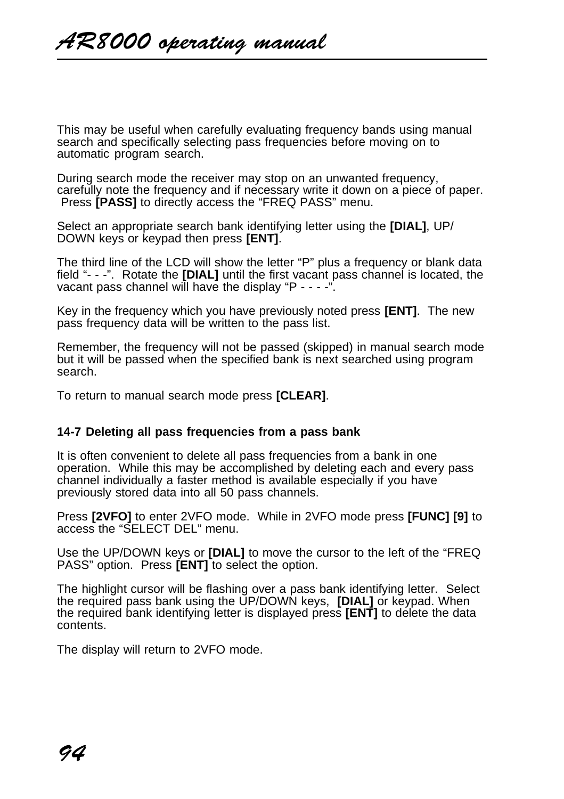This may be useful when carefully evaluating frequency bands using manual search and specifically selecting pass frequencies before moving on to automatic program search.

During search mode the receiver may stop on an unwanted frequency, carefully note the frequency and if necessary write it down on a piece of paper. Press **[PASS]** to directly access the "FREQ PASS" menu.

Select an appropriate search bank identifying letter using the **[DIAL]**, UP/ DOWN keys or keypad then press **[ENT]**.

The third line of the LCD will show the letter "P" plus a frequency or blank data field "- - -". Rotate the **[DIAL]** until the first vacant pass channel is located, the vacant pass channel will have the display "P - - - -".

Key in the frequency which you have previously noted press **[ENT]**. The new pass frequency data will be written to the pass list.

Remember, the frequency will not be passed (skipped) in manual search mode but it will be passed when the specified bank is next searched using program search.

To return to manual search mode press **[CLEAR]**.

### **14-7 Deleting all pass frequencies from a pass bank**

It is often convenient to delete all pass frequencies from a bank in one operation. While this may be accomplished by deleting each and every pass channel individually a faster method is available especially if you have previously stored data into all 50 pass channels.

Press **[2VFO]** to enter 2VFO mode. While in 2VFO mode press **[FUNC] [9]** to access the "SELECT DEL" menu.

Use the UP/DOWN keys or **[DIAL]** to move the cursor to the left of the "FREQ PASS" option. Press **[ENT]** to select the option.

The highlight cursor will be flashing over a pass bank identifying letter. Select the required pass bank using the UP/DOWN keys, **[DIAL]** or keypad. When the required bank identifying letter is displayed press **[ENT]** to delete the data contents.

The display will return to 2VFO mode.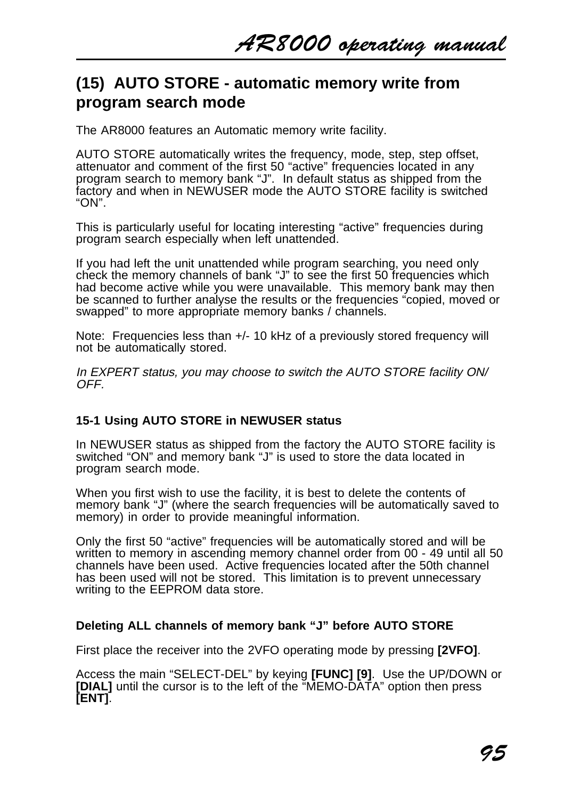# **(15) AUTO STORE - automatic memory write from program search mode**

The AR8000 features an Automatic memory write facility.

AUTO STORE automatically writes the frequency, mode, step, step offset, attenuator and comment of the first 50 "active" frequencies located in any program search to memory bank "J". In default status as shipped from the factory and when in NEWUSER mode the AUTO STORE facility is switched "ON".

This is particularly useful for locating interesting "active" frequencies during program search especially when left unattended.

If you had left the unit unattended while program searching, you need only check the memory channels of bank "J" to see the first 50 frequencies which had become active while you were unavailable. This memory bank may then be scanned to further analyse the results or the frequencies "copied, moved or swapped" to more appropriate memory banks / channels.

Note: Frequencies less than +/- 10 kHz of a previously stored frequency will not be automatically stored.

In EXPERT status, you may choose to switch the AUTO STORE facility ON/ OFF.

# **15-1 Using AUTO STORE in NEWUSER status**

In NEWUSER status as shipped from the factory the AUTO STORE facility is switched "ON" and memory bank "J" is used to store the data located in program search mode.

When you first wish to use the facility, it is best to delete the contents of memory bank "J" (where the search frequencies will be automatically saved to memory) in order to provide meaningful information.

Only the first 50 "active" frequencies will be automatically stored and will be written to memory in ascending memory channel order from 00 - 49 until all 50 channels have been used. Active frequencies located after the 50th channel has been used will not be stored. This limitation is to prevent unnecessary writing to the EEPROM data store.

### **Deleting ALL channels of memory bank "J" before AUTO STORE**

First place the receiver into the 2VFO operating mode by pressing **[2VFO]**.

Access the main "SELECT-DEL" by keying **[FUNC] [9]**. Use the UP/DOWN or **[DIAL]** until the cursor is to the left of the "MEMO-DATA" option then press **[ENT]**.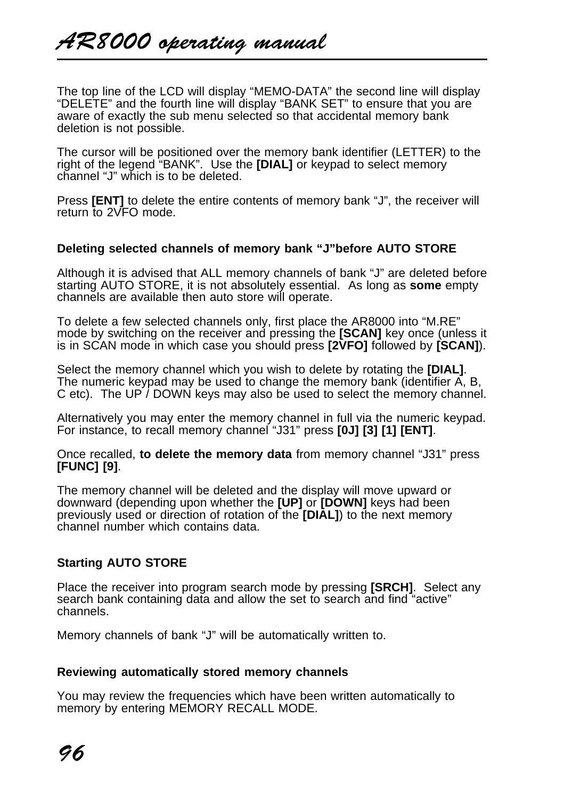The top line of the LCD will display "MEMO-DATA" the second line will display "DELETE" and the fourth line will display "BANK SET" to ensure that you are aware of exactly the sub menu selected so that accidental memory bank deletion is not possible.

The cursor will be positioned over the memory bank identifier (LETTER) to the right of the legend "BANK". Use the **[DIAL]** or keypad to select memory channel "J" which is to be deleted.

Press **[ENT]** to delete the entire contents of memory bank "J", the receiver will return to 2VFO mode.

## **Deleting selected channels of memory bank "J"before AUTO STORE**

Although it is advised that ALL memory channels of bank "J" are deleted before starting AUTO STORE, it is not absolutely essential. As long as **some** empty channels are available then auto store will operate.

To delete a few selected channels only, first place the AR8000 into "M.RE" mode by switching on the receiver and pressing the **[SCAN]** key once (unless it is in SCAN mode in which case you should press **[2VFO]** followed by **[SCAN]**).

Select the memory channel which you wish to delete by rotating the **[DIAL]**. The numeric keypad may be used to change the memory bank (identifier A, B, C etc). The UP / DOWN keys may also be used to select the memory channel.

Alternatively you may enter the memory channel in full via the numeric keypad. For instance, to recall memory channel "J31" press **[0J] [3] [1] [ENT]**.

Once recalled, **to delete the memory data** from memory channel "J31" press **[FUNC] [9]**.

The memory channel will be deleted and the display will move upward or downward (depending upon whether the **[UP]** or **[DOWN]** keys had been previously used or direction of rotation of the **[DIAL]**) to the next memory channel number which contains data.

# **Starting AUTO STORE**

Place the receiver into program search mode by pressing **[SRCH]**. Select any search bank containing data and allow the set to search and find "active" channels.

Memory channels of bank "J" will be automatically written to.

## **Reviewing automatically stored memory channels**

You may review the frequencies which have been written automatically to memory by entering MEMORY RECALL MODE.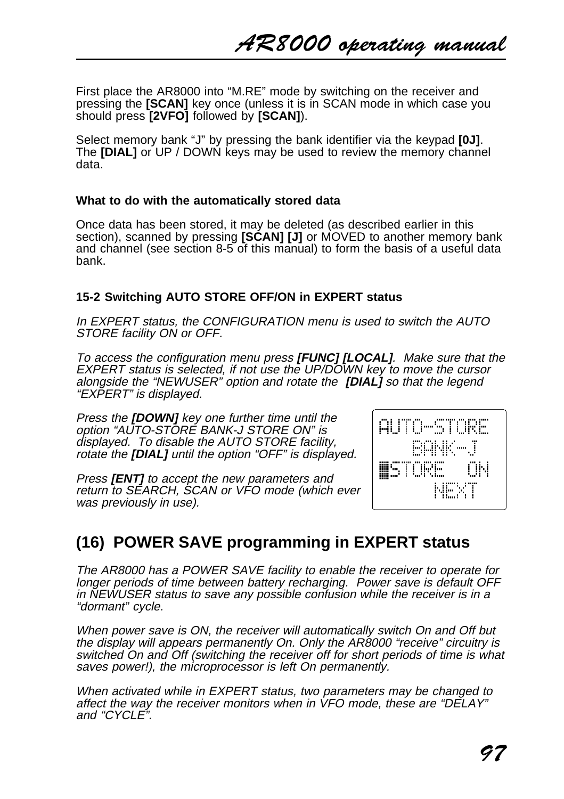First place the AR8000 into "M.RE" mode by switching on the receiver and pressing the **[SCAN]** key once (unless it is in SCAN mode in which case you should press **[2VFO]** followed by **[SCAN]**).

Select memory bank "J" by pressing the bank identifier via the keypad **[0J]**. The **[DIAL]** or UP / DOWN keys may be used to review the memory channel data.

## **What to do with the automatically stored data**

Once data has been stored, it may be deleted (as described earlier in this section), scanned by pressing **[SCAN] [J]** or MOVED to another memory bank and channel (see section 8-5 of this manual) to form the basis of a useful data bank.

# **15-2 Switching AUTO STORE OFF/ON in EXPERT status**

In EXPERT status, the CONFIGURATION menu is used to switch the AUTO STORE facility ON or OFF.

To access the configuration menu press **[FUNC] [LOCAL]**. Make sure that the EXPERT status is selected, if not use the UP/DOWN key to move the cursor alongside the "NEWUSER" option and rotate the **[DIAL]** so that the legend "EXPERT" is displayed.

Press the **[DOWN]** key one further time until the option "AUTO-STORE BANK-J STORE ON" is displayed. To disable the AUTO STORE facility, rotate the **[DIAL]** until the option "OFF" is displayed.

Press **[ENT]** to accept the new parameters and return to SEARCH, SCAN or VFO mode (which ever was previously in use).



# **(16) POWER SAVE programming in EXPERT status**

The AR8000 has a POWER SAVE facility to enable the receiver to operate for longer periods of time between battery recharging. Power save is default OFF in NEWUSER status to save any possible confusion while the receiver is in a "dormant" cycle.

When power save is ON, the receiver will automatically switch On and Off but the display will appears permanently On. Only the AR8000 "receive" circuitry is switched On and Off (switching the receiver off for short periods of time is what saves power!), the microprocessor is left On permanently.

When activated while in EXPERT status, two parameters may be changed to affect the way the receiver monitors when in VFO mode, these are "DELAY" and "CYCLE".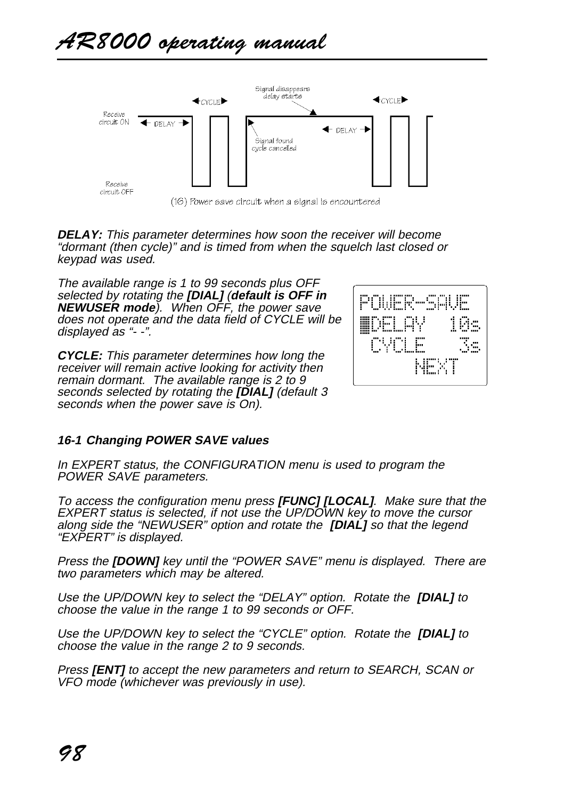

(16) Power save circuit when a signal is encountered

**DELAY:** This parameter determines how soon the receiver will become "dormant (then cycle)" and is timed from when the squelch last closed or keypad was used.

The available range is 1 to 99 seconds plus OFF selected by rotating the **[DIAL]** (**default is OFF in NEWUSER mode**). When OFF, the power save does not operate and the data field of CYCLE will be displayed as "- -".

**CYCLE:** This parameter determines how long the receiver will remain active looking for activity then remain dormant. The available range is 2 to 9 seconds selected by rotating the **[DIAL]** (default 3 seconds when the power save is On).



# **16-1 Changing POWER SAVE values**

In EXPERT status, the CONFIGURATION menu is used to program the POWER SAVE parameters.

To access the configuration menu press **[FUNC] [LOCAL]**. Make sure that the EXPERT status is selected, if not use the UP/DOWN key to move the cursor along side the "NEWUSER" option and rotate the **[DIAL]** so that the legend "EXPERT" is displayed.

Press the **[DOWN]** key until the "POWER SAVE" menu is displayed. There are two parameters which may be altered.

Use the UP/DOWN key to select the "DELAY" option. Rotate the **[DIAL]** to choose the value in the range 1 to 99 seconds or OFF.

Use the UP/DOWN key to select the "CYCLE" option. Rotate the **[DIAL]** to choose the value in the range 2 to 9 seconds.

Press **[ENT]** to accept the new parameters and return to SEARCH, SCAN or VFO mode (whichever was previously in use).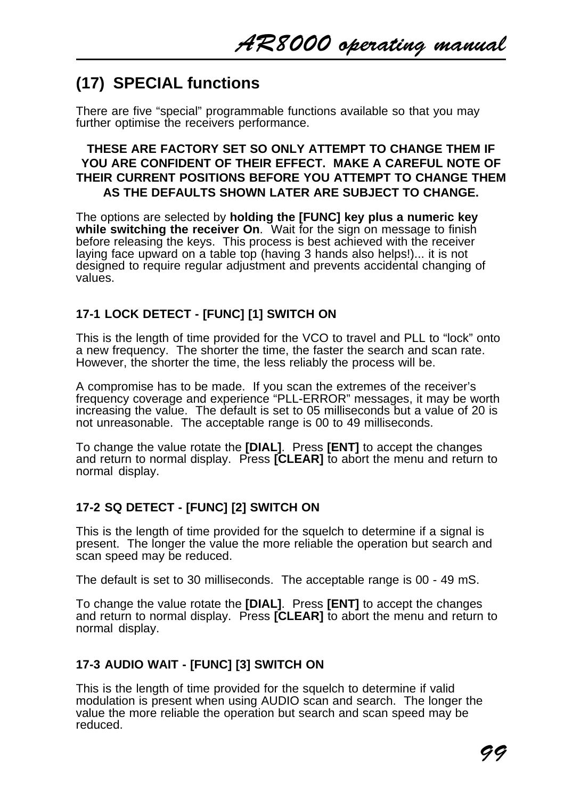# **(17) SPECIAL functions**

There are five "special" programmable functions available so that you may further optimise the receivers performance.

# **THESE ARE FACTORY SET SO ONLY ATTEMPT TO CHANGE THEM IF YOU ARE CONFIDENT OF THEIR EFFECT. MAKE A CAREFUL NOTE OF THEIR CURRENT POSITIONS BEFORE YOU ATTEMPT TO CHANGE THEM AS THE DEFAULTS SHOWN LATER ARE SUBJECT TO CHANGE.**

The options are selected by **holding the [FUNC] key plus a numeric key** while switching the receiver On. Wait for the sign on message to finish before releasing the keys. This process is best achieved with the receiver laying face upward on a table top (having 3 hands also helps!)... it is not designed to require regular adjustment and prevents accidental changing of values.

# **17-1 LOCK DETECT - [FUNC] [1] SWITCH ON**

This is the length of time provided for the VCO to travel and PLL to "lock" onto a new frequency. The shorter the time, the faster the search and scan rate. However, the shorter the time, the less reliably the process will be.

A compromise has to be made. If you scan the extremes of the receiver's frequency coverage and experience "PLL-ERROR" messages, it may be worth increasing the value. The default is set to 05 milliseconds but a value of 20 is not unreasonable. The acceptable range is 00 to 49 milliseconds.

To change the value rotate the **[DIAL]**. Press **[ENT]** to accept the changes and return to normal display. Press **[CLEAR]** to abort the menu and return to normal display.

# **17-2 SQ DETECT - [FUNC] [2] SWITCH ON**

This is the length of time provided for the squelch to determine if a signal is present. The longer the value the more reliable the operation but search and scan speed may be reduced.

The default is set to 30 milliseconds. The acceptable range is 00 - 49 mS.

To change the value rotate the **[DIAL]**. Press **[ENT]** to accept the changes and return to normal display. Press **[CLEAR]** to abort the menu and return to normal display.

# **17-3 AUDIO WAIT - [FUNC] [3] SWITCH ON**

This is the length of time provided for the squelch to determine if valid modulation is present when using AUDIO scan and search. The longer the value the more reliable the operation but search and scan speed may be reduced.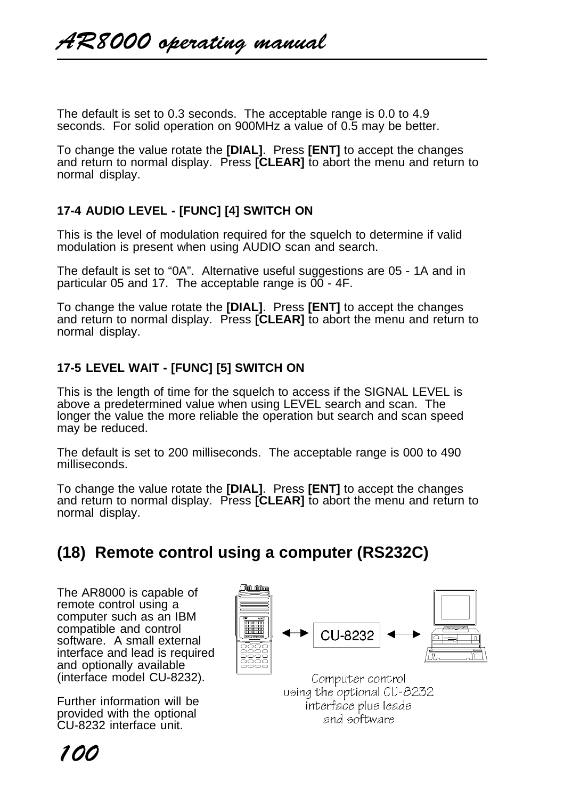The default is set to 0.3 seconds. The acceptable range is 0.0 to 4.9 seconds. For solid operation on 900MHz a value of 0.5 may be better.

To change the value rotate the **[DIAL]**. Press **[ENT]** to accept the changes and return to normal display. Press **[CLEAR]** to abort the menu and return to normal display.

# **17-4 AUDIO LEVEL - [FUNC] [4] SWITCH ON**

This is the level of modulation required for the squelch to determine if valid modulation is present when using AUDIO scan and search.

The default is set to "0A". Alternative useful suggestions are 05 - 1A and in particular 05 and 17. The acceptable range is  $\overline{00}$  - 4F.

To change the value rotate the **[DIAL]**. Press **[ENT]** to accept the changes and return to normal display. Press **[CLEAR]** to abort the menu and return to normal display.

# **17-5 LEVEL WAIT - [FUNC] [5] SWITCH ON**

This is the length of time for the squelch to access if the SIGNAL LEVEL is above a predetermined value when using LEVEL search and scan. The longer the value the more reliable the operation but search and scan speed may be reduced.

The default is set to 200 milliseconds. The acceptable range is 000 to 490 milliseconds.

To change the value rotate the **[DIAL]**. Press **[ENT]** to accept the changes and return to normal display. Press **[CLEAR]** to abort the menu and return to normal display.

# **(18) Remote control using a computer (RS232C)**

The AR8000 is capable of remote control using a computer such as an IBM compatible and control software. A small external interface and lead is required and optionally available (interface model CU-8232).

Further information will be provided with the optional CU-8232 interface unit.



using the optional CU-8232 interface plus leads and software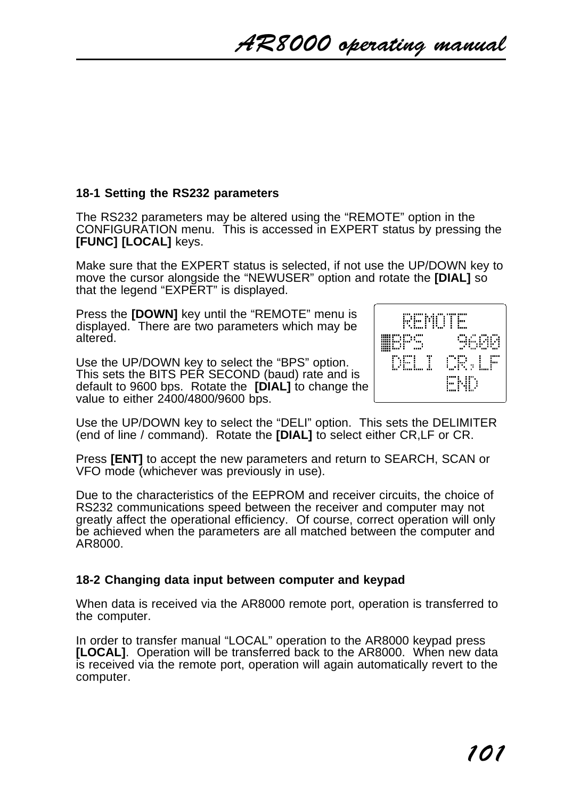# **18-1 Setting the RS232 parameters**

The RS232 parameters may be altered using the "REMOTE" option in the CONFIGURATION menu. This is accessed in EXPERT status by pressing the **[FUNC] [LOCAL]** keys.

Make sure that the EXPERT status is selected, if not use the UP/DOWN key to move the cursor alongside the "NEWUSER" option and rotate the **[DIAL]** so that the legend "EXPERT" is displayed.

Press the **[DOWN]** key until the "REMOTE" menu is displayed. There are two parameters which may be altered.

Use the UP/DOWN key to select the "BPS" option. This sets the BITS PER SECOND (baud) rate and is default to 9600 bps. Rotate the **[DIAL]** to change the value to either 2400/4800/9600 bps.



Use the UP/DOWN key to select the "DELI" option. This sets the DELIMITER (end of line / command). Rotate the **[DIAL]** to select either CR,LF or CR.

Press **[ENT]** to accept the new parameters and return to SEARCH, SCAN or VFO mode (whichever was previously in use).

Due to the characteristics of the EEPROM and receiver circuits, the choice of RS232 communications speed between the receiver and computer may not greatly affect the operational efficiency. Of course, correct operation will only be achieved when the parameters are all matched between the computer and AR8000.

# **18-2 Changing data input between computer and keypad**

When data is received via the AR8000 remote port, operation is transferred to the computer.

In order to transfer manual "LOCAL" operation to the AR8000 keypad press **[LOCAL]**. Operation will be transferred back to the AR8000. When new data is received via the remote port, operation will again automatically revert to the computer.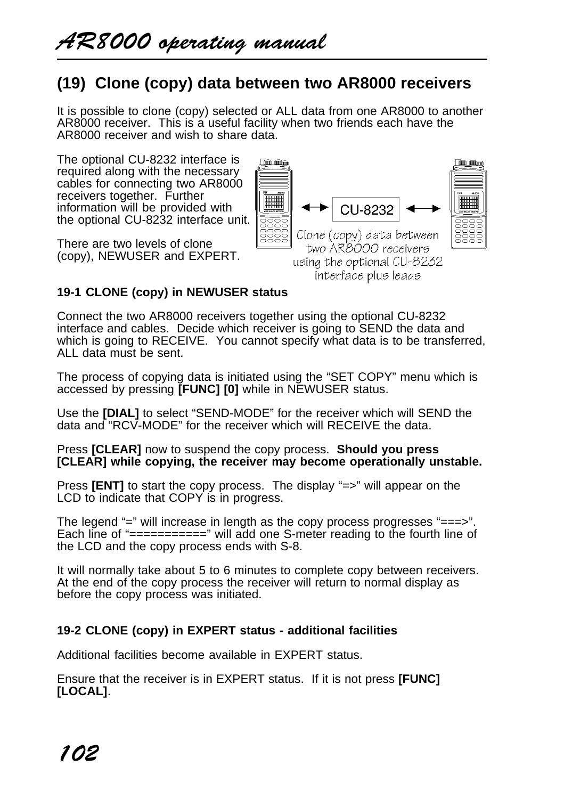# **(19) Clone (copy) data between two AR8000 receivers**

It is possible to clone (copy) selected or ALL data from one AR8000 to another AR8000 receiver. This is a useful facility when two friends each have the AR8000 receiver and wish to share data.

The optional CU-8232 interface is required along with the necessary cables for connecting two AR8000 receivers together. Further information will be provided with the optional CU-8232 interface unit.

There are two levels of clone (copy), NEWUSER and EXPERT.



# **19-1 CLONE (copy) in NEWUSER status**

Connect the two AR8000 receivers together using the optional CU-8232 interface and cables. Decide which receiver is going to SEND the data and which is going to RECEIVE. You cannot specify what data is to be transferred, ALL data must be sent.

The process of copying data is initiated using the "SET COPY" menu which is accessed by pressing **[FUNC] [0]** while in NEWUSER status.

Use the **[DIAL]** to select "SEND-MODE" for the receiver which will SEND the data and "RCV-MODE" for the receiver which will RECEIVE the data.

Press **[CLEAR]** now to suspend the copy process. **Should you press [CLEAR] while copying, the receiver may become operationally unstable.**

Press **[ENT]** to start the copy process. The display "=>" will appear on the LCD to indicate that COPY is in progress.

The legend "=" will increase in length as the copy process progresses "===>". Each line of "===========" will add one S-meter reading to the fourth line of the LCD and the copy process ends with S-8.

It will normally take about 5 to 6 minutes to complete copy between receivers. At the end of the copy process the receiver will return to normal display as before the copy process was initiated.

# **19-2 CLONE (copy) in EXPERT status - additional facilities**

Additional facilities become available in EXPERT status.

Ensure that the receiver is in EXPERT status. If it is not press **[FUNC] [LOCAL]**.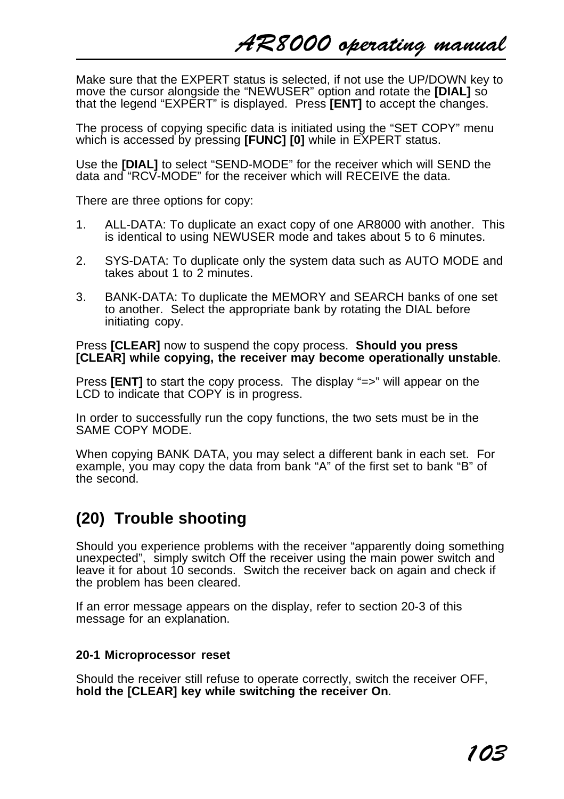Make sure that the EXPERT status is selected, if not use the UP/DOWN key to move the cursor alongside the "NEWUSER" option and rotate the **[DIAL]** so that the legend "EXPERT" is displayed. Press **[ENT]** to accept the changes.

The process of copying specific data is initiated using the "SET COPY" menu which is accessed by pressing **[FUNC] [0]** while in EXPERT status.

Use the **[DIAL]** to select "SEND-MODE" for the receiver which will SEND the data and "RCV-MODE" for the receiver which will RECEIVE the data.

There are three options for copy:

- 1. ALL-DATA: To duplicate an exact copy of one AR8000 with another. This is identical to using NEWUSER mode and takes about 5 to 6 minutes.
- 2. SYS-DATA: To duplicate only the system data such as AUTO MODE and takes about 1 to 2 minutes.
- 3. BANK-DATA: To duplicate the MEMORY and SEARCH banks of one set to another. Select the appropriate bank by rotating the DIAL before initiating copy.

Press **[CLEAR]** now to suspend the copy process. **Should you press [CLEAR] while copying, the receiver may become operationally unstable**.

Press **[ENT]** to start the copy process. The display "=>" will appear on the LCD to indicate that COPY is in progress.

In order to successfully run the copy functions, the two sets must be in the SAME COPY MODE.

When copying BANK DATA, you may select a different bank in each set. For example, you may copy the data from bank "A" of the first set to bank "B" of the second.

# **(20) Trouble shooting**

Should you experience problems with the receiver "apparently doing something unexpected", simply switch Off the receiver using the main power switch and leave it for about 10 seconds. Switch the receiver back on again and check if the problem has been cleared.

If an error message appears on the display, refer to section 20-3 of this message for an explanation.

### **20-1 Microprocessor reset**

Should the receiver still refuse to operate correctly, switch the receiver OFF, **hold the [CLEAR] key while switching the receiver On**.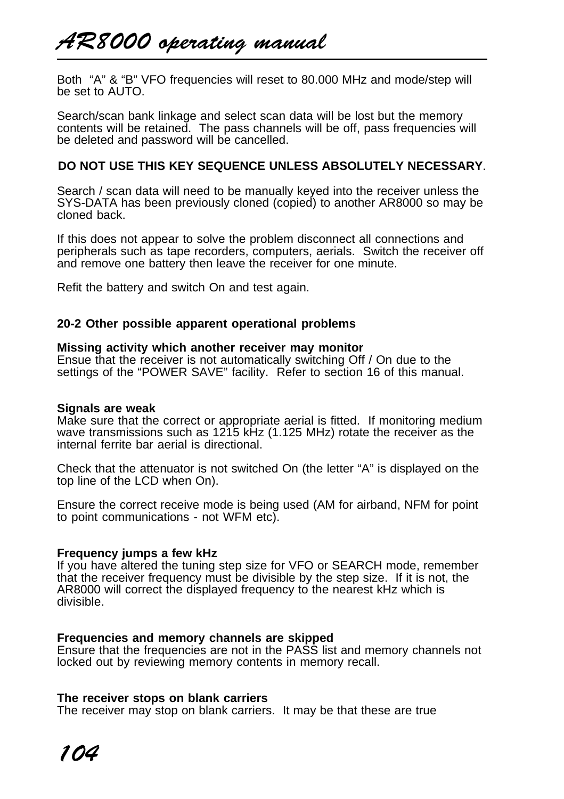# AR8000 operating manual

Both "A" & "B" VFO frequencies will reset to 80.000 MHz and mode/step will be set to AUTO.

Search/scan bank linkage and select scan data will be lost but the memory contents will be retained. The pass channels will be off, pass frequencies will be deleted and password will be cancelled.

# **DO NOT USE THIS KEY SEQUENCE UNLESS ABSOLUTELY NECESSARY**.

Search / scan data will need to be manually keyed into the receiver unless the SYS-DATA has been previously cloned (copied) to another AR8000 so may be cloned back.

If this does not appear to solve the problem disconnect all connections and peripherals such as tape recorders, computers, aerials. Switch the receiver off and remove one battery then leave the receiver for one minute.

Refit the battery and switch On and test again.

### **20-2 Other possible apparent operational problems**

#### **Missing activity which another receiver may monitor**

Ensue that the receiver is not automatically switching Off / On due to the settings of the "POWER SAVE" facility. Refer to section 16 of this manual.

#### **Signals are weak**

Make sure that the correct or appropriate aerial is fitted. If monitoring medium wave transmissions such as 1215 kHz (1.125 MHz) rotate the receiver as the internal ferrite bar aerial is directional.

Check that the attenuator is not switched On (the letter "A" is displayed on the top line of the LCD when On).

Ensure the correct receive mode is being used (AM for airband, NFM for point to point communications - not WFM etc).

#### **Frequency jumps a few kHz**

If you have altered the tuning step size for VFO or SEARCH mode, remember that the receiver frequency must be divisible by the step size. If it is not, the AR8000 will correct the displayed frequency to the nearest kHz which is divisible.

#### **Frequencies and memory channels are skipped**

Ensure that the frequencies are not in the PASS list and memory channels not locked out by reviewing memory contents in memory recall.

### **The receiver stops on blank carriers**

The receiver may stop on blank carriers. It may be that these are true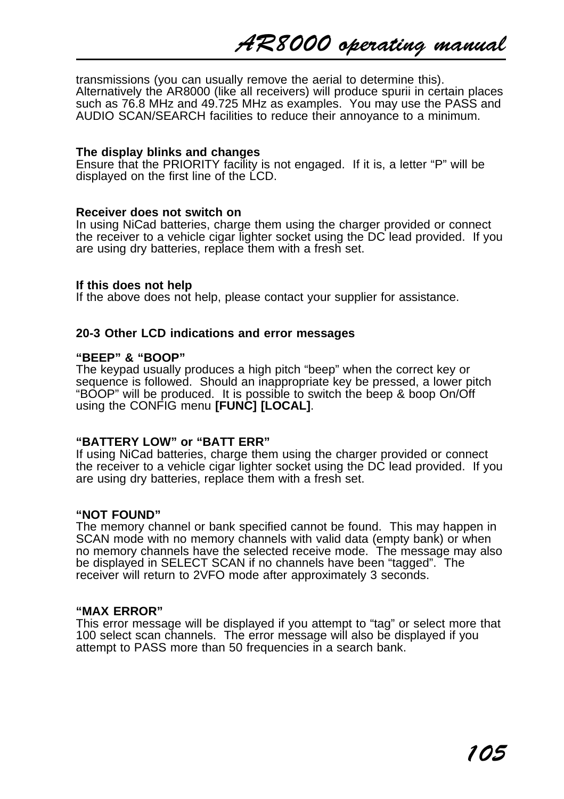AR8000 operating manual

transmissions (you can usually remove the aerial to determine this). Alternatively the AR8000 (like all receivers) will produce spurii in certain places such as 76.8 MHz and 49.725 MHz as examples. You may use the PASS and AUDIO SCAN/SEARCH facilities to reduce their annoyance to a minimum.

#### **The display blinks and changes**

Ensure that the PRIORITY facility is not engaged. If it is, a letter "P" will be displayed on the first line of the LCD.

#### **Receiver does not switch on**

In using NiCad batteries, charge them using the charger provided or connect the receiver to a vehicle cigar lighter socket using the DC lead provided. If you are using dry batteries, replace them with a fresh set.

#### **If this does not help**

If the above does not help, please contact your supplier for assistance.

#### **20-3 Other LCD indications and error messages**

#### **"BEEP" & "BOOP"**

The keypad usually produces a high pitch "beep" when the correct key or sequence is followed. Should an inappropriate key be pressed, a lower pitch "BOOP" will be produced. It is possible to switch the beep & boop On/Off using the CONFIG menu **[FUNC] [LOCAL]**.

#### **"BATTERY LOW" or "BATT ERR"**

If using NiCad batteries, charge them using the charger provided or connect the receiver to a vehicle cigar lighter socket using the DC lead provided. If you are using dry batteries, replace them with a fresh set.

#### **"NOT FOUND"**

The memory channel or bank specified cannot be found. This may happen in SCAN mode with no memory channels with valid data (empty bank) or when no memory channels have the selected receive mode. The message may also be displayed in SELECT SCAN if no channels have been "tagged". The receiver will return to 2VFO mode after approximately 3 seconds.

#### **"MAX ERROR"**

This error message will be displayed if you attempt to "tag" or select more that 100 select scan channels. The error message will also be displayed if you attempt to PASS more than 50 frequencies in a search bank.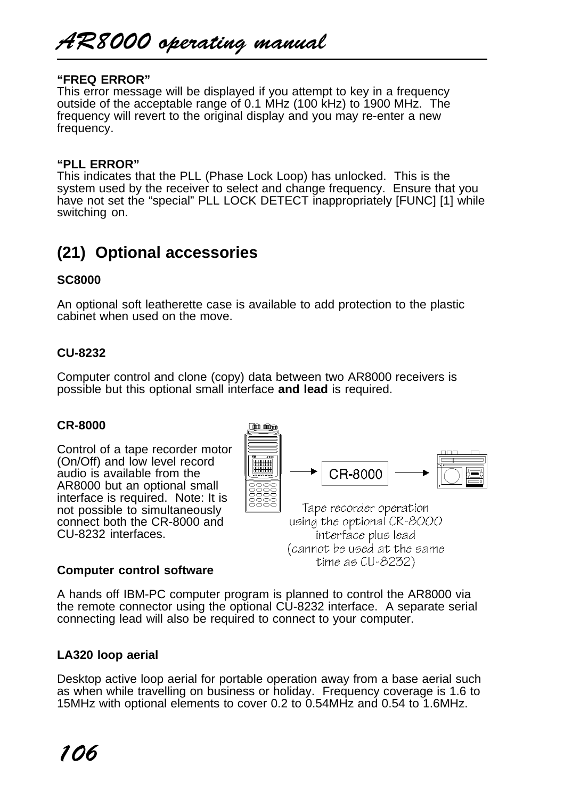AR8000 operating manual

#### **"FREQ ERROR"**

This error message will be displayed if you attempt to key in a frequency outside of the acceptable range of 0.1 MHz (100 kHz) to 1900 MHz. The frequency will revert to the original display and you may re-enter a new frequency.

#### **"PLL ERROR"**

This indicates that the PLL (Phase Lock Loop) has unlocked. This is the system used by the receiver to select and change frequency. Ensure that you have not set the "special" PLL LOCK DETECT inappropriately [FUNC] [1] while switching on.

# **(21) Optional accessories**

## **SC8000**

An optional soft leatherette case is available to add protection to the plastic cabinet when used on the move.

#### **CU-8232**

Computer control and clone (copy) data between two AR8000 receivers is possible but this optional small interface **and lead** is required.

#### **CR-8000**

Control of a tape recorder motor (On/Off) and low level record audio is available from the AR8000 but an optional small interface is required. Note: It is not possible to simultaneously connect both the CR-8000 and CU-8232 interfaces.



(cannot be used at the same  $time$  as  $CU-8232$ 

#### **Computer control software**

A hands off IBM-PC computer program is planned to control the AR8000 via the remote connector using the optional CU-8232 interface. A separate serial connecting lead will also be required to connect to your computer.

#### **LA320 loop aerial**

Desktop active loop aerial for portable operation away from a base aerial such as when while travelling on business or holiday. Frequency coverage is 1.6 to 15MHz with optional elements to cover 0.2 to 0.54MHz and 0.54 to 1.6MHz.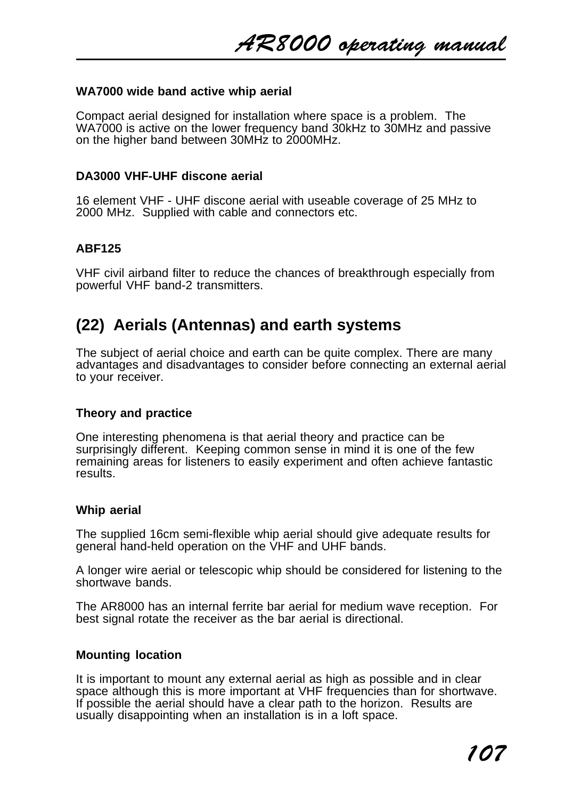AR8000 operating manual

#### **WA7000 wide band active whip aerial**

Compact aerial designed for installation where space is a problem. The WA7000 is active on the lower frequency band 30kHz to 30MHz and passive on the higher band between 30MHz to 2000MHz.

#### **DA3000 VHF-UHF discone aerial**

16 element VHF - UHF discone aerial with useable coverage of 25 MHz to 2000 MHz. Supplied with cable and connectors etc.

### **ABF125**

VHF civil airband filter to reduce the chances of breakthrough especially from powerful VHF band-2 transmitters.

# **(22) Aerials (Antennas) and earth systems**

The subject of aerial choice and earth can be quite complex. There are many advantages and disadvantages to consider before connecting an external aerial to your receiver.

### **Theory and practice**

One interesting phenomena is that aerial theory and practice can be surprisingly different. Keeping common sense in mind it is one of the few remaining areas for listeners to easily experiment and often achieve fantastic results.

#### **Whip aerial**

The supplied 16cm semi-flexible whip aerial should give adequate results for general hand-held operation on the VHF and UHF bands.

A longer wire aerial or telescopic whip should be considered for listening to the shortwave bands.

The AR8000 has an internal ferrite bar aerial for medium wave reception. For best signal rotate the receiver as the bar aerial is directional.

#### **Mounting location**

It is important to mount any external aerial as high as possible and in clear space although this is more important at VHF frequencies than for shortwave. If possible the aerial should have a clear path to the horizon. Results are usually disappointing when an installation is in a loft space.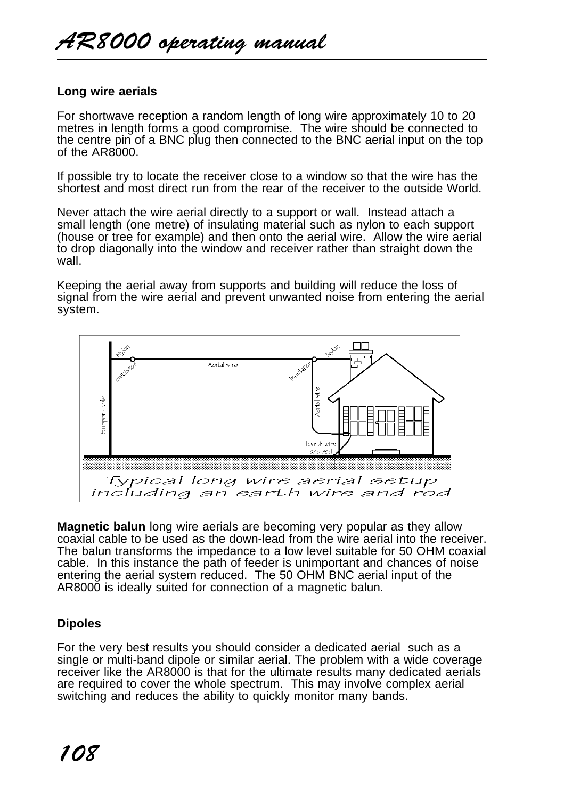# **Long wire aerials**

For shortwave reception a random length of long wire approximately 10 to 20 metres in length forms a good compromise. The wire should be connected to the centre pin of a BNC plug then connected to the BNC aerial input on the top of the AR8000.

If possible try to locate the receiver close to a window so that the wire has the shortest and most direct run from the rear of the receiver to the outside World.

Never attach the wire aerial directly to a support or wall. Instead attach a small length (one metre) of insulating material such as nylon to each support (house or tree for example) and then onto the aerial wire. Allow the wire aerial to drop diagonally into the window and receiver rather than straight down the wall.

Keeping the aerial away from supports and building will reduce the loss of signal from the wire aerial and prevent unwanted noise from entering the aerial system.



**Magnetic balun** long wire aerials are becoming very popular as they allow coaxial cable to be used as the down-lead from the wire aerial into the receiver. The balun transforms the impedance to a low level suitable for 50 OHM coaxial cable. In this instance the path of feeder is unimportant and chances of noise entering the aerial system reduced. The 50 OHM BNC aerial input of the AR8000 is ideally suited for connection of a magnetic balun.

# **Dipoles**

For the very best results you should consider a dedicated aerial such as a single or multi-band dipole or similar aerial. The problem with a wide coverage receiver like the AR8000 is that for the ultimate results many dedicated aerials are required to cover the whole spectrum. This may involve complex aerial switching and reduces the ability to quickly monitor many bands.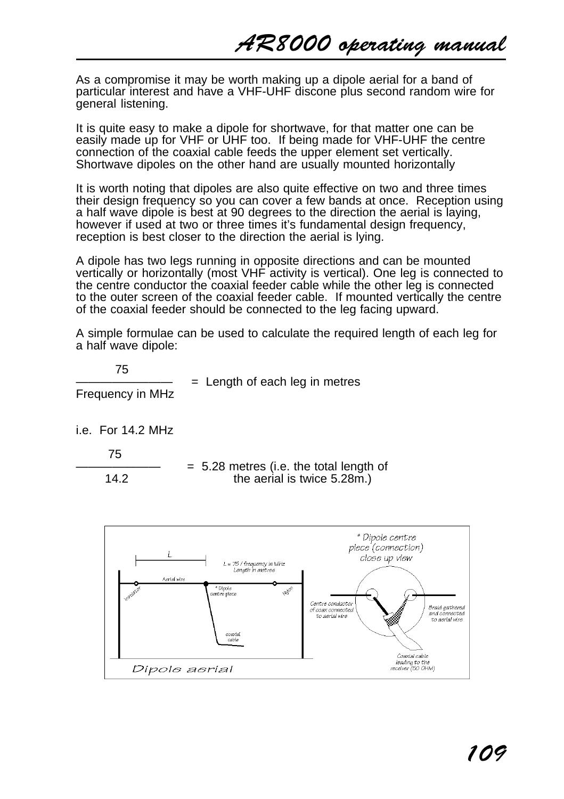As a compromise it may be worth making up a dipole aerial for a band of particular interest and have a VHF-UHF discone plus second random wire for general listening.

It is quite easy to make a dipole for shortwave, for that matter one can be easily made up for VHF or UHF too. If being made for VHF-UHF the centre connection of the coaxial cable feeds the upper element set vertically. Shortwave dipoles on the other hand are usually mounted horizontally

It is worth noting that dipoles are also quite effective on two and three times their design frequency so you can cover a few bands at once. Reception using a half wave dipole is best at 90 degrees to the direction the aerial is laying, however if used at two or three times it's fundamental design frequency, reception is best closer to the direction the aerial is lying.

A dipole has two legs running in opposite directions and can be mounted vertically or horizontally (most VHF activity is vertical). One leg is connected to the centre conductor the coaxial feeder cable while the other leg is connected to the outer screen of the coaxial feeder cable. If mounted vertically the centre of the coaxial feeder should be connected to the leg facing upward.

A simple formulae can be used to calculate the required length of each leg for a half wave dipole:

 75 Frequency in MHz

 $=$  Length of each leg in metres

i.e. For 14.2 MHz

75

 $= 5.28$  metres (i.e. the total length of 14.2 the aerial is twice 5.28m.)

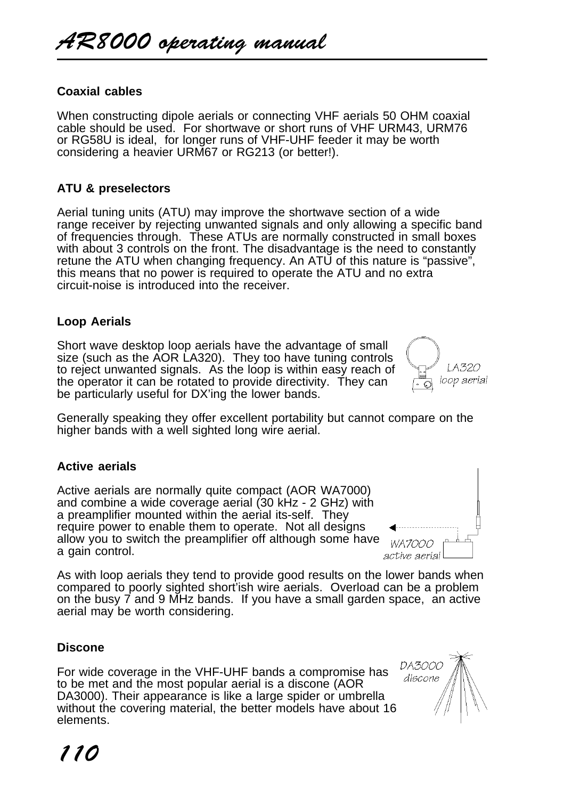# **Coaxial cables**

When constructing dipole aerials or connecting VHF aerials 50 OHM coaxial cable should be used. For shortwave or short runs of VHF URM43, URM76 or RG58U is ideal, for longer runs of VHF-UHF feeder it may be worth considering a heavier URM67 or RG213 (or better!).

# **ATU & preselectors**

Aerial tuning units (ATU) may improve the shortwave section of a wide range receiver by rejecting unwanted signals and only allowing a specific band of frequencies through. These ATUs are normally constructed in small boxes with about 3 controls on the front. The disadvantage is the need to constantly retune the ATU when changing frequency. An ATU of this nature is "passive", this means that no power is required to operate the ATU and no extra circuit-noise is introduced into the receiver.

# **Loop Aerials**

Short wave desktop loop aerials have the advantage of small size (such as the AOR LA320). They too have tuning controls to reject unwanted signals. As the loop is within easy reach of the operator it can be rotated to provide directivity. They can be particularly useful for DX'ing the lower bands.

Generally speaking they offer excellent portability but cannot compare on the higher bands with a well sighted long wire aerial.

### **Active aerials**

Active aerials are normally quite compact (AOR WA7000) and combine a wide coverage aerial (30 kHz - 2 GHz) with a preamplifier mounted within the aerial its-self. They require power to enable them to operate. Not all designs allow you to switch the preamplifier off although some have a gain control.

As with loop aerials they tend to provide good results on the lower bands when compared to poorly sighted short'ish wire aerials. Overload can be a problem on the busy 7 and 9 MHz bands. If you have a small garden space, an active aerial may be worth considering.

# **Discone**

For wide coverage in the VHF-UHF bands a compromise has to be met and the most popular aerial is a discone (AOR DA3000). Their appearance is like a large spider or umbrella without the covering material, the better models have about 16 elements.





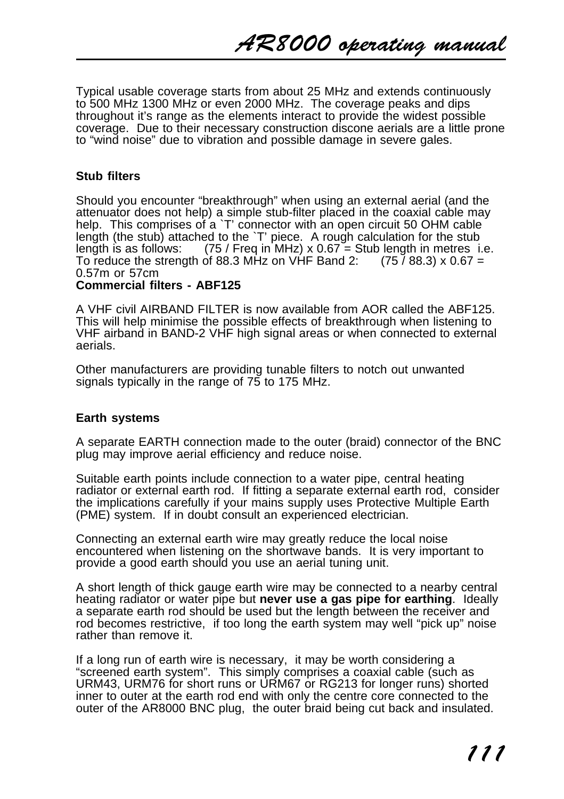Typical usable coverage starts from about 25 MHz and extends continuously to 500 MHz 1300 MHz or even 2000 MHz. The coverage peaks and dips throughout it's range as the elements interact to provide the widest possible coverage. Due to their necessary construction discone aerials are a little prone to "wind noise" due to vibration and possible damage in severe gales.

### **Stub filters**

Should you encounter "breakthrough" when using an external aerial (and the attenuator does not help) a simple stub-filter placed in the coaxial cable may help. This comprises of a `T' connector with an open circuit 50 OHM cable length (the stub) attached to the `T' piece. A rough calculation for the stub length is as follows:  $(75 / \text{Freq in MHz}) \times 0.67 = \text{Stub length in metres i.}$  $(75 /$  Freq in MHz) x 0.67 = Stub length in metres i.e. To reduce the strength of 88.3 MHz on VHF Band 2:  $(75788.3) \times 0.67 =$ 0.57m or 57cm **Commercial filters - ABF125**

A VHF civil AIRBAND FILTER is now available from AOR called the ABF125. This will help minimise the possible effects of breakthrough when listening to VHF airband in BAND-2 VHF high signal areas or when connected to external aerials.

Other manufacturers are providing tunable filters to notch out unwanted signals typically in the range of 75 to 175 MHz.

### **Earth systems**

A separate EARTH connection made to the outer (braid) connector of the BNC plug may improve aerial efficiency and reduce noise.

Suitable earth points include connection to a water pipe, central heating radiator or external earth rod. If fitting a separate external earth rod, consider the implications carefully if your mains supply uses Protective Multiple Earth (PME) system. If in doubt consult an experienced electrician.

Connecting an external earth wire may greatly reduce the local noise encountered when listening on the shortwave bands. It is very important to provide a good earth should you use an aerial tuning unit.

A short length of thick gauge earth wire may be connected to a nearby central heating radiator or water pipe but **never use a gas pipe for earthing**. Ideally a separate earth rod should be used but the length between the receiver and rod becomes restrictive, if too long the earth system may well "pick up" noise rather than remove it.

If a long run of earth wire is necessary, it may be worth considering a "screened earth system". This simply comprises a coaxial cable (such as URM43, URM76 for short runs or URM67 or RG213 for longer runs) shorted inner to outer at the earth rod end with only the centre core connected to the outer of the AR8000 BNC plug, the outer braid being cut back and insulated.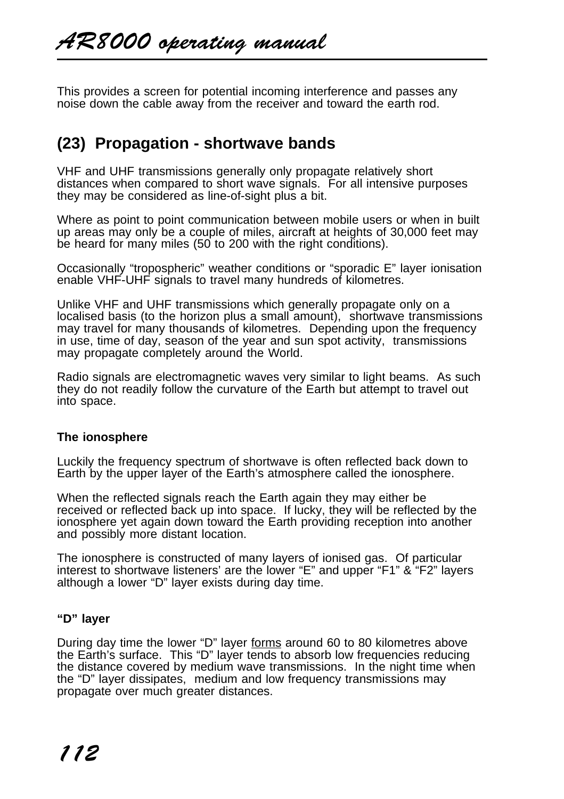This provides a screen for potential incoming interference and passes any noise down the cable away from the receiver and toward the earth rod.

# **(23) Propagation - shortwave bands**

VHF and UHF transmissions generally only propagate relatively short distances when compared to short wave signals. For all intensive purposes they may be considered as line-of-sight plus a bit.

Where as point to point communication between mobile users or when in built up areas may only be a couple of miles, aircraft at heights of 30,000 feet may be heard for many miles (50 to 200 with the right conditions).

Occasionally "tropospheric" weather conditions or "sporadic E" layer ionisation enable VHF-UHF signals to travel many hundreds of kilometres.

Unlike VHF and UHF transmissions which generally propagate only on a localised basis (to the horizon plus a small amount), shortwave transmissions may travel for many thousands of kilometres. Depending upon the frequency in use, time of day, season of the year and sun spot activity, transmissions may propagate completely around the World.

Radio signals are electromagnetic waves very similar to light beams. As such they do not readily follow the curvature of the Earth but attempt to travel out into space.

### **The ionosphere**

Luckily the frequency spectrum of shortwave is often reflected back down to Earth by the upper layer of the Earth's atmosphere called the ionosphere.

When the reflected signals reach the Earth again they may either be received or reflected back up into space. If lucky, they will be reflected by the ionosphere yet again down toward the Earth providing reception into another and possibly more distant location.

The ionosphere is constructed of many layers of ionised gas. Of particular interest to shortwave listeners' are the lower "E" and upper "F1" & "F2" layers although a lower "D" layer exists during day time.

### **"D" layer**

During day time the lower "D" layer forms around 60 to 80 kilometres above the Earth's surface. This "D" layer tends to absorb low frequencies reducing the distance covered by medium wave transmissions. In the night time when the "D" layer dissipates, medium and low frequency transmissions may propagate over much greater distances.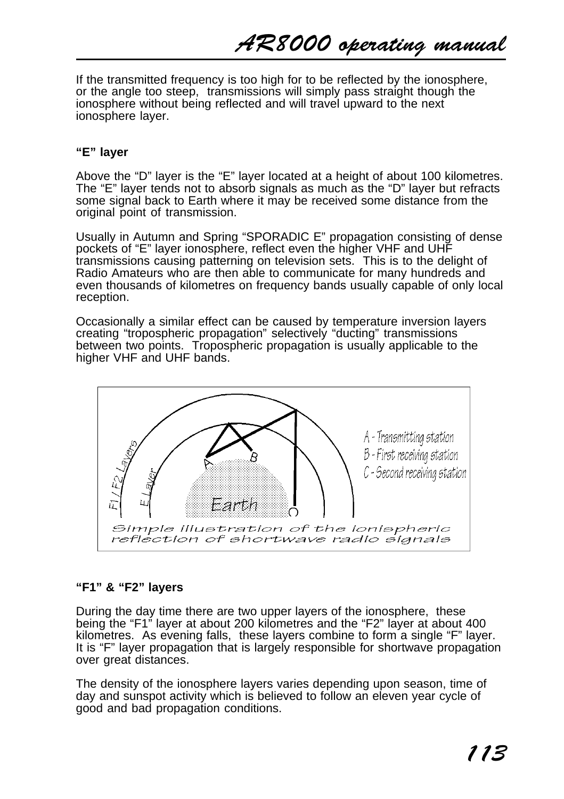AR8000 operating manual

If the transmitted frequency is too high for to be reflected by the ionosphere, or the angle too steep, transmissions will simply pass straight though the ionosphere without being reflected and will travel upward to the next ionosphere layer.

### **"E" layer**

Above the "D" layer is the "E" layer located at a height of about 100 kilometres. The "E" layer tends not to absorb signals as much as the "D" layer but refracts some signal back to Earth where it may be received some distance from the original point of transmission.

Usually in Autumn and Spring "SPORADIC E" propagation consisting of dense pockets of "E" layer ionosphere, reflect even the higher VHF and UHF transmissions causing patterning on television sets. This is to the delight of Radio Amateurs who are then able to communicate for many hundreds and even thousands of kilometres on frequency bands usually capable of only local reception.

Occasionally a similar effect can be caused by temperature inversion layers creating "tropospheric propagation" selectively "ducting" transmissions between two points. Tropospheric propagation is usually applicable to the **higher VHF and UHF bands.** 



# **"F1" & "F2" layers**

During the day time there are two upper layers of the ionosphere, these being the "F1" layer at about 200 kilometres and the "F2" layer at about 400 kilometres. As evening falls, these layers combine to form a single "F" layer. It is "F" layer propagation that is largely responsible for shortwave propagation over great distances.

The density of the ionosphere layers varies depending upon season, time of day and sunspot activity which is believed to follow an eleven year cycle of good and bad propagation conditions.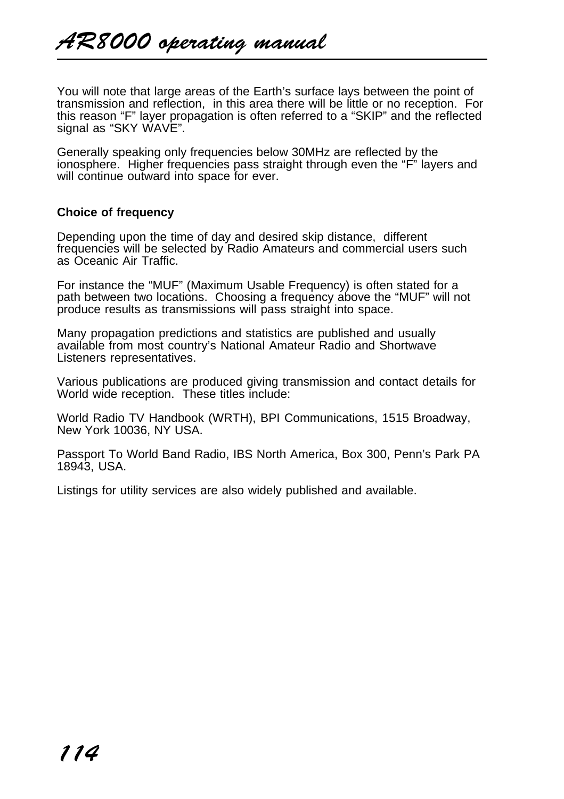You will note that large areas of the Earth's surface lays between the point of transmission and reflection, in this area there will be little or no reception. For this reason "F" layer propagation is often referred to a "SKIP" and the reflected signal as "SKY WAVE".

Generally speaking only frequencies below 30MHz are reflected by the ionosphere. Higher frequencies pass straight through even the "F" layers and will continue outward into space for ever.

## **Choice of frequency**

Depending upon the time of day and desired skip distance, different frequencies will be selected by Radio Amateurs and commercial users such as Oceanic Air Traffic.

For instance the "MUF" (Maximum Usable Frequency) is often stated for a path between two locations. Choosing a frequency above the "MUF" will not produce results as transmissions will pass straight into space.

Many propagation predictions and statistics are published and usually available from most country's National Amateur Radio and Shortwave Listeners representatives.

Various publications are produced giving transmission and contact details for World wide reception. These titles include:

World Radio TV Handbook (WRTH), BPI Communications, 1515 Broadway, New York 10036, NY USA.

Passport To World Band Radio, IBS North America, Box 300, Penn's Park PA 18943, USA.

Listings for utility services are also widely published and available.